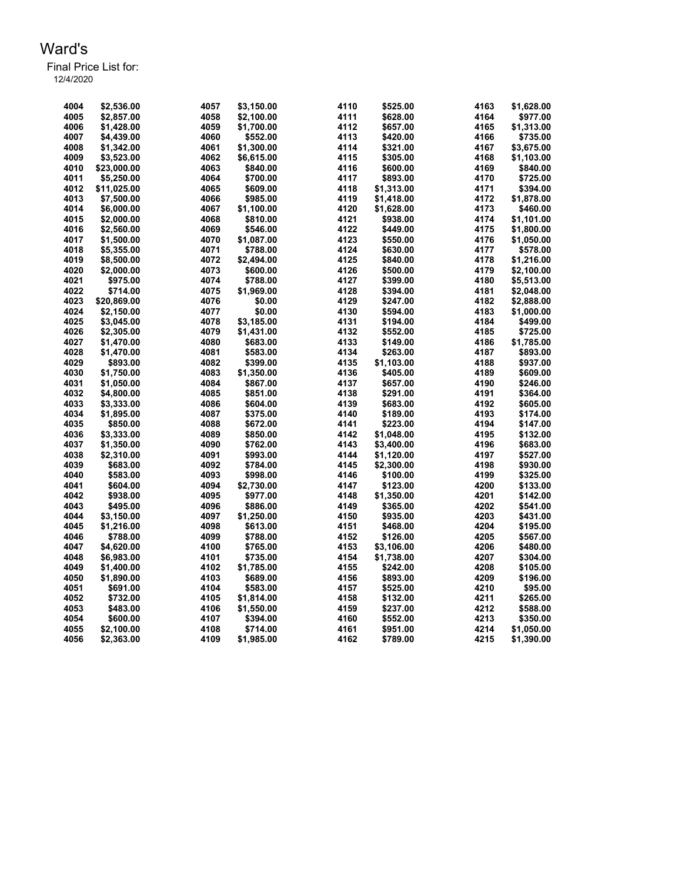| 4004 | \$2.536.00  | 4057 | \$3,150.00 | 4110 | \$525.00   | 4163 | \$1,628.00 |
|------|-------------|------|------------|------|------------|------|------------|
| 4005 | \$2,857.00  | 4058 | \$2,100.00 | 4111 | \$628.00   | 4164 | \$977.00   |
| 4006 | \$1,428.00  | 4059 | \$1,700.00 | 4112 | \$657.00   | 4165 | \$1,313.00 |
| 4007 | \$4,439.00  | 4060 | \$552.00   | 4113 | \$420.00   | 4166 | \$735.00   |
| 4008 | \$1,342.00  | 4061 | \$1,300.00 | 4114 | \$321.00   | 4167 | \$3,675.00 |
| 4009 | \$3,523.00  | 4062 | \$6,615.00 | 4115 | \$305.00   | 4168 | \$1,103.00 |
| 4010 | \$23,000.00 | 4063 | \$840.00   | 4116 | \$600.00   | 4169 | \$840.00   |
| 4011 | \$5,250.00  | 4064 | \$700.00   | 4117 | \$893.00   | 4170 | \$725.00   |
| 4012 | \$11,025.00 | 4065 | \$609.00   | 4118 | \$1,313.00 | 4171 | \$394.00   |
| 4013 | \$7,500.00  | 4066 | \$985.00   | 4119 | \$1,418.00 | 4172 | \$1,878.00 |
| 4014 | \$6,000.00  | 4067 | \$1,100.00 | 4120 | \$1,628.00 | 4173 | \$460.00   |
| 4015 | \$2,000.00  | 4068 | \$810.00   | 4121 | \$938.00   | 4174 | \$1,101.00 |
| 4016 | \$2,560.00  | 4069 | \$546.00   | 4122 | \$449.00   | 4175 | \$1,800.00 |
| 4017 | \$1,500.00  | 4070 | \$1,087.00 | 4123 | \$550.00   | 4176 | \$1,050.00 |
| 4018 | \$5,355.00  | 4071 | \$788.00   | 4124 | \$630.00   | 4177 | \$578.00   |
| 4019 | \$8,500.00  | 4072 | \$2,494.00 | 4125 | \$840.00   | 4178 | \$1,216.00 |
| 4020 | \$2,000.00  | 4073 | \$600.00   | 4126 | \$500.00   | 4179 | \$2,100.00 |
| 4021 | \$975.00    | 4074 | \$788.00   | 4127 | \$399.00   | 4180 | \$5,513.00 |
| 4022 | \$714.00    | 4075 | \$1,969.00 | 4128 | \$394.00   | 4181 | \$2,048.00 |
| 4023 | \$20,869.00 | 4076 | \$0.00     | 4129 | \$247.00   | 4182 | \$2,888.00 |
| 4024 | \$2,150.00  | 4077 | \$0.00     | 4130 | \$594.00   | 4183 | \$1,000.00 |
| 4025 | \$3,045.00  | 4078 | \$3,185.00 | 4131 | \$194.00   | 4184 | \$499.00   |
| 4026 | \$2,305.00  | 4079 | \$1,431.00 | 4132 | \$552.00   | 4185 | \$725.00   |
| 4027 | \$1,470.00  | 4080 | \$683.00   | 4133 | \$149.00   | 4186 | \$1,785.00 |
| 4028 | \$1,470.00  | 4081 | \$583.00   | 4134 | \$263.00   | 4187 | \$893.00   |
| 4029 | \$893.00    | 4082 | \$399.00   | 4135 | \$1,103.00 | 4188 | \$937.00   |
| 4030 | \$1,750.00  | 4083 | \$1,350.00 | 4136 | \$405.00   | 4189 | \$609.00   |
| 4031 | \$1,050.00  | 4084 | \$867.00   | 4137 | \$657.00   | 4190 | \$246.00   |
| 4032 | \$4,800.00  | 4085 | \$851.00   | 4138 | \$291.00   | 4191 | \$364.00   |
| 4033 | \$3,333.00  | 4086 | \$604.00   | 4139 | \$683.00   | 4192 | \$605.00   |
| 4034 | \$1,895.00  | 4087 | \$375.00   | 4140 | \$189.00   | 4193 | \$174.00   |
| 4035 | \$850.00    | 4088 | \$672.00   | 4141 | \$223.00   | 4194 | \$147.00   |
| 4036 | \$3,333.00  | 4089 | \$850.00   | 4142 | \$1,048.00 | 4195 | \$132.00   |
| 4037 | \$1,350.00  | 4090 | \$762.00   | 4143 | \$3,400.00 | 4196 | \$683.00   |
| 4038 | \$2,310.00  | 4091 | \$993.00   | 4144 | \$1,120.00 | 4197 | \$527.00   |
| 4039 | \$683.00    | 4092 | \$784.00   | 4145 | \$2,300.00 | 4198 | \$930.00   |
| 4040 | \$583.00    | 4093 | \$998.00   | 4146 | \$100.00   | 4199 | \$325.00   |
| 4041 | \$604.00    | 4094 | \$2,730.00 | 4147 | \$123.00   | 4200 | \$133.00   |
| 4042 | \$938.00    | 4095 | \$977.00   | 4148 | \$1,350.00 | 4201 | \$142.00   |
| 4043 | \$495.00    | 4096 | \$886.00   | 4149 | \$365.00   | 4202 | \$541.00   |
| 4044 | \$3,150.00  | 4097 | \$1,250.00 | 4150 | \$935.00   | 4203 | \$431.00   |
| 4045 | \$1,216.00  | 4098 | \$613.00   | 4151 | \$468.00   | 4204 | \$195.00   |
| 4046 | \$788.00    | 4099 | \$788.00   | 4152 | \$126.00   | 4205 | \$567.00   |
| 4047 | \$4,620.00  | 4100 | \$765.00   | 4153 | \$3,106.00 | 4206 | \$480.00   |
| 4048 | \$6,983.00  | 4101 | \$735.00   | 4154 | \$1,738.00 | 4207 | \$304.00   |
| 4049 | \$1,400.00  | 4102 | \$1,785.00 | 4155 | \$242.00   | 4208 | \$105.00   |
| 4050 | \$1,890.00  | 4103 | \$689.00   | 4156 | \$893.00   | 4209 | \$196.00   |
| 4051 | \$691.00    | 4104 | \$583.00   | 4157 | \$525.00   | 4210 | \$95.00    |
| 4052 | \$732.00    | 4105 | \$1,814.00 | 4158 | \$132.00   | 4211 | \$265.00   |
| 4053 | \$483.00    | 4106 | \$1,550.00 | 4159 | \$237.00   | 4212 | \$588.00   |
| 4054 | \$600.00    | 4107 | \$394.00   | 4160 | \$552.00   | 4213 | \$350.00   |
| 4055 | \$2,100.00  | 4108 | \$714.00   | 4161 | \$951.00   | 4214 | \$1,050.00 |
| 4056 | \$2,363.00  | 4109 | \$1,985.00 | 4162 | \$789.00   | 4215 | \$1,390.00 |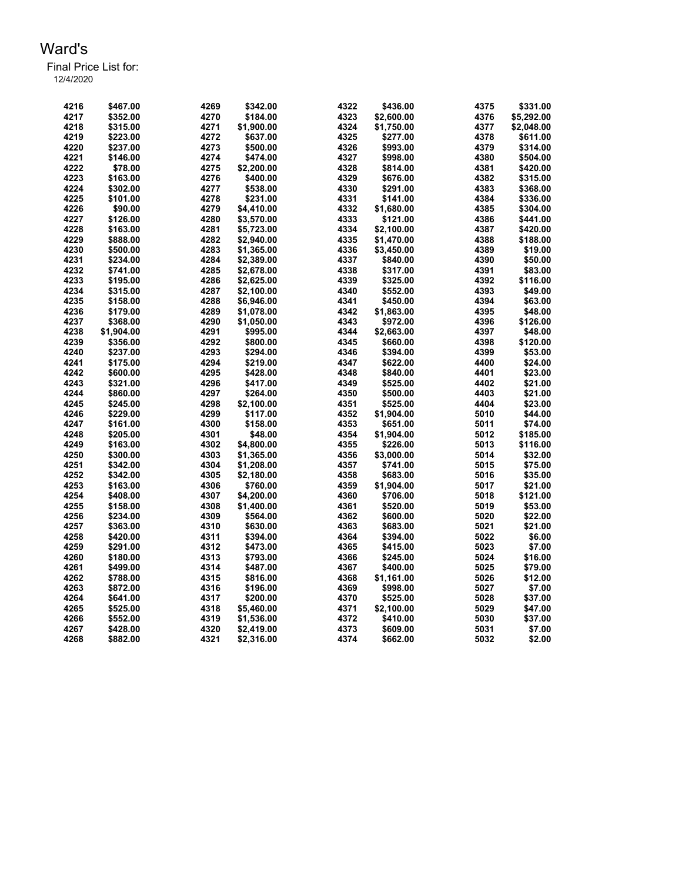| 4216 | \$467.00   | 4269 | \$342.00   | 4322 | \$436.00   | 4375 | \$331.00   |
|------|------------|------|------------|------|------------|------|------------|
| 4217 | \$352.00   | 4270 | \$184.00   | 4323 | \$2,600.00 | 4376 | \$5,292.00 |
| 4218 | \$315.00   | 4271 | \$1,900.00 | 4324 | \$1,750.00 | 4377 | \$2,048.00 |
| 4219 | \$223.00   | 4272 | \$637.00   | 4325 | \$277.00   | 4378 | \$611.00   |
| 4220 | \$237.00   | 4273 | \$500.00   | 4326 | \$993.00   | 4379 | \$314.00   |
| 4221 | \$146.00   | 4274 | \$474.00   | 4327 | \$998.00   | 4380 | \$504.00   |
| 4222 | \$78.00    | 4275 | \$2,200.00 | 4328 | \$814.00   | 4381 | \$420.00   |
| 4223 | \$163.00   | 4276 | \$400.00   | 4329 | \$676.00   | 4382 | \$315.00   |
| 4224 | \$302.00   | 4277 | \$538.00   | 4330 | \$291.00   | 4383 | \$368.00   |
| 4225 | \$101.00   | 4278 | \$231.00   | 4331 | \$141.00   | 4384 | \$336.00   |
| 4226 | \$90.00    | 4279 | \$4,410.00 | 4332 | \$1,680.00 | 4385 | \$304.00   |
| 4227 | \$126.00   | 4280 | \$3,570.00 | 4333 | \$121.00   | 4386 | \$441.00   |
| 4228 | \$163.00   | 4281 | \$5,723.00 | 4334 | \$2,100.00 | 4387 | \$420.00   |
| 4229 | \$888.00   | 4282 | \$2,940.00 | 4335 | \$1.470.00 | 4388 | \$188.00   |
| 4230 | \$500.00   | 4283 | \$1,365.00 | 4336 | \$3,450.00 | 4389 | \$19.00    |
| 4231 | \$234.00   | 4284 | \$2,389.00 | 4337 | \$840.00   | 4390 | \$50.00    |
| 4232 | \$741.00   | 4285 | \$2,678.00 | 4338 | \$317.00   | 4391 | \$83.00    |
| 4233 | \$195.00   | 4286 | \$2,625.00 | 4339 | \$325.00   | 4392 | \$116.00   |
| 4234 | \$315.00   | 4287 | \$2,100.00 | 4340 | \$552.00   | 4393 | \$49.00    |
| 4235 | \$158.00   | 4288 | \$6,946.00 | 4341 | \$450.00   | 4394 | \$63.00    |
| 4236 | \$179.00   | 4289 | \$1,078.00 | 4342 | \$1,863.00 | 4395 | \$48.00    |
| 4237 | \$368.00   | 4290 | \$1,050.00 | 4343 | \$972.00   | 4396 | \$126.00   |
| 4238 | \$1,904.00 | 4291 | \$995.00   | 4344 | \$2,663.00 | 4397 | \$48.00    |
| 4239 | \$356.00   | 4292 | \$800.00   | 4345 | \$660.00   | 4398 | \$120.00   |
| 4240 | \$237.00   | 4293 | \$294.00   | 4346 | \$394.00   | 4399 | \$53.00    |
| 4241 | \$175.00   | 4294 | \$219.00   | 4347 | \$622.00   | 4400 | \$24.00    |
| 4242 | \$600.00   | 4295 | \$428.00   | 4348 | \$840.00   | 4401 | \$23.00    |
| 4243 | \$321.00   | 4296 | \$417.00   | 4349 | \$525.00   | 4402 | \$21.00    |
| 4244 | \$860.00   | 4297 | \$264.00   | 4350 | \$500.00   | 4403 | \$21.00    |
| 4245 | \$245.00   | 4298 | \$2,100.00 | 4351 | \$525.00   | 4404 | \$23.00    |
| 4246 | \$229.00   | 4299 | \$117.00   | 4352 | \$1,904.00 | 5010 | \$44.00    |
| 4247 | \$161.00   | 4300 | \$158.00   | 4353 | \$651.00   | 5011 | \$74.00    |
| 4248 | \$205.00   | 4301 | \$48.00    | 4354 | \$1,904.00 | 5012 | \$185.00   |
| 4249 | \$163.00   | 4302 | \$4,800.00 | 4355 | \$226.00   | 5013 | \$116.00   |
| 4250 | \$300.00   | 4303 | \$1,365.00 | 4356 | \$3,000.00 | 5014 | \$32.00    |
| 4251 | \$342.00   | 4304 | \$1,208.00 | 4357 | \$741.00   | 5015 | \$75.00    |
| 4252 | \$342.00   | 4305 | \$2,180.00 | 4358 | \$683.00   | 5016 | \$35.00    |
| 4253 | \$163.00   | 4306 | \$760.00   | 4359 | \$1,904.00 | 5017 | \$21.00    |
| 4254 | \$408.00   | 4307 | \$4,200.00 | 4360 | \$706.00   | 5018 | \$121.00   |
| 4255 | \$158.00   | 4308 | \$1,400.00 | 4361 | \$520.00   | 5019 | \$53.00    |
| 4256 | \$234.00   | 4309 | \$564.00   | 4362 | \$600.00   | 5020 | \$22.00    |
| 4257 | \$363.00   | 4310 | \$630.00   | 4363 | \$683.00   | 5021 | \$21.00    |
| 4258 | \$420.00   | 4311 | \$394.00   | 4364 | \$394.00   | 5022 | \$6.00     |
| 4259 | \$291.00   | 4312 | \$473.00   | 4365 | \$415.00   | 5023 | \$7.00     |
| 4260 | \$180.00   | 4313 | \$793.00   | 4366 | \$245.00   | 5024 | \$16.00    |
| 4261 | \$499.00   | 4314 | \$487.00   | 4367 | \$400.00   | 5025 | \$79.00    |
| 4262 | \$788.00   | 4315 | \$816.00   | 4368 | \$1,161.00 | 5026 | \$12.00    |
| 4263 | \$872.00   | 4316 | \$196.00   | 4369 | \$998.00   | 5027 | \$7.00     |
| 4264 | \$641.00   | 4317 | \$200.00   | 4370 | \$525.00   | 5028 | \$37.00    |
| 4265 | \$525.00   | 4318 | \$5,460.00 | 4371 | \$2,100.00 | 5029 | \$47.00    |
| 4266 | \$552.00   | 4319 | \$1,536.00 | 4372 | \$410.00   | 5030 | \$37.00    |
| 4267 | \$428.00   | 4320 | \$2,419.00 | 4373 | \$609.00   | 5031 | \$7.00     |
| 4268 | \$882.00   | 4321 | \$2,316.00 | 4374 | \$662.00   | 5032 | \$2.00     |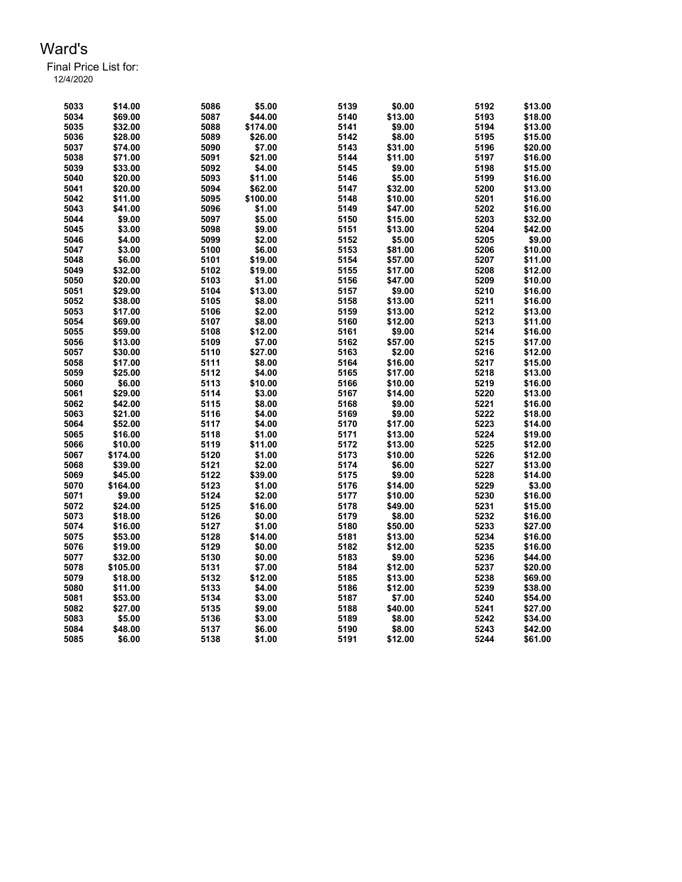| 5033 | \$14.00  | 5086 | \$5.00   | 5139 | \$0.00  | 5192 | \$13.00 |
|------|----------|------|----------|------|---------|------|---------|
| 5034 | \$69.00  | 5087 | \$44.00  | 5140 | \$13.00 | 5193 | \$18.00 |
| 5035 | \$32.00  | 5088 | \$174.00 | 5141 | \$9.00  | 5194 | \$13.00 |
| 5036 | \$28.00  | 5089 | \$26.00  | 5142 | \$8.00  | 5195 | \$15.00 |
| 5037 | \$74.00  | 5090 | \$7.00   | 5143 | \$31.00 | 5196 | \$20.00 |
| 5038 | \$71.00  | 5091 | \$21.00  | 5144 | \$11.00 | 5197 | \$16.00 |
| 5039 | \$33.00  | 5092 | \$4.00   | 5145 | \$9.00  | 5198 | \$15.00 |
| 5040 | \$20.00  | 5093 | \$11.00  | 5146 | \$5.00  | 5199 | \$16.00 |
| 5041 | \$20.00  | 5094 | \$62.00  | 5147 | \$32.00 | 5200 | \$13.00 |
| 5042 | \$11.00  | 5095 | \$100.00 | 5148 | \$10.00 | 5201 | \$16.00 |
| 5043 | \$41.00  | 5096 | \$1.00   | 5149 | \$47.00 | 5202 | \$16.00 |
| 5044 | \$9.00   | 5097 | \$5.00   | 5150 | \$15.00 | 5203 | \$32.00 |
| 5045 | \$3.00   | 5098 | \$9.00   | 5151 | \$13.00 | 5204 | \$42.00 |
| 5046 | \$4.00   | 5099 | \$2.00   | 5152 | \$5.00  | 5205 | \$9.00  |
| 5047 | \$3.00   | 5100 | \$6.00   | 5153 | \$81.00 | 5206 | \$10.00 |
| 5048 | \$6.00   | 5101 | \$19.00  | 5154 | \$57.00 | 5207 | \$11.00 |
| 5049 | \$32.00  | 5102 | \$19.00  | 5155 | \$17.00 | 5208 | \$12.00 |
| 5050 | \$20.00  | 5103 | \$1.00   | 5156 | \$47.00 | 5209 | \$10.00 |
| 5051 | \$29.00  | 5104 | \$13.00  | 5157 | \$9.00  | 5210 | \$16.00 |
| 5052 | \$38.00  | 5105 | \$8.00   | 5158 | \$13.00 | 5211 | \$16.00 |
| 5053 | \$17.00  | 5106 | \$2.00   | 5159 | \$13.00 | 5212 | \$13.00 |
| 5054 | \$69.00  | 5107 | \$8.00   | 5160 | \$12.00 | 5213 | \$11.00 |
| 5055 | \$59.00  | 5108 | \$12.00  | 5161 | \$9.00  | 5214 | \$16.00 |
| 5056 | \$13.00  | 5109 | \$7.00   | 5162 | \$57.00 | 5215 | \$17.00 |
| 5057 | \$30.00  | 5110 | \$27.00  | 5163 | \$2.00  | 5216 | \$12.00 |
| 5058 | \$17.00  | 5111 | \$8.00   | 5164 | \$16.00 | 5217 | \$15.00 |
| 5059 | \$25.00  | 5112 | \$4.00   | 5165 | \$17.00 | 5218 | \$13.00 |
| 5060 | \$6.00   | 5113 | \$10.00  | 5166 | \$10.00 | 5219 | \$16.00 |
| 5061 | \$29.00  | 5114 | \$3.00   | 5167 | \$14.00 | 5220 | \$13.00 |
| 5062 | \$42.00  | 5115 | \$8.00   | 5168 | \$9.00  | 5221 | \$16.00 |
| 5063 | \$21.00  | 5116 | \$4.00   | 5169 | \$9.00  | 5222 | \$18.00 |
| 5064 | \$52.00  | 5117 | \$4.00   | 5170 | \$17.00 | 5223 | \$14.00 |
| 5065 | \$16.00  | 5118 | \$1.00   | 5171 | \$13.00 | 5224 | \$19.00 |
| 5066 | \$10.00  | 5119 | \$11.00  | 5172 | \$13.00 | 5225 | \$12.00 |
| 5067 | \$174.00 | 5120 | \$1.00   | 5173 | \$10.00 | 5226 | \$12.00 |
| 5068 | \$39.00  | 5121 | \$2.00   | 5174 | \$6.00  | 5227 | \$13.00 |
| 5069 | \$45.00  | 5122 | \$39.00  | 5175 | \$9.00  | 5228 | \$14.00 |
| 5070 | \$164.00 | 5123 | \$1.00   | 5176 | \$14.00 | 5229 | \$3.00  |
| 5071 | \$9.00   | 5124 | \$2.00   | 5177 | \$10.00 | 5230 | \$16.00 |
| 5072 | \$24.00  | 5125 | \$16.00  | 5178 | \$49.00 | 5231 | \$15.00 |
| 5073 | \$18.00  | 5126 | \$0.00   | 5179 | \$8.00  | 5232 | \$16.00 |
| 5074 | \$16.00  | 5127 | \$1.00   | 5180 | \$50.00 | 5233 | \$27.00 |
| 5075 | \$53.00  | 5128 | \$14.00  | 5181 | \$13.00 | 5234 | \$16.00 |
| 5076 | \$19.00  | 5129 | \$0.00   | 5182 | \$12.00 | 5235 | \$16.00 |
| 5077 | \$32.00  | 5130 | \$0.00   | 5183 | \$9.00  | 5236 | \$44.00 |
| 5078 | \$105.00 | 5131 | \$7.00   | 5184 | \$12.00 | 5237 | \$20.00 |
| 5079 | \$18.00  | 5132 | \$12.00  | 5185 | \$13.00 | 5238 | \$69.00 |
| 5080 | \$11.00  | 5133 | \$4.00   | 5186 | \$12.00 | 5239 | \$38.00 |
| 5081 | \$53.00  | 5134 | \$3.00   | 5187 | \$7.00  | 5240 | \$54.00 |
| 5082 | \$27.00  | 5135 | \$9.00   | 5188 | \$40.00 | 5241 | \$27.00 |
| 5083 | \$5.00   | 5136 | \$3.00   | 5189 | \$8.00  | 5242 | \$34.00 |
| 5084 | \$48.00  | 5137 | \$6.00   | 5190 | \$8.00  | 5243 | \$42.00 |
| 5085 | \$6.00   | 5138 | \$1.00   | 5191 | \$12.00 | 5244 | \$61.00 |
|      |          |      |          |      |         |      |         |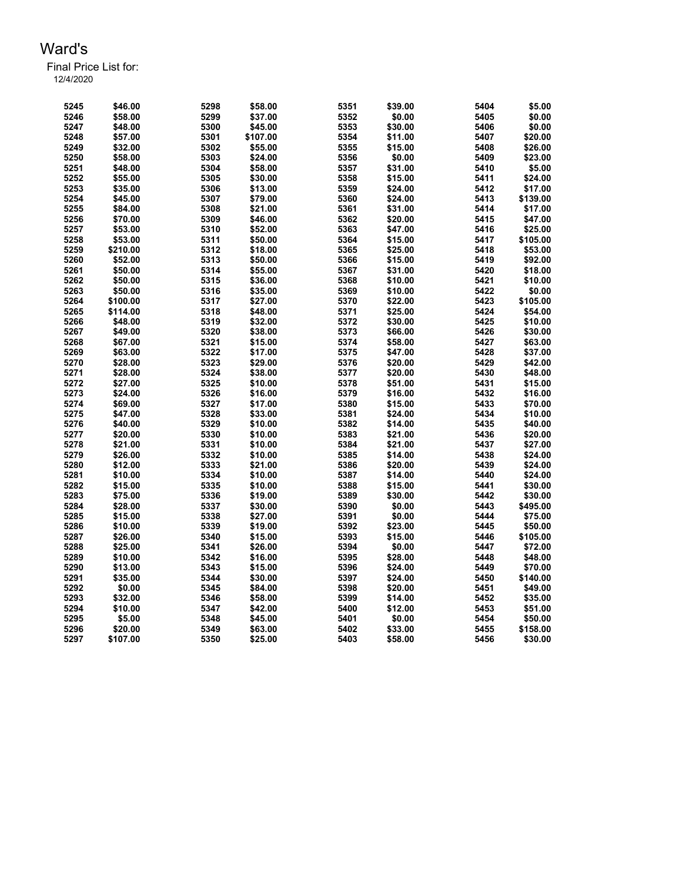| 5245 | \$46.00  | 5298 | \$58.00  | 5351 | \$39.00 | 5404 | \$5.00   |
|------|----------|------|----------|------|---------|------|----------|
| 5246 | \$58.00  | 5299 | \$37.00  | 5352 | \$0.00  | 5405 | \$0.00   |
| 5247 | \$48.00  | 5300 | \$45.00  | 5353 | \$30.00 | 5406 | \$0.00   |
| 5248 | \$57.00  | 5301 | \$107.00 | 5354 | \$11.00 | 5407 | \$20.00  |
| 5249 | \$32.00  | 5302 | \$55.00  | 5355 | \$15.00 | 5408 | \$26.00  |
| 5250 | \$58.00  | 5303 | \$24.00  | 5356 | \$0.00  | 5409 | \$23.00  |
| 5251 | \$48.00  | 5304 | \$58.00  | 5357 | \$31.00 | 5410 | \$5.00   |
| 5252 | \$55.00  | 5305 | \$30.00  | 5358 | \$15.00 | 5411 | \$24.00  |
| 5253 | \$35.00  | 5306 | \$13.00  | 5359 | \$24.00 | 5412 | \$17.00  |
| 5254 | \$45.00  | 5307 | \$79.00  | 5360 | \$24.00 | 5413 | \$139.00 |
| 5255 | \$84.00  | 5308 | \$21.00  | 5361 | \$31.00 | 5414 | \$17.00  |
| 5256 | \$70.00  | 5309 | \$46.00  | 5362 | \$20.00 | 5415 | \$47.00  |
| 5257 | \$53.00  | 5310 | \$52.00  | 5363 | \$47.00 | 5416 | \$25.00  |
| 5258 | \$53.00  | 5311 | \$50.00  | 5364 | \$15.00 | 5417 | \$105.00 |
| 5259 | \$210.00 | 5312 | \$18.00  | 5365 | \$25.00 | 5418 | \$53.00  |
| 5260 | \$52.00  | 5313 | \$50.00  | 5366 | \$15.00 | 5419 | \$92.00  |
| 5261 | \$50.00  | 5314 | \$55.00  | 5367 | \$31.00 | 5420 | \$18.00  |
| 5262 | \$50.00  | 5315 | \$36.00  | 5368 | \$10.00 | 5421 | \$10.00  |
| 5263 | \$50.00  | 5316 | \$35.00  | 5369 | \$10.00 | 5422 | \$0.00   |
| 5264 | \$100.00 | 5317 | \$27.00  | 5370 | \$22.00 | 5423 | \$105.00 |
| 5265 | \$114.00 | 5318 | \$48.00  | 5371 | \$25.00 | 5424 | \$54.00  |
| 5266 | \$48.00  | 5319 | \$32.00  | 5372 | \$30.00 | 5425 | \$10.00  |
| 5267 | \$49.00  | 5320 | \$38.00  | 5373 | \$66.00 | 5426 | \$30.00  |
| 5268 | \$67.00  | 5321 | \$15.00  | 5374 | \$58.00 | 5427 | \$63.00  |
| 5269 | \$63.00  | 5322 | \$17.00  | 5375 | \$47.00 | 5428 | \$37.00  |
| 5270 | \$28.00  | 5323 | \$29.00  | 5376 | \$20.00 | 5429 | \$42.00  |
| 5271 | \$28.00  | 5324 | \$38.00  | 5377 | \$20.00 | 5430 | \$48.00  |
| 5272 | \$27.00  | 5325 |          | 5378 | \$51.00 | 5431 | \$15.00  |
| 5273 |          |      | \$10.00  |      |         |      | \$16.00  |
|      | \$24.00  | 5326 | \$16.00  | 5379 | \$16.00 | 5432 |          |
| 5274 | \$69.00  | 5327 | \$17.00  | 5380 | \$15.00 | 5433 | \$70.00  |
| 5275 | \$47.00  | 5328 | \$33.00  | 5381 | \$24.00 | 5434 | \$10.00  |
| 5276 | \$40.00  | 5329 | \$10.00  | 5382 | \$14.00 | 5435 | \$40.00  |
| 5277 | \$20.00  | 5330 | \$10.00  | 5383 | \$21.00 | 5436 | \$20.00  |
| 5278 | \$21.00  | 5331 | \$10.00  | 5384 | \$21.00 | 5437 | \$27.00  |
| 5279 | \$26.00  | 5332 | \$10.00  | 5385 | \$14.00 | 5438 | \$24.00  |
| 5280 | \$12.00  | 5333 | \$21.00  | 5386 | \$20.00 | 5439 | \$24.00  |
| 5281 | \$10.00  | 5334 | \$10.00  | 5387 | \$14.00 | 5440 | \$24.00  |
| 5282 | \$15.00  | 5335 | \$10.00  | 5388 | \$15.00 | 5441 | \$30.00  |
| 5283 | \$75.00  | 5336 | \$19.00  | 5389 | \$30.00 | 5442 | \$30.00  |
| 5284 | \$28.00  | 5337 | \$30.00  | 5390 | \$0.00  | 5443 | \$495.00 |
| 5285 | \$15.00  | 5338 | \$27.00  | 5391 | \$0.00  | 5444 | \$75.00  |
| 5286 | \$10.00  | 5339 | \$19.00  | 5392 | \$23.00 | 5445 | \$50.00  |
| 5287 | \$26.00  | 5340 | \$15.00  | 5393 | \$15.00 | 5446 | \$105.00 |
| 5288 | \$25.00  | 5341 | \$26.00  | 5394 | \$0.00  | 5447 | \$72.00  |
| 5289 | \$10.00  | 5342 | \$16.00  | 5395 | \$28.00 | 5448 | \$48.00  |
| 5290 | \$13.00  | 5343 | \$15.00  | 5396 | \$24.00 | 5449 | \$70.00  |
| 5291 | \$35.00  | 5344 | \$30.00  | 5397 | \$24.00 | 5450 | \$140.00 |
| 5292 | \$0.00   | 5345 | \$84.00  | 5398 | \$20.00 | 5451 | \$49.00  |
| 5293 | \$32.00  | 5346 | \$58.00  | 5399 | \$14.00 | 5452 | \$35.00  |
| 5294 | \$10.00  | 5347 | \$42.00  | 5400 | \$12.00 | 5453 | \$51.00  |
| 5295 | \$5.00   | 5348 | \$45.00  | 5401 | \$0.00  | 5454 | \$50.00  |
| 5296 | \$20.00  | 5349 | \$63.00  | 5402 | \$33.00 | 5455 | \$158.00 |
| 5297 | \$107.00 | 5350 | \$25.00  | 5403 | \$58.00 | 5456 | \$30.00  |
|      |          |      |          |      |         |      |          |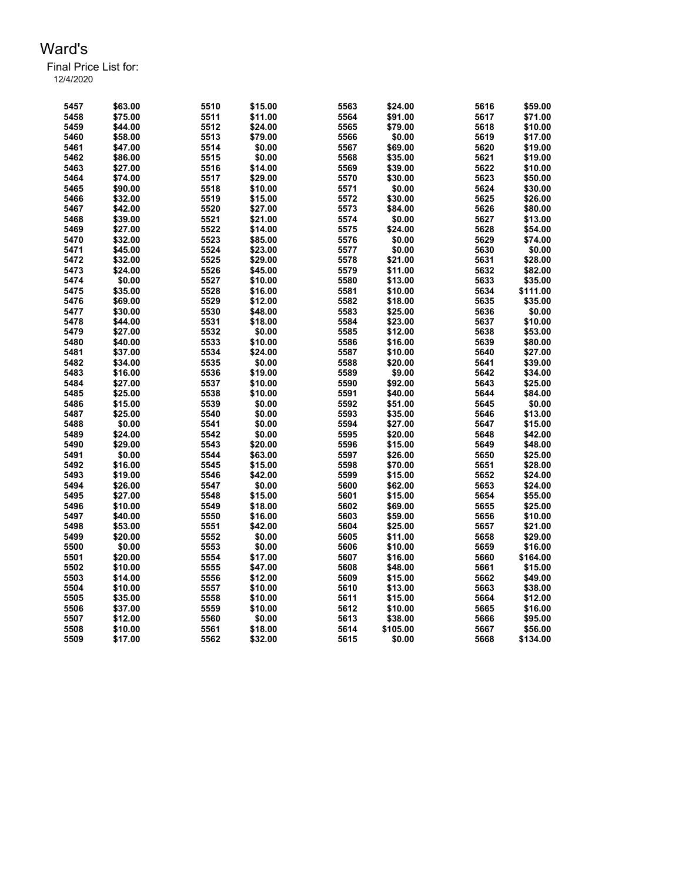| 5457 | \$63.00 | 5510 | \$15.00 | 5563 | \$24.00  | 5616 | \$59.00  |
|------|---------|------|---------|------|----------|------|----------|
| 5458 | \$75.00 | 5511 | \$11.00 | 5564 | \$91.00  | 5617 | \$71.00  |
| 5459 | \$44.00 | 5512 | \$24.00 | 5565 | \$79.00  | 5618 | \$10.00  |
| 5460 | \$58.00 | 5513 | \$79.00 | 5566 | \$0.00   | 5619 | \$17.00  |
| 5461 | \$47.00 | 5514 | \$0.00  | 5567 | \$69.00  | 5620 | \$19.00  |
| 5462 | \$86.00 | 5515 | \$0.00  | 5568 | \$35.00  | 5621 | \$19.00  |
| 5463 | \$27.00 | 5516 | \$14.00 | 5569 | \$39.00  | 5622 | \$10.00  |
| 5464 | \$74.00 | 5517 | \$29.00 | 5570 | \$30.00  | 5623 | \$50.00  |
| 5465 | \$90.00 | 5518 | \$10.00 | 5571 | \$0.00   | 5624 | \$30.00  |
| 5466 | \$32.00 | 5519 | \$15.00 | 5572 | \$30.00  | 5625 | \$26.00  |
| 5467 | \$42.00 | 5520 | \$27.00 | 5573 | \$84.00  | 5626 | \$80.00  |
| 5468 | \$39.00 | 5521 | \$21.00 | 5574 | \$0.00   | 5627 | \$13.00  |
| 5469 | \$27.00 | 5522 | \$14.00 | 5575 | \$24.00  | 5628 | \$54.00  |
| 5470 | \$32.00 | 5523 | \$85.00 | 5576 | \$0.00   | 5629 | \$74.00  |
| 5471 | \$45.00 | 5524 | \$23.00 | 5577 | \$0.00   | 5630 | \$0.00   |
| 5472 | \$32.00 | 5525 | \$29.00 | 5578 | \$21.00  | 5631 | \$28.00  |
| 5473 | \$24.00 | 5526 | \$45.00 | 5579 | \$11.00  | 5632 | \$82.00  |
| 5474 | \$0.00  | 5527 | \$10.00 | 5580 | \$13.00  | 5633 | \$35.00  |
| 5475 | \$35.00 | 5528 | \$16.00 | 5581 | \$10.00  | 5634 | \$111.00 |
| 5476 | \$69.00 | 5529 | \$12.00 | 5582 | \$18.00  | 5635 | \$35.00  |
| 5477 | \$30.00 | 5530 | \$48.00 | 5583 | \$25.00  | 5636 | \$0.00   |
| 5478 | \$44.00 | 5531 | \$18.00 | 5584 | \$23.00  | 5637 | \$10.00  |
| 5479 | \$27.00 | 5532 | \$0.00  | 5585 | \$12.00  | 5638 | \$53.00  |
| 5480 | \$40.00 | 5533 | \$10.00 | 5586 | \$16.00  | 5639 | \$80.00  |
| 5481 | \$37.00 | 5534 | \$24.00 | 5587 | \$10.00  | 5640 | \$27.00  |
| 5482 | \$34.00 | 5535 | \$0.00  | 5588 | \$20.00  | 5641 | \$39.00  |
| 5483 | \$16.00 | 5536 | \$19.00 | 5589 | \$9.00   | 5642 | \$34.00  |
| 5484 | \$27.00 | 5537 | \$10.00 | 5590 | \$92.00  | 5643 | \$25.00  |
| 5485 | \$25.00 | 5538 | \$10.00 | 5591 | \$40.00  | 5644 | \$84.00  |
| 5486 | \$15.00 | 5539 | \$0.00  | 5592 | \$51.00  | 5645 | \$0.00   |
| 5487 | \$25.00 | 5540 | \$0.00  | 5593 | \$35.00  | 5646 | \$13.00  |
| 5488 | \$0.00  | 5541 | \$0.00  | 5594 | \$27.00  | 5647 | \$15.00  |
| 5489 | \$24.00 | 5542 | \$0.00  | 5595 | \$20.00  | 5648 | \$42.00  |
| 5490 | \$29.00 | 5543 | \$20.00 | 5596 | \$15.00  | 5649 | \$48.00  |
| 5491 | \$0.00  | 5544 | \$63.00 | 5597 | \$26.00  | 5650 | \$25.00  |
| 5492 | \$16.00 | 5545 | \$15.00 | 5598 | \$70.00  | 5651 | \$28.00  |
| 5493 | \$19.00 | 5546 | \$42.00 | 5599 | \$15.00  | 5652 | \$24.00  |
| 5494 | \$26.00 | 5547 | \$0.00  | 5600 | \$62.00  | 5653 | \$24.00  |
| 5495 | \$27.00 | 5548 | \$15.00 | 5601 | \$15.00  | 5654 | \$55.00  |
| 5496 | \$10.00 | 5549 | \$18.00 | 5602 | \$69.00  | 5655 | \$25.00  |
| 5497 | \$40.00 | 5550 | \$16.00 | 5603 | \$59.00  | 5656 | \$10.00  |
| 5498 | \$53.00 | 5551 | \$42.00 | 5604 | \$25.00  | 5657 | \$21.00  |
| 5499 | \$20.00 | 5552 | \$0.00  | 5605 | \$11.00  | 5658 | \$29.00  |
| 5500 | \$0.00  | 5553 | \$0.00  | 5606 | \$10.00  | 5659 | \$16.00  |
| 5501 | \$20.00 | 5554 | \$17.00 | 5607 | \$16.00  | 5660 | \$164.00 |
| 5502 | \$10.00 | 5555 | \$47.00 | 5608 | \$48.00  | 5661 | \$15.00  |
| 5503 | \$14.00 | 5556 | \$12.00 | 5609 | \$15.00  | 5662 | \$49.00  |
| 5504 | \$10.00 | 5557 | \$10.00 | 5610 | \$13.00  | 5663 | \$38.00  |
| 5505 | \$35.00 | 5558 | \$10.00 | 5611 | \$15.00  | 5664 | \$12.00  |
| 5506 | \$37.00 | 5559 | \$10.00 | 5612 | \$10.00  | 5665 | \$16.00  |
| 5507 | \$12.00 | 5560 | \$0.00  | 5613 | \$38.00  | 5666 | \$95.00  |
| 5508 | \$10.00 | 5561 | \$18.00 | 5614 | \$105.00 | 5667 | \$56.00  |
| 5509 | \$17.00 | 5562 | \$32.00 | 5615 | \$0.00   | 5668 | \$134.00 |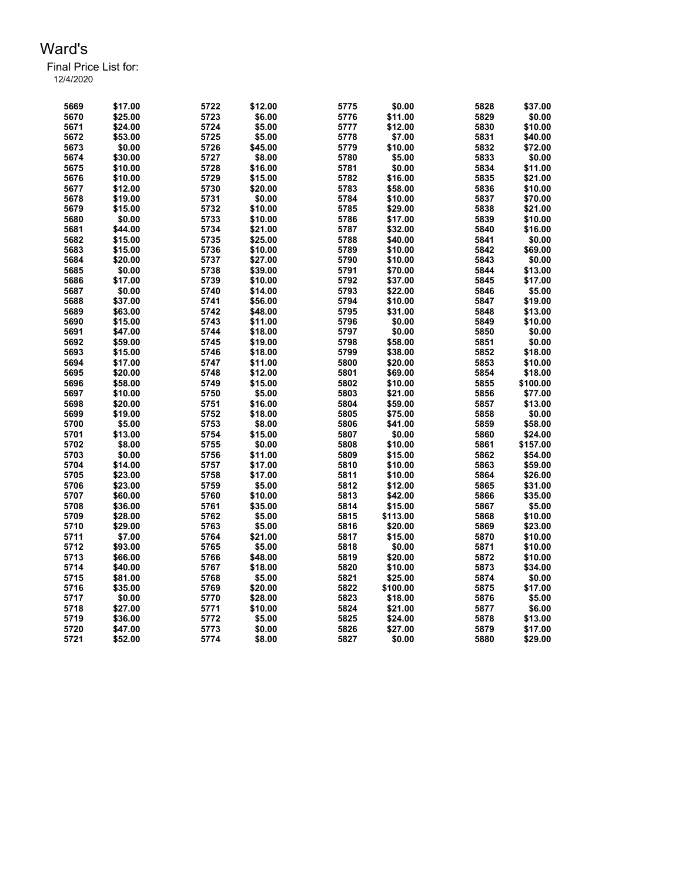| 5669 | \$17.00 | 5722 | \$12.00 | 5775 | \$0.00   | 5828 | \$37.00  |
|------|---------|------|---------|------|----------|------|----------|
| 5670 | \$25.00 | 5723 | \$6.00  | 5776 | \$11.00  | 5829 | \$0.00   |
| 5671 | \$24.00 | 5724 | \$5.00  | 5777 | \$12.00  | 5830 | \$10.00  |
| 5672 | \$53.00 | 5725 | \$5.00  | 5778 | \$7.00   | 5831 | \$40.00  |
| 5673 | \$0.00  | 5726 | \$45.00 | 5779 | \$10.00  | 5832 | \$72.00  |
| 5674 | \$30.00 | 5727 | \$8.00  | 5780 | \$5.00   | 5833 | \$0.00   |
| 5675 | \$10.00 | 5728 | \$16.00 | 5781 | \$0.00   | 5834 | \$11.00  |
| 5676 | \$10.00 | 5729 | \$15.00 | 5782 | \$16.00  | 5835 | \$21.00  |
| 5677 | \$12.00 | 5730 | \$20.00 | 5783 | \$58.00  | 5836 | \$10.00  |
| 5678 | \$19.00 | 5731 | \$0.00  | 5784 | \$10.00  | 5837 | \$70.00  |
| 5679 | \$15.00 | 5732 | \$10.00 | 5785 | \$29.00  | 5838 | \$21.00  |
| 5680 | \$0.00  | 5733 | \$10.00 | 5786 | \$17.00  | 5839 | \$10.00  |
| 5681 | \$44.00 | 5734 | \$21.00 | 5787 | \$32.00  | 5840 | \$16.00  |
| 5682 | \$15.00 | 5735 | \$25.00 | 5788 | \$40.00  | 5841 | \$0.00   |
| 5683 | \$15.00 | 5736 | \$10.00 | 5789 | \$10.00  | 5842 | \$69.00  |
| 5684 | \$20.00 | 5737 | \$27.00 | 5790 | \$10.00  | 5843 | \$0.00   |
| 5685 | \$0.00  | 5738 | \$39.00 | 5791 | \$70.00  | 5844 | \$13.00  |
| 5686 | \$17.00 | 5739 | \$10.00 | 5792 | \$37.00  | 5845 | \$17.00  |
| 5687 | \$0.00  | 5740 | \$14.00 | 5793 | \$22.00  | 5846 | \$5.00   |
| 5688 | \$37.00 | 5741 | \$56.00 | 5794 | \$10.00  | 5847 | \$19.00  |
| 5689 | \$63.00 | 5742 | \$48.00 | 5795 | \$31.00  | 5848 | \$13.00  |
| 5690 | \$15.00 | 5743 | \$11.00 | 5796 | \$0.00   | 5849 | \$10.00  |
| 5691 | \$47.00 | 5744 | \$18.00 | 5797 | \$0.00   | 5850 | \$0.00   |
| 5692 | \$59.00 | 5745 | \$19.00 | 5798 | \$58.00  | 5851 | \$0.00   |
| 5693 | \$15.00 | 5746 | \$18.00 | 5799 | \$38.00  | 5852 | \$18.00  |
| 5694 | \$17.00 | 5747 | \$11.00 | 5800 | \$20.00  | 5853 | \$10.00  |
| 5695 | \$20.00 | 5748 | \$12.00 | 5801 | \$69.00  | 5854 | \$18.00  |
| 5696 | \$58.00 | 5749 | \$15.00 | 5802 | \$10.00  | 5855 | \$100.00 |
| 5697 | \$10.00 | 5750 | \$5.00  | 5803 | \$21.00  | 5856 | \$77.00  |
| 5698 | \$20.00 | 5751 | \$16.00 | 5804 | \$59.00  | 5857 | \$13.00  |
| 5699 | \$19.00 | 5752 | \$18.00 | 5805 | \$75.00  | 5858 | \$0.00   |
| 5700 | \$5.00  | 5753 | \$8.00  | 5806 | \$41.00  | 5859 | \$58.00  |
| 5701 | \$13.00 | 5754 | \$15.00 | 5807 | \$0.00   | 5860 | \$24.00  |
| 5702 | \$8.00  | 5755 | \$0.00  | 5808 | \$10.00  | 5861 | \$157.00 |
| 5703 | \$0.00  | 5756 | \$11.00 | 5809 | \$15.00  | 5862 | \$54.00  |
| 5704 | \$14.00 | 5757 | \$17.00 | 5810 | \$10.00  | 5863 | \$59.00  |
| 5705 | \$23.00 | 5758 | \$17.00 | 5811 | \$10.00  | 5864 | \$26.00  |
| 5706 | \$23.00 | 5759 | \$5.00  | 5812 | \$12.00  | 5865 | \$31.00  |
| 5707 | \$60.00 | 5760 | \$10.00 | 5813 | \$42.00  | 5866 | \$35.00  |
| 5708 | \$36.00 | 5761 | \$35.00 | 5814 | \$15.00  | 5867 | \$5.00   |
| 5709 | \$28.00 | 5762 | \$5.00  | 5815 | \$113.00 | 5868 | \$10.00  |
| 5710 | \$29.00 | 5763 | \$5.00  | 5816 | \$20.00  | 5869 | \$23.00  |
| 5711 | \$7.00  | 5764 | \$21.00 | 5817 | \$15.00  | 5870 | \$10.00  |
| 5712 | \$93.00 | 5765 | \$5.00  | 5818 | \$0.00   | 5871 | \$10.00  |
| 5713 | \$66.00 | 5766 | \$48.00 | 5819 | \$20.00  | 5872 | \$10.00  |
| 5714 | \$40.00 | 5767 | \$18.00 | 5820 | \$10.00  | 5873 | \$34.00  |
| 5715 | \$81.00 | 5768 | \$5.00  | 5821 | \$25.00  | 5874 | \$0.00   |
| 5716 | \$35.00 | 5769 | \$20.00 | 5822 | \$100.00 | 5875 | \$17.00  |
| 5717 | \$0.00  | 5770 | \$28.00 | 5823 | \$18.00  | 5876 | \$5.00   |
| 5718 | \$27.00 | 5771 | \$10.00 | 5824 | \$21.00  | 5877 | \$6.00   |
| 5719 | \$36.00 | 5772 | \$5.00  | 5825 | \$24.00  | 5878 | \$13.00  |
| 5720 | \$47.00 | 5773 | \$0.00  | 5826 | \$27.00  | 5879 | \$17.00  |
| 5721 | \$52.00 | 5774 | \$8.00  | 5827 | \$0.00   | 5880 | \$29.00  |
|      |         |      |         |      |          |      |          |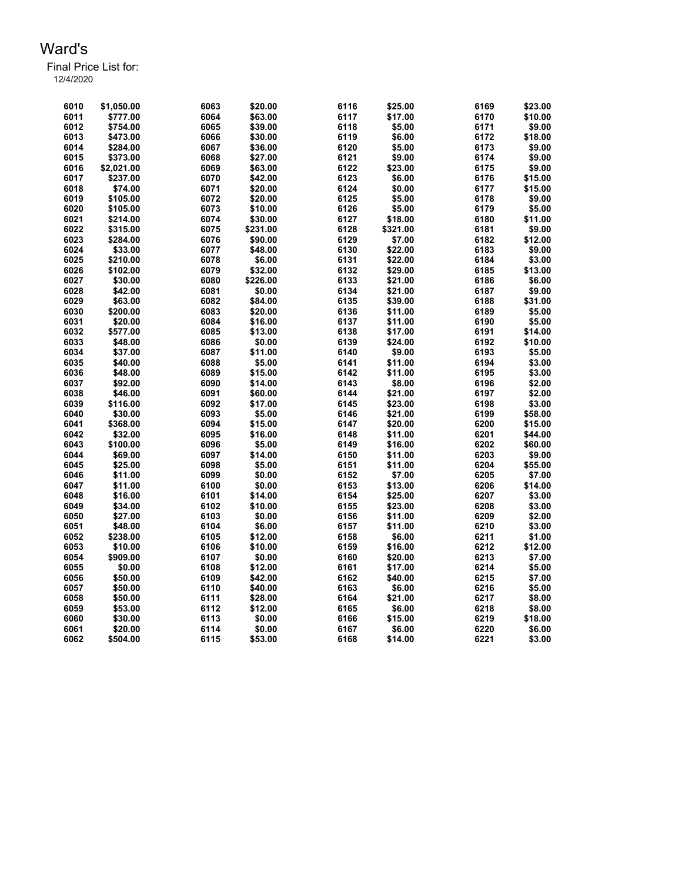| 6010 | \$1,050.00 | 6063 | \$20.00  | 6116 | \$25.00  | 6169 | \$23.00 |
|------|------------|------|----------|------|----------|------|---------|
| 6011 | \$777.00   | 6064 | \$63.00  | 6117 | \$17.00  | 6170 | \$10.00 |
| 6012 | \$754.00   | 6065 | \$39.00  | 6118 | \$5.00   | 6171 | \$9.00  |
| 6013 | \$473.00   | 6066 | \$30.00  | 6119 | \$6.00   | 6172 | \$18.00 |
| 6014 | \$284.00   | 6067 | \$36.00  | 6120 | \$5.00   | 6173 | \$9.00  |
| 6015 | \$373.00   | 6068 | \$27.00  | 6121 | \$9.00   | 6174 | \$9.00  |
| 6016 | \$2,021.00 | 6069 | \$63.00  | 6122 | \$23.00  | 6175 | \$9.00  |
| 6017 | \$237.00   | 6070 | \$42.00  | 6123 | \$6.00   | 6176 | \$15.00 |
| 6018 | \$74.00    | 6071 | \$20.00  | 6124 | \$0.00   | 6177 | \$15.00 |
| 6019 | \$105.00   | 6072 | \$20.00  | 6125 | \$5.00   | 6178 | \$9.00  |
| 6020 | \$105.00   | 6073 | \$10.00  | 6126 | \$5.00   | 6179 | \$5.00  |
| 6021 | \$214.00   | 6074 | \$30.00  | 6127 | \$18.00  | 6180 | \$11.00 |
| 6022 | \$315.00   | 6075 | \$231.00 | 6128 | \$321.00 | 6181 | \$9.00  |
| 6023 | \$284.00   | 6076 | \$90.00  | 6129 | \$7.00   | 6182 | \$12.00 |
| 6024 | \$33.00    | 6077 | \$48.00  | 6130 | \$22.00  | 6183 | \$9.00  |
| 6025 | \$210.00   | 6078 | \$6.00   | 6131 | \$22.00  | 6184 | \$3.00  |
| 6026 | \$102.00   | 6079 | \$32.00  | 6132 | \$29.00  | 6185 | \$13.00 |
| 6027 | \$30.00    | 6080 | \$226.00 | 6133 | \$21.00  | 6186 | \$6.00  |
| 6028 | \$42.00    | 6081 | \$0.00   | 6134 | \$21.00  | 6187 | \$9.00  |
| 6029 | \$63.00    | 6082 | \$84.00  | 6135 | \$39.00  | 6188 | \$31.00 |
| 6030 |            | 6083 |          | 6136 |          | 6189 | \$5.00  |
|      | \$200.00   |      | \$20.00  | 6137 | \$11.00  | 6190 | \$5.00  |
| 6031 | \$20.00    | 6084 | \$16.00  |      | \$11.00  |      |         |
| 6032 | \$577.00   | 6085 | \$13.00  | 6138 | \$17.00  | 6191 | \$14.00 |
| 6033 | \$48.00    | 6086 | \$0.00   | 6139 | \$24.00  | 6192 | \$10.00 |
| 6034 | \$37.00    | 6087 | \$11.00  | 6140 | \$9.00   | 6193 | \$5.00  |
| 6035 | \$40.00    | 6088 | \$5.00   | 6141 | \$11.00  | 6194 | \$3.00  |
| 6036 | \$48.00    | 6089 | \$15.00  | 6142 | \$11.00  | 6195 | \$3.00  |
| 6037 | \$92.00    | 6090 | \$14.00  | 6143 | \$8.00   | 6196 | \$2.00  |
| 6038 | \$46.00    | 6091 | \$60.00  | 6144 | \$21.00  | 6197 | \$2.00  |
| 6039 | \$116.00   | 6092 | \$17.00  | 6145 | \$23.00  | 6198 | \$3.00  |
| 6040 | \$30.00    | 6093 | \$5.00   | 6146 | \$21.00  | 6199 | \$58.00 |
| 6041 | \$368.00   | 6094 | \$15.00  | 6147 | \$20.00  | 6200 | \$15.00 |
| 6042 | \$32.00    | 6095 | \$16.00  | 6148 | \$11.00  | 6201 | \$44.00 |
| 6043 | \$100.00   | 6096 | \$5.00   | 6149 | \$16.00  | 6202 | \$60.00 |
| 6044 | \$69.00    | 6097 | \$14.00  | 6150 | \$11.00  | 6203 | \$9.00  |
| 6045 | \$25.00    | 6098 | \$5.00   | 6151 | \$11.00  | 6204 | \$55.00 |
| 6046 | \$11.00    | 6099 | \$0.00   | 6152 | \$7.00   | 6205 | \$7.00  |
| 6047 | \$11.00    | 6100 | \$0.00   | 6153 | \$13.00  | 6206 | \$14.00 |
| 6048 | \$16.00    | 6101 | \$14.00  | 6154 | \$25.00  | 6207 | \$3.00  |
| 6049 | \$34.00    | 6102 | \$10.00  | 6155 | \$23.00  | 6208 | \$3.00  |
| 6050 | \$27.00    | 6103 | \$0.00   | 6156 | \$11.00  | 6209 | \$2.00  |
| 6051 | \$48.00    | 6104 | \$6.00   | 6157 | \$11.00  | 6210 | \$3.00  |
| 6052 | \$238.00   | 6105 | \$12.00  | 6158 | \$6.00   | 6211 | \$1.00  |
| 6053 | \$10.00    | 6106 | \$10.00  | 6159 | \$16.00  | 6212 | \$12.00 |
| 6054 | \$909.00   | 6107 | \$0.00   | 6160 | \$20.00  | 6213 | \$7.00  |
| 6055 | \$0.00     | 6108 | \$12.00  | 6161 | \$17.00  | 6214 | \$5.00  |
| 6056 | \$50.00    | 6109 | \$42.00  | 6162 | \$40.00  | 6215 | \$7.00  |
| 6057 | \$50.00    | 6110 | \$40.00  | 6163 | \$6.00   | 6216 | \$5.00  |
| 6058 | \$50.00    | 6111 | \$28.00  | 6164 | \$21.00  | 6217 | \$8.00  |
| 6059 | \$53.00    | 6112 | \$12.00  | 6165 | \$6.00   | 6218 | \$8.00  |
| 6060 | \$30.00    | 6113 | \$0.00   | 6166 | \$15.00  | 6219 | \$18.00 |
| 6061 | \$20.00    | 6114 | \$0.00   | 6167 | \$6.00   | 6220 | \$6.00  |
| 6062 | \$504.00   | 6115 | \$53.00  | 6168 | \$14.00  | 6221 | \$3.00  |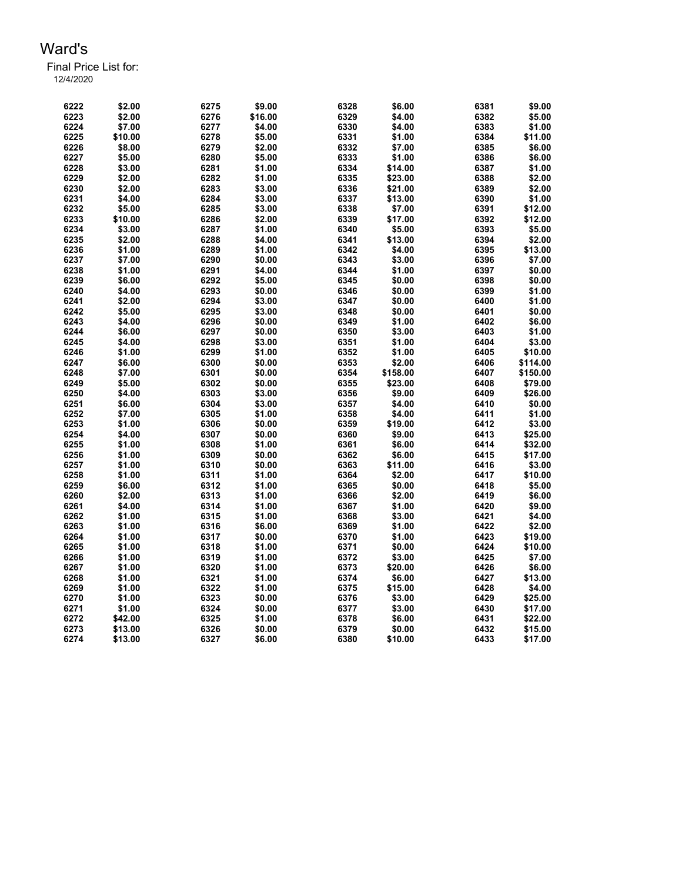Final Price List for:

12/4/2020

| 6222 | \$2.00  | 6275 | \$9.00  | 6328 | \$6.00   | 6381 | \$9.00   |
|------|---------|------|---------|------|----------|------|----------|
| 6223 | \$2.00  | 6276 | \$16.00 | 6329 | \$4.00   | 6382 | \$5.00   |
| 6224 | \$7.00  | 6277 | \$4.00  | 6330 | \$4.00   | 6383 | \$1.00   |
| 6225 | \$10.00 | 6278 | \$5.00  | 6331 | \$1.00   | 6384 | \$11.00  |
| 6226 | \$8.00  | 6279 | \$2.00  | 6332 | \$7.00   | 6385 | \$6.00   |
| 6227 | \$5.00  | 6280 | \$5.00  | 6333 | \$1.00   | 6386 | \$6.00   |
| 6228 | \$3.00  | 6281 | \$1.00  | 6334 | \$14.00  | 6387 | \$1.00   |
| 6229 | \$2.00  | 6282 | \$1.00  | 6335 | \$23.00  | 6388 | \$2.00   |
| 6230 | \$2.00  | 6283 | \$3.00  | 6336 | \$21.00  | 6389 | \$2.00   |
| 6231 | \$4.00  | 6284 | \$3.00  | 6337 | \$13.00  | 6390 | \$1.00   |
| 6232 | \$5.00  | 6285 | \$3.00  | 6338 | \$7.00   | 6391 | \$12.00  |
| 6233 | \$10.00 | 6286 | \$2.00  | 6339 | \$17.00  | 6392 | \$12.00  |
| 6234 | \$3.00  | 6287 | \$1.00  | 6340 | \$5.00   | 6393 | \$5.00   |
| 6235 | \$2.00  | 6288 | \$4.00  | 6341 | \$13.00  | 6394 | \$2.00   |
| 6236 | \$1.00  | 6289 | \$1.00  | 6342 | \$4.00   | 6395 | \$13.00  |
| 6237 | \$7.00  | 6290 | \$0.00  | 6343 | \$3.00   | 6396 | \$7.00   |
|      |         |      | \$4.00  | 6344 | \$1.00   | 6397 | \$0.00   |
| 6238 | \$1.00  | 6291 |         |      |          |      |          |
| 6239 | \$6.00  | 6292 | \$5.00  | 6345 | \$0.00   | 6398 | \$0.00   |
| 6240 | \$4.00  | 6293 | \$0.00  | 6346 | \$0.00   | 6399 | \$1.00   |
| 6241 | \$2.00  | 6294 | \$3.00  | 6347 | \$0.00   | 6400 | \$1.00   |
| 6242 | \$5.00  | 6295 | \$3.00  | 6348 | \$0.00   | 6401 | \$0.00   |
| 6243 | \$4.00  | 6296 | \$0.00  | 6349 | \$1.00   | 6402 | \$6.00   |
| 6244 | \$6.00  | 6297 | \$0.00  | 6350 | \$3.00   | 6403 | \$1.00   |
| 6245 | \$4.00  | 6298 | \$3.00  | 6351 | \$1.00   | 6404 | \$3.00   |
| 6246 | \$1.00  | 6299 | \$1.00  | 6352 | \$1.00   | 6405 | \$10.00  |
| 6247 | \$6.00  | 6300 | \$0.00  | 6353 | \$2.00   | 6406 | \$114.00 |
| 6248 | \$7.00  | 6301 | \$0.00  | 6354 | \$158.00 | 6407 | \$150.00 |
| 6249 | \$5.00  | 6302 | \$0.00  | 6355 | \$23.00  | 6408 | \$79.00  |
| 6250 | \$4.00  | 6303 | \$3.00  | 6356 | \$9.00   | 6409 | \$26.00  |
| 6251 | \$6.00  | 6304 | \$3.00  | 6357 | \$4.00   | 6410 | \$0.00   |
| 6252 | \$7.00  | 6305 | \$1.00  | 6358 | \$4.00   | 6411 | \$1.00   |
| 6253 | \$1.00  | 6306 | \$0.00  | 6359 | \$19.00  | 6412 | \$3.00   |
| 6254 | \$4.00  | 6307 | \$0.00  | 6360 | \$9.00   | 6413 | \$25.00  |
| 6255 | \$1.00  | 6308 | \$1.00  | 6361 | \$6.00   | 6414 | \$32.00  |
| 6256 | \$1.00  | 6309 | \$0.00  | 6362 | \$6.00   | 6415 | \$17.00  |
| 6257 | \$1.00  | 6310 | \$0.00  | 6363 | \$11.00  | 6416 | \$3.00   |
| 6258 | \$1.00  | 6311 | \$1.00  | 6364 | \$2.00   | 6417 | \$10.00  |
| 6259 | \$6.00  | 6312 | \$1.00  | 6365 | \$0.00   | 6418 | \$5.00   |
| 6260 | \$2.00  | 6313 | \$1.00  | 6366 | \$2.00   | 6419 | \$6.00   |
| 6261 | \$4.00  | 6314 | \$1.00  | 6367 | \$1.00   | 6420 | \$9.00   |
| 6262 | \$1.00  | 6315 | \$1.00  | 6368 | \$3.00   | 6421 | \$4.00   |
| 6263 | \$1.00  | 6316 | \$6.00  | 6369 | \$1.00   | 6422 | \$2.00   |
| 6264 | \$1.00  | 6317 | \$0.00  | 6370 | \$1.00   | 6423 | \$19.00  |
| 6265 | \$1.00  | 6318 | \$1.00  | 6371 | \$0.00   | 6424 | \$10.00  |
| 6266 | \$1.00  | 6319 | \$1.00  | 6372 | \$3.00   | 6425 | \$7.00   |
| 6267 | \$1.00  | 6320 | \$1.00  | 6373 | \$20.00  | 6426 | \$6.00   |
| 6268 | \$1.00  | 6321 | \$1.00  | 6374 | \$6.00   | 6427 | \$13.00  |
| 6269 | \$1.00  | 6322 | \$1.00  | 6375 | \$15.00  | 6428 | \$4.00   |
| 6270 | \$1.00  | 6323 | \$0.00  | 6376 | \$3.00   | 6429 | \$25.00  |
| 6271 | \$1.00  | 6324 | \$0.00  | 6377 | \$3.00   | 6430 | \$17.00  |
|      |         | 6325 |         | 6378 | \$6.00   | 6431 |          |
| 6272 | \$42.00 |      | \$1.00  |      |          |      | \$22.00  |
| 6273 | \$13.00 | 6326 | \$0.00  | 6379 | \$0.00   | 6432 | \$15.00  |
| 6274 | \$13.00 | 6327 | \$6.00  | 6380 | \$10.00  | 6433 | \$17.00  |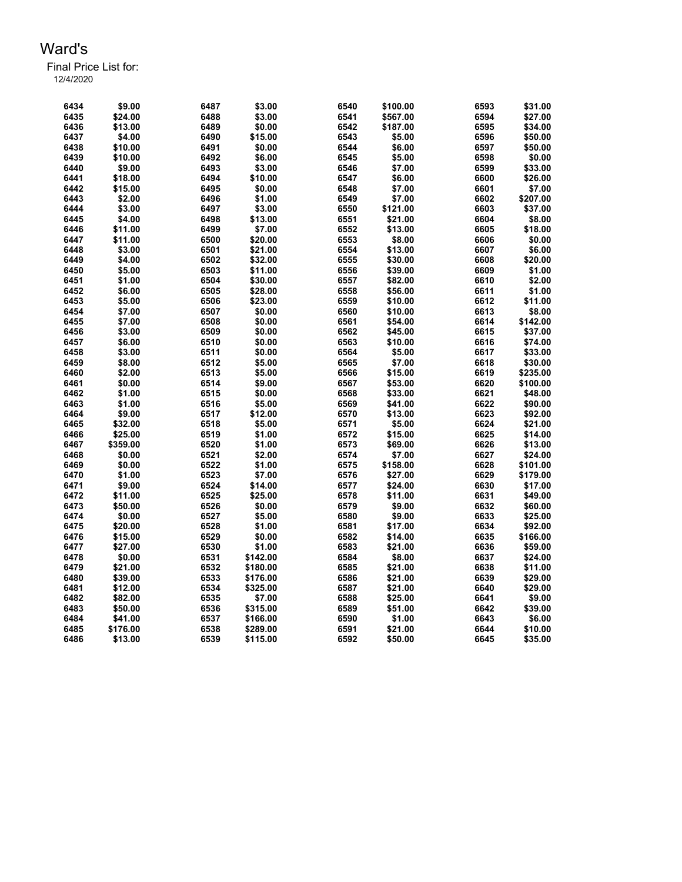| 6434 | \$9.00   | 6487 | \$3.00   | 6540 | \$100.00 | 6593 | \$31.00  |
|------|----------|------|----------|------|----------|------|----------|
| 6435 | \$24.00  | 6488 | \$3.00   | 6541 | \$567.00 | 6594 | \$27.00  |
| 6436 | \$13.00  | 6489 | \$0.00   | 6542 | \$187.00 | 6595 | \$34.00  |
| 6437 | \$4.00   | 6490 | \$15.00  | 6543 | \$5.00   | 6596 | \$50.00  |
| 6438 | \$10.00  | 6491 | \$0.00   | 6544 | \$6.00   | 6597 | \$50.00  |
| 6439 | \$10.00  | 6492 | \$6.00   | 6545 | \$5.00   | 6598 | \$0.00   |
| 6440 | \$9.00   | 6493 | \$3.00   | 6546 | \$7.00   | 6599 | \$33.00  |
| 6441 | \$18.00  | 6494 | \$10.00  | 6547 | \$6.00   | 6600 | \$26.00  |
| 6442 | \$15.00  | 6495 | \$0.00   | 6548 | \$7.00   | 6601 | \$7.00   |
| 6443 | \$2.00   | 6496 | \$1.00   | 6549 | \$7.00   | 6602 | \$207.00 |
| 6444 | \$3.00   | 6497 | \$3.00   | 6550 | \$121.00 | 6603 | \$37.00  |
| 6445 | \$4.00   | 6498 | \$13.00  | 6551 | \$21.00  | 6604 | \$8.00   |
| 6446 | \$11.00  | 6499 | \$7.00   | 6552 | \$13.00  | 6605 | \$18.00  |
| 6447 | \$11.00  | 6500 | \$20.00  | 6553 | \$8.00   | 6606 | \$0.00   |
| 6448 | \$3.00   | 6501 | \$21.00  | 6554 | \$13.00  | 6607 | \$6.00   |
| 6449 | \$4.00   | 6502 | \$32.00  | 6555 | \$30.00  | 6608 | \$20.00  |
| 6450 | \$5.00   | 6503 | \$11.00  | 6556 | \$39.00  | 6609 | \$1.00   |
| 6451 | \$1.00   | 6504 | \$30.00  | 6557 | \$82.00  | 6610 | \$2.00   |
| 6452 | \$6.00   | 6505 | \$28.00  | 6558 | \$56.00  | 6611 | \$1.00   |
| 6453 | \$5.00   | 6506 | \$23.00  | 6559 | \$10.00  | 6612 | \$11.00  |
| 6454 | \$7.00   | 6507 | \$0.00   | 6560 | \$10.00  | 6613 | \$8.00   |
| 6455 | \$7.00   | 6508 | \$0.00   | 6561 | \$54.00  | 6614 | \$142.00 |
| 6456 | \$3.00   | 6509 | \$0.00   | 6562 | \$45.00  | 6615 | \$37.00  |
| 6457 | \$6.00   | 6510 | \$0.00   | 6563 | \$10.00  | 6616 | \$74.00  |
| 6458 | \$3.00   | 6511 | \$0.00   | 6564 | \$5.00   | 6617 | \$33.00  |
| 6459 | \$8.00   | 6512 | \$5.00   | 6565 | \$7.00   | 6618 | \$30.00  |
| 6460 | \$2.00   | 6513 | \$5.00   | 6566 | \$15.00  | 6619 | \$235.00 |
| 6461 | \$0.00   | 6514 | \$9.00   | 6567 | \$53.00  | 6620 | \$100.00 |
| 6462 | \$1.00   | 6515 | \$0.00   | 6568 | \$33.00  | 6621 | \$48.00  |
| 6463 | \$1.00   | 6516 | \$5.00   | 6569 | \$41.00  | 6622 | \$90.00  |
| 6464 | \$9.00   | 6517 | \$12.00  | 6570 | \$13.00  | 6623 | \$92.00  |
| 6465 | \$32.00  | 6518 | \$5.00   | 6571 | \$5.00   | 6624 | \$21.00  |
| 6466 | \$25.00  | 6519 | \$1.00   | 6572 | \$15.00  | 6625 | \$14.00  |
| 6467 | \$359.00 | 6520 | \$1.00   | 6573 | \$69.00  | 6626 | \$13.00  |
| 6468 | \$0.00   | 6521 | \$2.00   | 6574 | \$7.00   | 6627 | \$24.00  |
| 6469 | \$0.00   | 6522 | \$1.00   | 6575 | \$158.00 | 6628 | \$101.00 |
| 6470 | \$1.00   | 6523 | \$7.00   | 6576 | \$27.00  | 6629 | \$179.00 |
| 6471 | \$9.00   | 6524 | \$14.00  | 6577 | \$24.00  | 6630 | \$17.00  |
| 6472 | \$11.00  | 6525 | \$25.00  | 6578 | \$11.00  | 6631 | \$49.00  |
| 6473 | \$50.00  | 6526 | \$0.00   | 6579 | \$9.00   | 6632 | \$60.00  |
| 6474 | \$0.00   | 6527 | \$5.00   | 6580 | \$9.00   | 6633 | \$25.00  |
| 6475 | \$20.00  | 6528 | \$1.00   | 6581 | \$17.00  | 6634 | \$92.00  |
| 6476 | \$15.00  | 6529 | \$0.00   | 6582 | \$14.00  | 6635 | \$166.00 |
| 6477 | \$27.00  | 6530 | \$1.00   | 6583 | \$21.00  | 6636 | \$59.00  |
| 6478 | \$0.00   | 6531 | \$142.00 | 6584 | \$8.00   | 6637 | \$24.00  |
| 6479 | \$21.00  | 6532 | \$180.00 | 6585 | \$21.00  | 6638 | \$11.00  |
| 6480 | \$39.00  | 6533 | \$176.00 | 6586 | \$21.00  | 6639 | \$29.00  |
| 6481 | \$12.00  | 6534 | \$325.00 | 6587 | \$21.00  | 6640 | \$29.00  |
| 6482 | \$82.00  | 6535 | \$7.00   | 6588 | \$25.00  | 6641 | \$9.00   |
| 6483 | \$50.00  | 6536 | \$315.00 | 6589 | \$51.00  | 6642 | \$39.00  |
| 6484 | \$41.00  | 6537 | \$166.00 | 6590 | \$1.00   | 6643 | \$6.00   |
| 6485 | \$176.00 | 6538 | \$289.00 | 6591 | \$21.00  | 6644 | \$10.00  |
| 6486 | \$13.00  | 6539 | \$115.00 | 6592 | \$50.00  | 6645 | \$35.00  |
|      |          |      |          |      |          |      |          |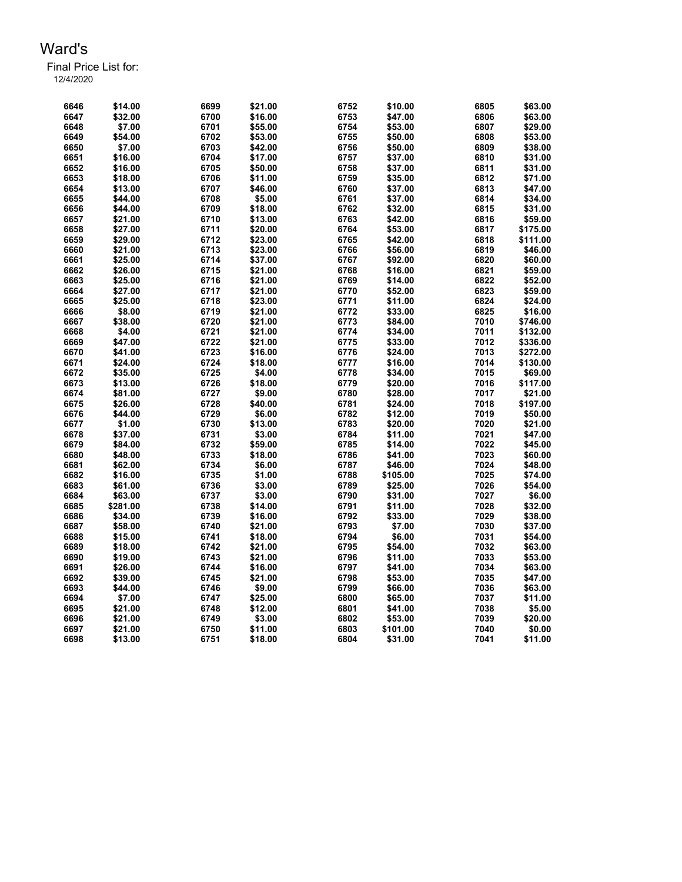| 6646 | \$14.00  | 6699 | \$21.00 | 6752 | \$10.00  | 6805 | \$63.00  |
|------|----------|------|---------|------|----------|------|----------|
| 6647 | \$32.00  | 6700 | \$16.00 | 6753 | \$47.00  | 6806 | \$63.00  |
| 6648 | \$7.00   | 6701 | \$55.00 | 6754 | \$53.00  | 6807 | \$29.00  |
| 6649 | \$54.00  | 6702 | \$53.00 | 6755 | \$50.00  | 6808 | \$53.00  |
| 6650 | \$7.00   | 6703 | \$42.00 | 6756 | \$50.00  | 6809 | \$38.00  |
| 6651 | \$16.00  | 6704 | \$17.00 | 6757 | \$37.00  | 6810 | \$31.00  |
| 6652 | \$16.00  | 6705 | \$50.00 | 6758 | \$37.00  | 6811 | \$31.00  |
| 6653 | \$18.00  | 6706 | \$11.00 | 6759 | \$35.00  | 6812 | \$71.00  |
| 6654 | \$13.00  | 6707 | \$46.00 | 6760 | \$37.00  | 6813 | \$47.00  |
| 6655 | \$44.00  | 6708 | \$5.00  | 6761 | \$37.00  | 6814 | \$34.00  |
| 6656 | \$44.00  | 6709 | \$18.00 | 6762 | \$32.00  | 6815 | \$31.00  |
| 6657 | \$21.00  | 6710 | \$13.00 | 6763 | \$42.00  | 6816 | \$59.00  |
| 6658 | \$27.00  | 6711 | \$20.00 | 6764 | \$53.00  | 6817 | \$175.00 |
| 6659 | \$29.00  | 6712 | \$23.00 | 6765 | \$42.00  | 6818 | \$111.00 |
| 6660 | \$21.00  | 6713 | \$23.00 | 6766 | \$56.00  | 6819 | \$46.00  |
| 6661 | \$25.00  | 6714 | \$37.00 | 6767 | \$92.00  | 6820 | \$60.00  |
| 6662 | \$26.00  | 6715 | \$21.00 | 6768 | \$16.00  | 6821 | \$59.00  |
| 6663 | \$25.00  | 6716 | \$21.00 | 6769 | \$14.00  | 6822 | \$52.00  |
| 6664 | \$27.00  | 6717 | \$21.00 | 6770 | \$52.00  | 6823 | \$59.00  |
| 6665 | \$25.00  | 6718 | \$23.00 | 6771 | \$11.00  | 6824 | \$24.00  |
| 6666 | \$8.00   | 6719 | \$21.00 | 6772 | \$33.00  | 6825 | \$16.00  |
| 6667 | \$38.00  | 6720 | \$21.00 | 6773 | \$84.00  | 7010 | \$746.00 |
| 6668 | \$4.00   | 6721 | \$21.00 | 6774 | \$34.00  | 7011 | \$132.00 |
| 6669 | \$47.00  | 6722 | \$21.00 | 6775 | \$33.00  | 7012 | \$336.00 |
| 6670 | \$41.00  | 6723 | \$16.00 | 6776 | \$24.00  | 7013 | \$272.00 |
| 6671 | \$24.00  | 6724 | \$18.00 | 6777 | \$16.00  | 7014 | \$130.00 |
| 6672 | \$35.00  | 6725 | \$4.00  | 6778 | \$34.00  | 7015 | \$69.00  |
| 6673 | \$13.00  | 6726 | \$18.00 | 6779 | \$20.00  | 7016 | \$117.00 |
| 6674 | \$81.00  | 6727 | \$9.00  | 6780 | \$28.00  | 7017 | \$21.00  |
| 6675 | \$26.00  | 6728 | \$40.00 | 6781 | \$24.00  | 7018 | \$197.00 |
| 6676 | \$44.00  | 6729 | \$6.00  | 6782 | \$12.00  | 7019 | \$50.00  |
| 6677 | \$1.00   | 6730 | \$13.00 | 6783 | \$20.00  | 7020 | \$21.00  |
| 6678 | \$37.00  | 6731 | \$3.00  | 6784 | \$11.00  | 7021 | \$47.00  |
| 6679 | \$84.00  | 6732 | \$59.00 | 6785 | \$14.00  | 7022 | \$45.00  |
| 6680 | \$48.00  | 6733 | \$18.00 | 6786 | \$41.00  | 7023 | \$60.00  |
| 6681 | \$62.00  | 6734 | \$6.00  | 6787 | \$46.00  | 7024 | \$48.00  |
| 6682 | \$16.00  | 6735 | \$1.00  | 6788 | \$105.00 | 7025 | \$74.00  |
| 6683 | \$61.00  | 6736 | \$3.00  | 6789 | \$25.00  | 7026 | \$54.00  |
| 6684 | \$63.00  | 6737 | \$3.00  | 6790 | \$31.00  | 7027 | \$6.00   |
| 6685 | \$281.00 | 6738 | \$14.00 | 6791 | \$11.00  | 7028 | \$32.00  |
| 6686 | \$34.00  | 6739 | \$16.00 | 6792 | \$33.00  | 7029 | \$38.00  |
| 6687 | \$58.00  | 6740 | \$21.00 | 6793 | \$7.00   | 7030 | \$37.00  |
| 6688 | \$15.00  | 6741 | \$18.00 | 6794 | \$6.00   | 7031 | \$54.00  |
| 6689 | \$18.00  | 6742 | \$21.00 | 6795 | \$54.00  | 7032 | \$63.00  |
| 6690 | \$19.00  | 6743 | \$21.00 | 6796 | \$11.00  | 7033 | \$53.00  |
| 6691 | \$26.00  | 6744 | \$16.00 | 6797 | \$41.00  | 7034 | \$63.00  |
| 6692 | \$39.00  | 6745 | \$21.00 | 6798 | \$53.00  | 7035 | \$47.00  |
| 6693 | \$44.00  | 6746 | \$9.00  | 6799 | \$66.00  | 7036 | \$63.00  |
| 6694 | \$7.00   | 6747 | \$25.00 | 6800 | \$65.00  | 7037 | \$11.00  |
| 6695 | \$21.00  | 6748 | \$12.00 | 6801 | \$41.00  | 7038 | \$5.00   |
| 6696 | \$21.00  | 6749 | \$3.00  | 6802 | \$53.00  | 7039 | \$20.00  |
| 6697 | \$21.00  | 6750 | \$11.00 | 6803 | \$101.00 | 7040 | \$0.00   |
| 6698 | \$13.00  | 6751 | \$18.00 | 6804 | \$31.00  | 7041 | \$11.00  |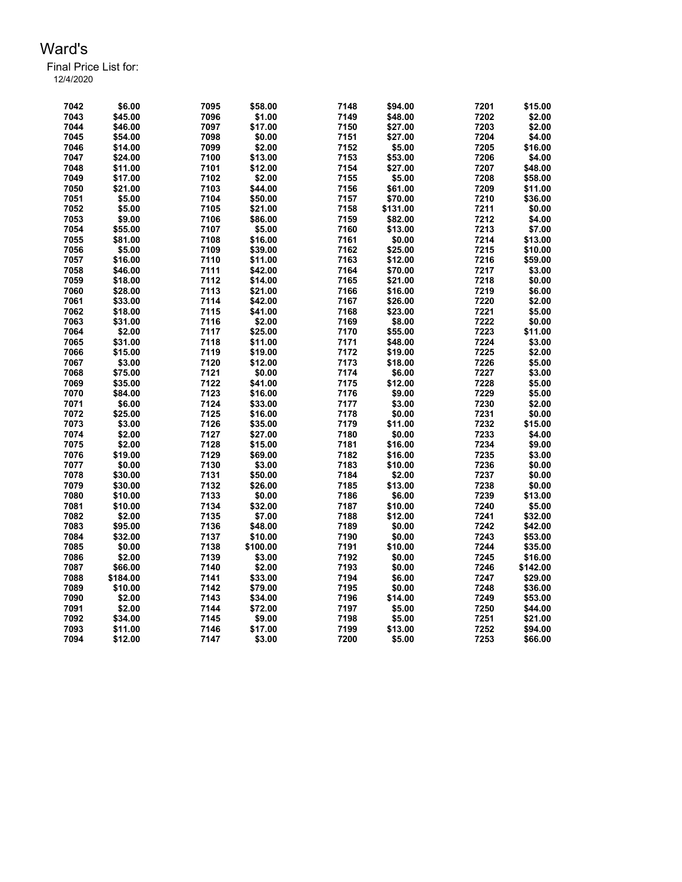| 7042 | \$6.00   | 7095 | \$58.00  | 7148 | \$94.00  | 7201 | \$15.00  |
|------|----------|------|----------|------|----------|------|----------|
| 7043 | \$45.00  | 7096 | \$1.00   | 7149 | \$48.00  | 7202 | \$2.00   |
| 7044 | \$46.00  | 7097 | \$17.00  | 7150 | \$27.00  | 7203 | \$2.00   |
| 7045 | \$54.00  | 7098 | \$0.00   | 7151 | \$27.00  | 7204 | \$4.00   |
| 7046 | \$14.00  | 7099 | \$2.00   | 7152 | \$5.00   | 7205 | \$16.00  |
| 7047 | \$24.00  | 7100 | \$13.00  | 7153 | \$53.00  | 7206 | \$4.00   |
| 7048 | \$11.00  | 7101 | \$12.00  | 7154 | \$27.00  | 7207 | \$48.00  |
| 7049 | \$17.00  | 7102 | \$2.00   | 7155 | \$5.00   | 7208 | \$58.00  |
| 7050 | \$21.00  | 7103 | \$44.00  | 7156 | \$61.00  | 7209 | \$11.00  |
| 7051 | \$5.00   | 7104 | \$50.00  | 7157 | \$70.00  | 7210 | \$36.00  |
| 7052 | \$5.00   | 7105 | \$21.00  | 7158 | \$131.00 | 7211 | \$0.00   |
| 7053 | \$9.00   | 7106 | \$86.00  | 7159 | \$82.00  | 7212 | \$4.00   |
| 7054 | \$55.00  | 7107 | \$5.00   | 7160 | \$13.00  | 7213 | \$7.00   |
| 7055 | \$81.00  | 7108 | \$16.00  | 7161 | \$0.00   | 7214 | \$13.00  |
| 7056 | \$5.00   | 7109 | \$39.00  | 7162 | \$25.00  | 7215 | \$10.00  |
| 7057 | \$16.00  | 7110 | \$11.00  | 7163 | \$12.00  | 7216 | \$59.00  |
| 7058 | \$46.00  | 7111 | \$42.00  | 7164 | \$70.00  | 7217 | \$3.00   |
| 7059 | \$18.00  | 7112 | \$14.00  | 7165 | \$21.00  | 7218 | \$0.00   |
| 7060 | \$28.00  | 7113 | \$21.00  | 7166 | \$16.00  | 7219 | \$6.00   |
| 7061 | \$33.00  | 7114 | \$42.00  | 7167 | \$26.00  | 7220 | \$2.00   |
| 7062 | \$18.00  | 7115 | \$41.00  | 7168 | \$23.00  | 7221 | \$5.00   |
| 7063 | \$31.00  | 7116 | \$2.00   | 7169 | \$8.00   | 7222 | \$0.00   |
| 7064 | \$2.00   | 7117 | \$25.00  | 7170 | \$55.00  | 7223 | \$11.00  |
| 7065 | \$31.00  | 7118 | \$11.00  | 7171 | \$48.00  | 7224 | \$3.00   |
| 7066 | \$15.00  | 7119 | \$19.00  | 7172 | \$19.00  | 7225 | \$2.00   |
| 7067 | \$3.00   | 7120 | \$12.00  | 7173 | \$18.00  | 7226 | \$5.00   |
| 7068 | \$75.00  | 7121 | \$0.00   | 7174 | \$6.00   | 7227 | \$3.00   |
| 7069 | \$35.00  | 7122 | \$41.00  | 7175 | \$12.00  | 7228 | \$5.00   |
| 7070 | \$84.00  | 7123 | \$16.00  | 7176 | \$9.00   | 7229 | \$5.00   |
| 7071 | \$6.00   | 7124 | \$33.00  | 7177 | \$3.00   | 7230 | \$2.00   |
| 7072 | \$25.00  | 7125 | \$16.00  | 7178 | \$0.00   | 7231 | \$0.00   |
| 7073 | \$3.00   | 7126 | \$35.00  | 7179 | \$11.00  | 7232 | \$15.00  |
| 7074 | \$2.00   | 7127 | \$27.00  | 7180 | \$0.00   | 7233 | \$4.00   |
| 7075 | \$2.00   | 7128 | \$15.00  | 7181 | \$16.00  | 7234 | \$9.00   |
| 7076 | \$19.00  | 7129 | \$69.00  | 7182 | \$16.00  | 7235 | \$3.00   |
| 7077 | \$0.00   | 7130 | \$3.00   | 7183 | \$10.00  | 7236 | \$0.00   |
| 7078 | \$30.00  | 7131 | \$50.00  | 7184 | \$2.00   | 7237 | \$0.00   |
| 7079 | \$30.00  | 7132 | \$26.00  | 7185 | \$13.00  | 7238 | \$0.00   |
| 7080 | \$10.00  | 7133 | \$0.00   | 7186 | \$6.00   | 7239 | \$13.00  |
| 7081 | \$10.00  | 7134 | \$32.00  | 7187 | \$10.00  | 7240 | \$5.00   |
| 7082 | \$2.00   | 7135 | \$7.00   | 7188 | \$12.00  | 7241 | \$32.00  |
| 7083 | \$95.00  | 7136 | \$48.00  | 7189 | \$0.00   | 7242 | \$42.00  |
| 7084 | \$32.00  | 7137 | \$10.00  | 7190 | \$0.00   | 7243 | \$53.00  |
| 7085 | \$0.00   | 7138 | \$100.00 | 7191 | \$10.00  | 7244 | \$35.00  |
| 7086 | \$2.00   | 7139 | \$3.00   | 7192 | \$0.00   | 7245 | \$16.00  |
| 7087 | \$66.00  | 7140 | \$2.00   | 7193 | \$0.00   | 7246 | \$142.00 |
| 7088 | \$184.00 | 7141 | \$33.00  | 7194 | \$6.00   | 7247 | \$29.00  |
| 7089 | \$10.00  | 7142 | \$79.00  | 7195 | \$0.00   | 7248 | \$36.00  |
| 7090 | \$2.00   | 7143 | \$34.00  | 7196 | \$14.00  | 7249 | \$53.00  |
| 7091 | \$2.00   | 7144 | \$72.00  | 7197 | \$5.00   | 7250 | \$44.00  |
| 7092 | \$34.00  | 7145 | \$9.00   | 7198 | \$5.00   | 7251 | \$21.00  |
| 7093 | \$11.00  | 7146 | \$17.00  | 7199 | \$13.00  | 7252 | \$94.00  |
| 7094 | \$12.00  | 7147 | \$3.00   | 7200 | \$5.00   | 7253 | \$66.00  |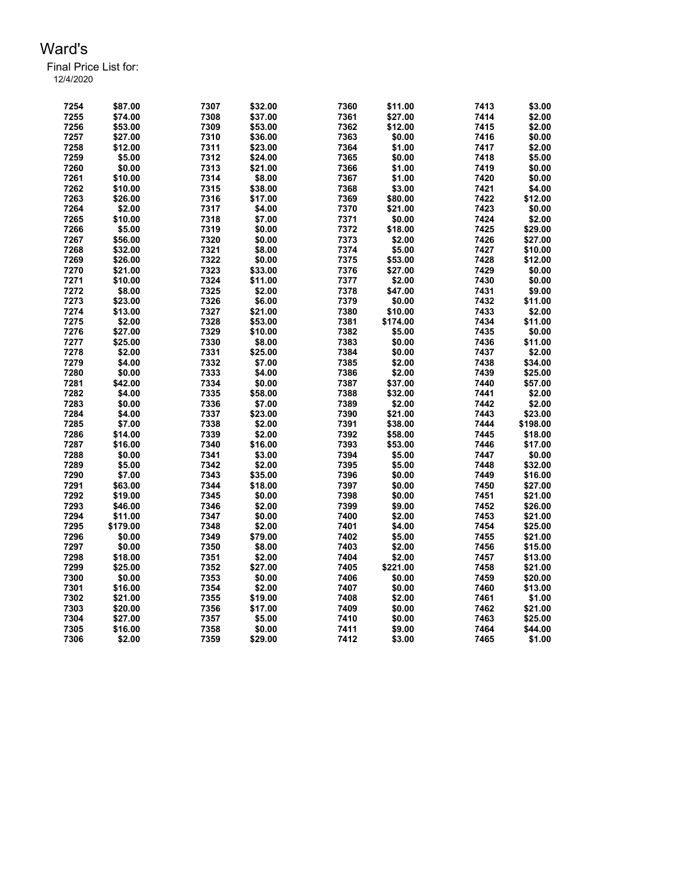| 7254 | \$87.00  | 7307 | \$32.00 | 7360 | \$11.00  | 7413 | \$3.00   |
|------|----------|------|---------|------|----------|------|----------|
| 7255 | \$74.00  | 7308 | \$37.00 | 7361 | \$27.00  | 7414 | \$2.00   |
| 7256 | \$53.00  | 7309 | \$53.00 | 7362 | \$12.00  | 7415 | \$2.00   |
| 7257 | \$27.00  | 7310 | \$36.00 | 7363 | \$0.00   | 7416 | \$0.00   |
| 7258 | \$12.00  | 7311 | \$23.00 | 7364 | \$1.00   | 7417 | \$2.00   |
| 7259 | \$5.00   | 7312 | \$24.00 | 7365 | \$0.00   | 7418 | \$5.00   |
| 7260 | \$0.00   | 7313 | \$21.00 | 7366 | \$1.00   | 7419 | \$0.00   |
| 7261 | \$10.00  | 7314 | \$8.00  | 7367 | \$1.00   | 7420 | \$0.00   |
| 7262 | \$10.00  | 7315 | \$38.00 | 7368 | \$3.00   | 7421 | \$4.00   |
| 7263 | \$26.00  | 7316 | \$17.00 | 7369 | \$80.00  | 7422 | \$12.00  |
| 7264 | \$2.00   | 7317 | \$4.00  | 7370 | \$21.00  | 7423 | \$0.00   |
| 7265 | \$10.00  | 7318 | \$7.00  | 7371 | \$0.00   | 7424 | \$2.00   |
| 7266 | \$5.00   | 7319 | \$0.00  | 7372 | \$18.00  | 7425 | \$29.00  |
| 7267 | \$56.00  | 7320 | \$0.00  | 7373 | \$2.00   | 7426 | \$27.00  |
| 7268 | \$32.00  | 7321 | \$8.00  | 7374 | \$5.00   | 7427 | \$10.00  |
| 7269 | \$26.00  | 7322 | \$0.00  | 7375 | \$53.00  | 7428 | \$12.00  |
| 7270 | \$21.00  | 7323 | \$33.00 | 7376 | \$27.00  | 7429 | \$0.00   |
| 7271 | \$10.00  | 7324 | \$11.00 | 7377 | \$2.00   | 7430 | \$0.00   |
| 7272 | \$8.00   | 7325 | \$2.00  | 7378 | \$47.00  | 7431 | \$9.00   |
| 7273 | \$23.00  | 7326 | \$6.00  | 7379 | \$0.00   | 7432 | \$11.00  |
| 7274 | \$13.00  | 7327 | \$21.00 | 7380 | \$10.00  | 7433 | \$2.00   |
| 7275 | \$2.00   | 7328 | \$53.00 | 7381 | \$174.00 | 7434 | \$11.00  |
| 7276 | \$27.00  | 7329 | \$10.00 | 7382 | \$5.00   | 7435 | \$0.00   |
| 7277 | \$25.00  | 7330 | \$8.00  | 7383 | \$0.00   | 7436 | \$11.00  |
| 7278 | \$2.00   | 7331 | \$25.00 | 7384 | \$0.00   | 7437 | \$2.00   |
| 7279 | \$4.00   | 7332 | \$7.00  | 7385 | \$2.00   | 7438 | \$34.00  |
| 7280 | \$0.00   | 7333 | \$4.00  | 7386 | \$2.00   | 7439 | \$25.00  |
| 7281 | \$42.00  | 7334 | \$0.00  | 7387 | \$37.00  | 7440 | \$57.00  |
| 7282 | \$4.00   | 7335 | \$58.00 | 7388 | \$32.00  | 7441 | \$2.00   |
| 7283 | \$0.00   | 7336 | \$7.00  | 7389 | \$2.00   | 7442 | \$2.00   |
| 7284 | \$4.00   | 7337 | \$23.00 | 7390 | \$21.00  | 7443 | \$23.00  |
| 7285 | \$7.00   | 7338 | \$2.00  | 7391 | \$38.00  | 7444 | \$198.00 |
| 7286 | \$14.00  | 7339 | \$2.00  | 7392 | \$58.00  | 7445 | \$18.00  |
| 7287 | \$16.00  | 7340 | \$16.00 | 7393 | \$53.00  | 7446 | \$17.00  |
| 7288 | \$0.00   | 7341 | \$3.00  | 7394 | \$5.00   | 7447 | \$0.00   |
| 7289 | \$5.00   | 7342 | \$2.00  | 7395 | \$5.00   | 7448 | \$32.00  |
| 7290 | \$7.00   | 7343 | \$35.00 | 7396 | \$0.00   | 7449 | \$16.00  |
| 7291 | \$63.00  | 7344 | \$18.00 | 7397 | \$0.00   | 7450 | \$27.00  |
| 7292 | \$19.00  | 7345 | \$0.00  | 7398 | \$0.00   | 7451 | \$21.00  |
| 7293 | \$46.00  | 7346 | \$2.00  | 7399 | \$9.00   | 7452 | \$26.00  |
| 7294 | \$11.00  | 7347 | \$0.00  | 7400 | \$2.00   | 7453 | \$21.00  |
| 7295 | \$179.00 | 7348 | \$2.00  | 7401 | \$4.00   | 7454 | \$25.00  |
| 7296 | \$0.00   | 7349 | \$79.00 | 7402 | \$5.00   | 7455 | \$21.00  |
| 7297 | \$0.00   | 7350 | \$8.00  | 7403 | \$2.00   | 7456 | \$15.00  |
| 7298 | \$18.00  | 7351 | \$2.00  | 7404 | \$2.00   | 7457 | \$13.00  |
| 7299 | \$25.00  | 7352 | \$27.00 | 7405 | \$221.00 | 7458 | \$21.00  |
| 7300 | \$0.00   | 7353 | \$0.00  | 7406 | \$0.00   | 7459 | \$20.00  |
| 7301 | \$16.00  | 7354 | \$2.00  | 7407 | \$0.00   | 7460 | \$13.00  |
| 7302 | \$21.00  | 7355 | \$19.00 | 7408 | \$2.00   | 7461 | \$1.00   |
| 7303 | \$20.00  | 7356 | \$17.00 | 7409 | \$0.00   | 7462 | \$21.00  |
| 7304 | \$27.00  | 7357 | \$5.00  | 7410 | \$0.00   | 7463 | \$25.00  |
| 7305 | \$16.00  | 7358 | \$0.00  | 7411 | \$9.00   | 7464 | \$44.00  |
|      |          |      |         |      |          |      |          |
| 7306 | \$2.00   | 7359 | \$29.00 | 7412 | \$3.00   | 7465 | \$1.00   |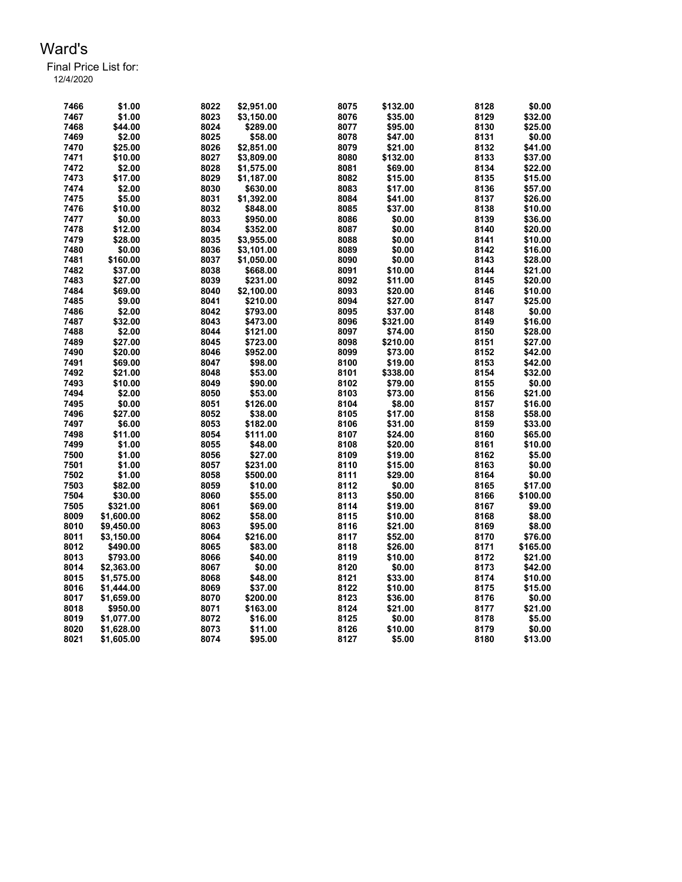| 7466 | \$1.00     | 8022 | \$2.951.00 | 8075 | \$132.00 | 8128 | \$0.00   |
|------|------------|------|------------|------|----------|------|----------|
| 7467 | \$1.00     | 8023 | \$3,150.00 | 8076 | \$35.00  | 8129 | \$32.00  |
| 7468 | \$44.00    | 8024 | \$289.00   | 8077 | \$95.00  | 8130 | \$25.00  |
| 7469 | \$2.00     | 8025 | \$58.00    | 8078 | \$47.00  | 8131 | \$0.00   |
| 7470 | \$25.00    | 8026 | \$2,851.00 | 8079 | \$21.00  | 8132 | \$41.00  |
| 7471 | \$10.00    | 8027 | \$3,809.00 | 8080 | \$132.00 | 8133 | \$37.00  |
| 7472 | \$2.00     | 8028 | \$1,575.00 | 8081 | \$69.00  | 8134 | \$22.00  |
| 7473 | \$17.00    | 8029 | \$1,187.00 | 8082 | \$15.00  | 8135 | \$15.00  |
| 7474 | \$2.00     | 8030 | \$630.00   | 8083 | \$17.00  | 8136 | \$57.00  |
| 7475 | \$5.00     | 8031 | \$1,392.00 | 8084 | \$41.00  | 8137 | \$26.00  |
| 7476 | \$10.00    | 8032 | \$848.00   | 8085 | \$37.00  | 8138 | \$10.00  |
| 7477 | \$0.00     | 8033 | \$950.00   | 8086 | \$0.00   | 8139 | \$36.00  |
| 7478 | \$12.00    | 8034 | \$352.00   | 8087 | \$0.00   | 8140 | \$20.00  |
| 7479 | \$28.00    | 8035 | \$3,955.00 | 8088 | \$0.00   | 8141 | \$10.00  |
| 7480 | \$0.00     | 8036 | \$3,101.00 | 8089 | \$0.00   | 8142 | \$16.00  |
| 7481 | \$160.00   | 8037 | \$1,050.00 | 8090 | \$0.00   | 8143 | \$28.00  |
| 7482 |            | 8038 | \$668.00   | 8091 | \$10.00  | 8144 | \$21.00  |
|      | \$37.00    |      |            |      |          |      |          |
| 7483 | \$27.00    | 8039 | \$231.00   | 8092 | \$11.00  | 8145 | \$20.00  |
| 7484 | \$69.00    | 8040 | \$2,100.00 | 8093 | \$20.00  | 8146 | \$10.00  |
| 7485 | \$9.00     | 8041 | \$210.00   | 8094 | \$27.00  | 8147 | \$25.00  |
| 7486 | \$2.00     | 8042 | \$793.00   | 8095 | \$37.00  | 8148 | \$0.00   |
| 7487 | \$32.00    | 8043 | \$473.00   | 8096 | \$321.00 | 8149 | \$16.00  |
| 7488 | \$2.00     | 8044 | \$121.00   | 8097 | \$74.00  | 8150 | \$28.00  |
| 7489 | \$27.00    | 8045 | \$723.00   | 8098 | \$210.00 | 8151 | \$27.00  |
| 7490 | \$20.00    | 8046 | \$952.00   | 8099 | \$73.00  | 8152 | \$42.00  |
| 7491 | \$69.00    | 8047 | \$98.00    | 8100 | \$19.00  | 8153 | \$42.00  |
| 7492 | \$21.00    | 8048 | \$53.00    | 8101 | \$338.00 | 8154 | \$32.00  |
| 7493 | \$10.00    | 8049 | \$90.00    | 8102 | \$79.00  | 8155 | \$0.00   |
| 7494 | \$2.00     | 8050 | \$53.00    | 8103 | \$73.00  | 8156 | \$21.00  |
| 7495 | \$0.00     | 8051 | \$126.00   | 8104 | \$8.00   | 8157 | \$16.00  |
| 7496 | \$27.00    | 8052 | \$38.00    | 8105 | \$17.00  | 8158 | \$58.00  |
| 7497 | \$6.00     | 8053 | \$182.00   | 8106 | \$31.00  | 8159 | \$33.00  |
| 7498 | \$11.00    | 8054 | \$111.00   | 8107 | \$24.00  | 8160 | \$65.00  |
| 7499 | \$1.00     | 8055 | \$48.00    | 8108 | \$20.00  | 8161 | \$10.00  |
| 7500 | \$1.00     | 8056 | \$27.00    | 8109 | \$19.00  | 8162 | \$5.00   |
| 7501 | \$1.00     | 8057 | \$231.00   | 8110 | \$15.00  | 8163 | \$0.00   |
| 7502 | \$1.00     | 8058 | \$500.00   | 8111 | \$29.00  | 8164 | \$0.00   |
| 7503 | \$82.00    | 8059 | \$10.00    | 8112 | \$0.00   | 8165 | \$17.00  |
| 7504 | \$30.00    | 8060 | \$55.00    | 8113 | \$50.00  | 8166 | \$100.00 |
| 7505 | \$321.00   | 8061 | \$69.00    | 8114 | \$19.00  | 8167 | \$9.00   |
| 8009 | \$1,600.00 | 8062 | \$58.00    | 8115 | \$10.00  | 8168 | \$8.00   |
| 8010 | \$9,450.00 | 8063 | \$95.00    | 8116 | \$21.00  | 8169 | \$8.00   |
| 8011 | \$3,150.00 | 8064 | \$216.00   | 8117 | \$52.00  | 8170 | \$76.00  |
| 8012 | \$490.00   | 8065 | \$83.00    | 8118 | \$26.00  | 8171 | \$165.00 |
| 8013 | \$793.00   | 8066 | \$40.00    | 8119 | \$10.00  | 8172 | \$21.00  |
| 8014 | \$2,363.00 | 8067 | \$0.00     | 8120 | \$0.00   | 8173 | \$42.00  |
| 8015 | \$1,575.00 | 8068 | \$48.00    | 8121 | \$33.00  | 8174 | \$10.00  |
| 8016 | \$1,444.00 | 8069 | \$37.00    | 8122 | \$10.00  | 8175 | \$15.00  |
| 8017 | \$1,659.00 | 8070 | \$200.00   | 8123 | \$36.00  | 8176 | \$0.00   |
| 8018 | \$950.00   | 8071 | \$163.00   | 8124 | \$21.00  | 8177 | \$21.00  |
| 8019 | \$1,077.00 | 8072 | \$16.00    | 8125 | \$0.00   | 8178 | \$5.00   |
| 8020 | \$1,628.00 | 8073 | \$11.00    | 8126 | \$10.00  | 8179 | \$0.00   |
| 8021 | \$1,605.00 | 8074 | \$95.00    | 8127 | \$5.00   | 8180 | \$13.00  |
|      |            |      |            |      |          |      |          |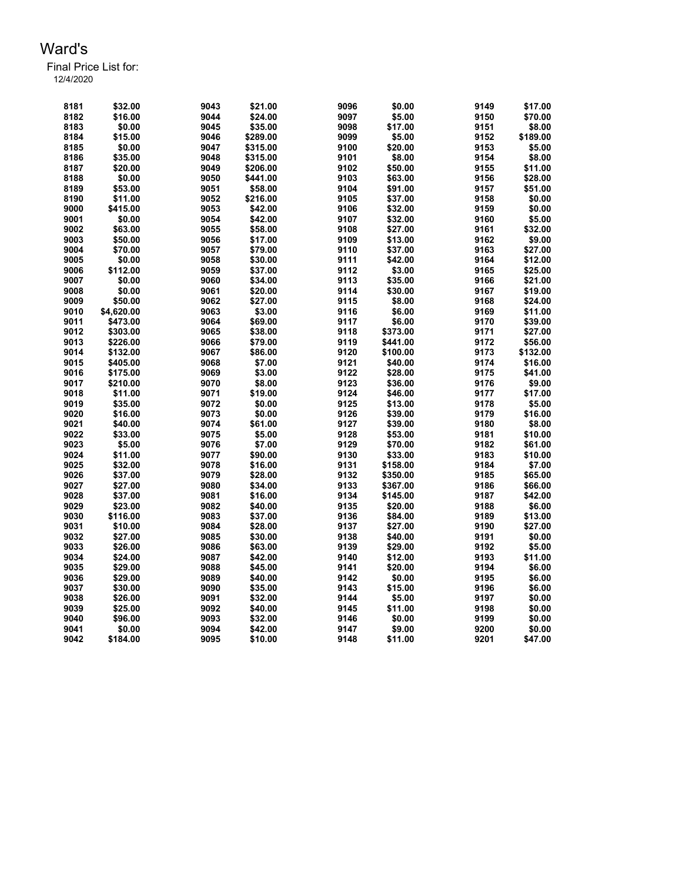| 8181         | \$32.00    | 9043 | \$21.00  | 9096 | \$0.00   | 9149 | \$17.00          |
|--------------|------------|------|----------|------|----------|------|------------------|
| 8182         | \$16.00    | 9044 | \$24.00  | 9097 | \$5.00   | 9150 | \$70.00          |
| 8183         | \$0.00     | 9045 | \$35.00  | 9098 | \$17.00  | 9151 | \$8.00           |
| 8184         | \$15.00    | 9046 | \$289.00 | 9099 | \$5.00   | 9152 | \$189.00         |
| 8185         | \$0.00     | 9047 | \$315.00 | 9100 | \$20.00  | 9153 | \$5.00           |
| 8186         | \$35.00    | 9048 | \$315.00 | 9101 | \$8.00   | 9154 | \$8.00           |
| 8187         | \$20.00    | 9049 | \$206.00 | 9102 | \$50.00  | 9155 | \$11.00          |
| 8188         | \$0.00     | 9050 | \$441.00 | 9103 | \$63.00  | 9156 | \$28.00          |
| 8189         | \$53.00    | 9051 | \$58.00  | 9104 | \$91.00  | 9157 | \$51.00          |
| 8190         | \$11.00    | 9052 | \$216.00 | 9105 | \$37.00  | 9158 | \$0.00           |
| 9000         | \$415.00   | 9053 | \$42.00  | 9106 | \$32.00  | 9159 | \$0.00           |
| 9001         | \$0.00     | 9054 | \$42.00  | 9107 | \$32.00  | 9160 | \$5.00           |
| 9002         | \$63.00    | 9055 | \$58.00  | 9108 | \$27.00  | 9161 | \$32.00          |
| 9003         | \$50.00    | 9056 | \$17.00  | 9109 | \$13.00  | 9162 | \$9.00           |
| 9004         | \$70.00    | 9057 | \$79.00  | 9110 | \$37.00  | 9163 | \$27.00          |
| 9005         | \$0.00     | 9058 | \$30.00  | 9111 | \$42.00  | 9164 | \$12.00          |
| 9006         | \$112.00   | 9059 | \$37.00  | 9112 | \$3.00   | 9165 | \$25.00          |
| 9007         | \$0.00     | 9060 | \$34.00  | 9113 | \$35.00  | 9166 | \$21.00          |
| 9008         | \$0.00     | 9061 | \$20.00  | 9114 | \$30.00  | 9167 | \$19.00          |
| 9009         | \$50.00    | 9062 | \$27.00  | 9115 | \$8.00   | 9168 | \$24.00          |
| 9010         | \$4,620.00 | 9063 | \$3.00   | 9116 | \$6.00   | 9169 | \$11.00          |
| 9011         | \$473.00   | 9064 | \$69.00  | 9117 | \$6.00   | 9170 | \$39.00          |
| 9012         | \$303.00   | 9065 | \$38.00  | 9118 | \$373.00 | 9171 | \$27.00          |
| 9013         | \$226.00   | 9066 | \$79.00  | 9119 | \$441.00 | 9172 | \$56.00          |
| 9014         | \$132.00   | 9067 | \$86.00  | 9120 | \$100.00 | 9173 | \$132.00         |
| 9015         | \$405.00   | 9068 | \$7.00   | 9121 | \$40.00  | 9174 | \$16.00          |
| 9016         | \$175.00   | 9069 | \$3.00   | 9122 | \$28.00  | 9175 | \$41.00          |
| 9017         | \$210.00   | 9070 | \$8.00   | 9123 | \$36.00  | 9176 | \$9.00           |
| 9018         | \$11.00    | 9071 | \$19.00  | 9124 | \$46.00  | 9177 | \$17.00          |
| 9019         | \$35.00    | 9072 | \$0.00   | 9125 | \$13.00  | 9178 | \$5.00           |
| 9020         | \$16.00    | 9073 | \$0.00   | 9126 | \$39.00  | 9179 | \$16.00          |
| 9021         | \$40.00    | 9074 | \$61.00  | 9127 | \$39.00  | 9180 | \$8.00           |
| 9022         | \$33.00    | 9075 | \$5.00   | 9128 | \$53.00  | 9181 | \$10.00          |
| 9023         | \$5.00     | 9076 | \$7.00   | 9129 | \$70.00  | 9182 | \$61.00          |
| 9024         | \$11.00    | 9077 | \$90.00  | 9130 | \$33.00  | 9183 | \$10.00          |
| 9025         | \$32.00    | 9078 | \$16.00  | 9131 | \$158.00 | 9184 | \$7.00           |
| 9026         | \$37.00    | 9079 | \$28.00  | 9132 | \$350.00 | 9185 | \$65.00          |
| 9027         | \$27.00    | 9080 | \$34.00  | 9133 | \$367.00 | 9186 | \$66.00          |
| 9028         | \$37.00    | 9081 | \$16.00  | 9134 | \$145.00 | 9187 | \$42.00          |
| 9029         | \$23.00    | 9082 | \$40.00  | 9135 | \$20.00  | 9188 | \$6.00           |
| 9030         | \$116.00   | 9083 | \$37.00  | 9136 | \$84.00  | 9189 | \$13.00          |
| 9031         | \$10.00    | 9084 | \$28.00  | 9137 | \$27.00  | 9190 | \$27.00          |
| 9032         | \$27.00    | 9085 | \$30.00  | 9138 | \$40.00  | 9191 | \$0.00           |
| 9033         | \$26.00    | 9086 | \$63.00  | 9139 | \$29.00  | 9192 | \$5.00           |
| 9034         | \$24.00    | 9087 | \$42.00  | 9140 | \$12.00  | 9193 | \$11.00          |
|              |            |      |          |      |          |      |                  |
| 9035<br>9036 | \$29.00    | 9088 | \$45.00  | 9141 | \$20.00  | 9194 | \$6.00<br>\$6.00 |
|              | \$29.00    | 9089 | \$40.00  | 9142 | \$0.00   | 9195 |                  |
| 9037         | \$30.00    | 9090 | \$35.00  | 9143 | \$15.00  | 9196 | \$6.00           |
| 9038         | \$26.00    | 9091 | \$32.00  | 9144 | \$5.00   | 9197 | \$0.00           |
| 9039         | \$25.00    | 9092 | \$40.00  | 9145 | \$11.00  | 9198 | \$0.00           |
| 9040         | \$96.00    | 9093 | \$32.00  | 9146 | \$0.00   | 9199 | \$0.00           |
| 9041         | \$0.00     | 9094 | \$42.00  | 9147 | \$9.00   | 9200 | \$0.00           |
| 9042         | \$184.00   | 9095 | \$10.00  | 9148 | \$11.00  | 9201 | \$47.00          |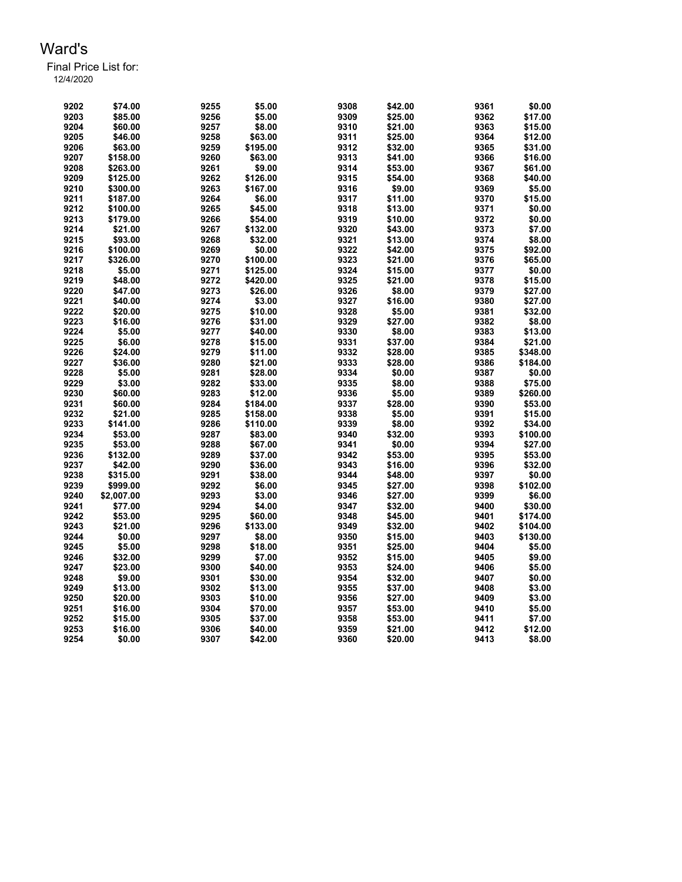| 9202 | \$74.00    | 9255 | \$5.00   | 9308 | \$42.00 | 9361 | \$0.00   |
|------|------------|------|----------|------|---------|------|----------|
| 9203 | \$85.00    | 9256 | \$5.00   | 9309 | \$25.00 | 9362 | \$17.00  |
| 9204 | \$60.00    | 9257 | \$8.00   | 9310 | \$21.00 | 9363 | \$15.00  |
| 9205 | \$46.00    | 9258 | \$63.00  | 9311 | \$25.00 | 9364 | \$12.00  |
| 9206 | \$63.00    | 9259 | \$195.00 | 9312 | \$32.00 | 9365 | \$31.00  |
| 9207 | \$158.00   | 9260 | \$63.00  | 9313 | \$41.00 | 9366 | \$16.00  |
| 9208 | \$263.00   | 9261 | \$9.00   | 9314 | \$53.00 | 9367 | \$61.00  |
| 9209 | \$125.00   | 9262 | \$126.00 | 9315 | \$54.00 | 9368 | \$40.00  |
| 9210 | \$300.00   | 9263 | \$167.00 | 9316 | \$9.00  | 9369 | \$5.00   |
| 9211 | \$187.00   | 9264 | \$6.00   | 9317 | \$11.00 | 9370 | \$15.00  |
| 9212 | \$100.00   | 9265 | \$45.00  | 9318 | \$13.00 | 9371 | \$0.00   |
| 9213 | \$179.00   | 9266 | \$54.00  | 9319 | \$10.00 | 9372 | \$0.00   |
| 9214 | \$21.00    | 9267 | \$132.00 | 9320 | \$43.00 | 9373 | \$7.00   |
| 9215 | \$93.00    | 9268 | \$32.00  | 9321 | \$13.00 | 9374 | \$8.00   |
| 9216 | \$100.00   | 9269 | \$0.00   | 9322 | \$42.00 | 9375 | \$92.00  |
| 9217 | \$326.00   | 9270 | \$100.00 | 9323 | \$21.00 | 9376 | \$65.00  |
| 9218 | \$5.00     | 9271 | \$125.00 | 9324 | \$15.00 | 9377 | \$0.00   |
| 9219 | \$48.00    | 9272 | \$420.00 | 9325 | \$21.00 | 9378 | \$15.00  |
| 9220 | \$47.00    | 9273 | \$26.00  | 9326 | \$8.00  | 9379 | \$27.00  |
| 9221 | \$40.00    | 9274 | \$3.00   | 9327 | \$16.00 | 9380 | \$27.00  |
| 9222 | \$20.00    | 9275 | \$10.00  | 9328 | \$5.00  | 9381 | \$32.00  |
| 9223 | \$16.00    | 9276 | \$31.00  | 9329 | \$27.00 | 9382 | \$8.00   |
| 9224 | \$5.00     | 9277 | \$40.00  | 9330 | \$8.00  | 9383 | \$13.00  |
| 9225 | \$6.00     | 9278 | \$15.00  | 9331 | \$37.00 | 9384 | \$21.00  |
| 9226 | \$24.00    | 9279 | \$11.00  | 9332 | \$28.00 | 9385 | \$348.00 |
| 9227 | \$36.00    | 9280 | \$21.00  | 9333 | \$28.00 | 9386 | \$184.00 |
| 9228 | \$5.00     | 9281 | \$28.00  | 9334 | \$0.00  | 9387 | \$0.00   |
| 9229 | \$3.00     | 9282 | \$33.00  | 9335 | \$8.00  | 9388 | \$75.00  |
| 9230 | \$60.00    | 9283 | \$12.00  | 9336 | \$5.00  | 9389 | \$260.00 |
| 9231 | \$60.00    | 9284 | \$184.00 | 9337 | \$28.00 | 9390 | \$53.00  |
| 9232 | \$21.00    | 9285 | \$158.00 | 9338 | \$5.00  | 9391 | \$15.00  |
| 9233 | \$141.00   | 9286 | \$110.00 | 9339 | \$8.00  | 9392 | \$34.00  |
| 9234 | \$53.00    | 9287 | \$83.00  | 9340 | \$32.00 | 9393 | \$100.00 |
| 9235 | \$53.00    | 9288 | \$67.00  | 9341 | \$0.00  | 9394 | \$27.00  |
| 9236 | \$132.00   | 9289 | \$37.00  | 9342 | \$53.00 | 9395 | \$53.00  |
| 9237 | \$42.00    | 9290 | \$36.00  | 9343 | \$16.00 | 9396 | \$32.00  |
| 9238 | \$315.00   | 9291 | \$38.00  | 9344 | \$48.00 | 9397 | \$0.00   |
| 9239 | \$999.00   | 9292 | \$6.00   | 9345 | \$27.00 | 9398 | \$102.00 |
| 9240 | \$2,007.00 | 9293 | \$3.00   | 9346 | \$27.00 | 9399 | \$6.00   |
| 9241 | \$77.00    | 9294 | \$4.00   | 9347 | \$32.00 | 9400 | \$30.00  |
| 9242 | \$53.00    | 9295 | \$60.00  | 9348 | \$45.00 | 9401 | \$174.00 |
| 9243 | \$21.00    | 9296 | \$133.00 | 9349 | \$32.00 | 9402 | \$104.00 |
| 9244 | \$0.00     | 9297 | \$8.00   | 9350 | \$15.00 | 9403 | \$130.00 |
| 9245 | \$5.00     | 9298 | \$18.00  | 9351 | \$25.00 | 9404 | \$5.00   |
| 9246 | \$32.00    | 9299 | \$7.00   | 9352 | \$15.00 | 9405 | \$9.00   |
| 9247 | \$23.00    | 9300 | \$40.00  | 9353 | \$24.00 | 9406 | \$5.00   |
| 9248 | \$9.00     | 9301 | \$30.00  | 9354 | \$32.00 | 9407 | \$0.00   |
| 9249 | \$13.00    | 9302 | \$13.00  | 9355 | \$37.00 | 9408 | \$3.00   |
| 9250 | \$20.00    | 9303 | \$10.00  | 9356 | \$27.00 | 9409 | \$3.00   |
| 9251 | \$16.00    | 9304 | \$70.00  | 9357 | \$53.00 | 9410 | \$5.00   |
| 9252 | \$15.00    | 9305 | \$37.00  | 9358 | \$53.00 | 9411 | \$7.00   |
| 9253 | \$16.00    | 9306 | \$40.00  | 9359 | \$21.00 | 9412 | \$12.00  |
| 9254 | \$0.00     | 9307 | \$42.00  | 9360 | \$20.00 | 9413 | \$8.00   |
|      |            |      |          |      |         |      |          |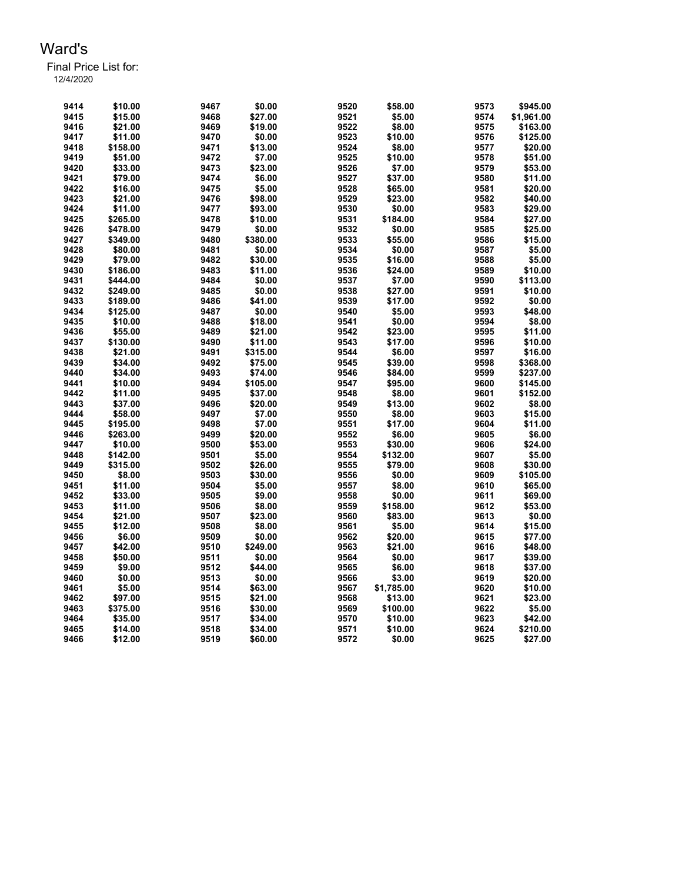| 9414         | \$10.00  | 9467         | \$0.00   | 9520         | \$58.00            | 9573         | \$945.00   |
|--------------|----------|--------------|----------|--------------|--------------------|--------------|------------|
| 9415         | \$15.00  | 9468         | \$27.00  | 9521         | \$5.00             | 9574         | \$1,961.00 |
| 9416         | \$21.00  | 9469         | \$19.00  | 9522         | \$8.00             | 9575         | \$163.00   |
| 9417         | \$11.00  | 9470         | \$0.00   | 9523         | \$10.00            | 9576         | \$125.00   |
| 9418         | \$158.00 | 9471         | \$13.00  | 9524         | \$8.00             | 9577         | \$20.00    |
| 9419         | \$51.00  | 9472         | \$7.00   | 9525         | \$10.00            | 9578         | \$51.00    |
| 9420         | \$33.00  | 9473         | \$23.00  | 9526         | \$7.00             | 9579         | \$53.00    |
| 9421         | \$79.00  | 9474         | \$6.00   | 9527         | \$37.00            | 9580         | \$11.00    |
| 9422         | \$16.00  | 9475         | \$5.00   | 9528         | \$65.00            | 9581         | \$20.00    |
| 9423         | \$21.00  | 9476         | \$98.00  | 9529         | \$23.00            | 9582         | \$40.00    |
| 9424         | \$11.00  | 9477         | \$93.00  | 9530         | \$0.00             | 9583         | \$29.00    |
| 9425         | \$265.00 | 9478         | \$10.00  | 9531         | \$184.00           | 9584         | \$27.00    |
| 9426         | \$478.00 | 9479         | \$0.00   | 9532         | \$0.00             | 9585         | \$25.00    |
| 9427         | \$349.00 | 9480         | \$380.00 | 9533         | \$55.00            | 9586         | \$15.00    |
| 9428         | \$80.00  | 9481         | \$0.00   | 9534         | \$0.00             | 9587         | \$5.00     |
| 9429         | \$79.00  | 9482         | \$30.00  | 9535         | \$16.00            | 9588         | \$5.00     |
| 9430         | \$186.00 | 9483         | \$11.00  | 9536         | \$24.00            | 9589         | \$10.00    |
| 9431         | \$444.00 | 9484         | \$0.00   | 9537         | \$7.00             | 9590         | \$113.00   |
| 9432         | \$249.00 | 9485         | \$0.00   | 9538         | \$27.00            | 9591         | \$10.00    |
| 9433         | \$189.00 | 9486         | \$41.00  | 9539         | \$17.00            | 9592         | \$0.00     |
| 9434         | \$125.00 | 9487         | \$0.00   | 9540         | \$5.00             | 9593         | \$48.00    |
| 9435         | \$10.00  | 9488         | \$18.00  | 9541         | \$0.00             | 9594         | \$8.00     |
| 9436         | \$55.00  | 9489         | \$21.00  | 9542         | \$23.00            | 9595         | \$11.00    |
| 9437         | \$130.00 | 9490         | \$11.00  | 9543         | \$17.00            | 9596         | \$10.00    |
| 9438         | \$21.00  | 9491         | \$315.00 | 9544         | \$6.00             | 9597         | \$16.00    |
|              | \$34.00  | 9492         |          | 9545         | \$39.00            | 9598         |            |
| 9439         |          |              | \$75.00  |              |                    |              | \$368.00   |
| 9440<br>9441 | \$34.00  | 9493<br>9494 | \$74.00  | 9546<br>9547 | \$84.00<br>\$95.00 | 9599<br>9600 | \$237.00   |
|              | \$10.00  |              | \$105.00 |              |                    |              | \$145.00   |
| 9442         | \$11.00  | 9495         | \$37.00  | 9548         | \$8.00             | 9601         | \$152.00   |
| 9443         | \$37.00  | 9496         | \$20.00  | 9549         | \$13.00            | 9602         | \$8.00     |
| 9444         | \$58.00  | 9497         | \$7.00   | 9550         | \$8.00             | 9603         | \$15.00    |
| 9445         | \$195.00 | 9498         | \$7.00   | 9551         | \$17.00            | 9604         | \$11.00    |
| 9446         | \$263.00 | 9499         | \$20.00  | 9552         | \$6.00             | 9605         | \$6.00     |
| 9447         | \$10.00  | 9500         | \$53.00  | 9553         | \$30.00            | 9606         | \$24.00    |
| 9448         | \$142.00 | 9501         | \$5.00   | 9554         | \$132.00           | 9607         | \$5.00     |
| 9449         | \$315.00 | 9502         | \$26.00  | 9555         | \$79.00            | 9608         | \$30.00    |
| 9450         | \$8.00   | 9503         | \$30.00  | 9556         | \$0.00             | 9609         | \$105.00   |
| 9451         | \$11.00  | 9504         | \$5.00   | 9557         | \$8.00             | 9610         | \$65.00    |
| 9452         | \$33.00  | 9505         | \$9.00   | 9558         | \$0.00             | 9611         | \$69.00    |
| 9453         | \$11.00  | 9506         | \$8.00   | 9559         | \$158.00           | 9612         | \$53.00    |
| 9454         | \$21.00  | 9507         | \$23.00  | 9560         | \$83.00            | 9613         | \$0.00     |
| 9455         | \$12.00  | 9508         | \$8.00   | 9561         | \$5.00             | 9614         | \$15.00    |
| 9456         | \$6.00   | 9509         | \$0.00   | 9562         | \$20.00            | 9615         | \$77.00    |
| 9457         | \$42.00  | 9510         | \$249.00 | 9563         | \$21.00            | 9616         | \$48.00    |
| 9458         | \$50.00  | 9511         | \$0.00   | 9564         | \$0.00             | 9617         | \$39.00    |
| 9459         | \$9.00   | 9512         | \$44.00  | 9565         | \$6.00             | 9618         | \$37.00    |
| 9460         | \$0.00   | 9513         | \$0.00   | 9566         | \$3.00             | 9619         | \$20.00    |
| 9461         | \$5.00   | 9514         | \$63.00  | 9567         | \$1,785.00         | 9620         | \$10.00    |
| 9462         | \$97.00  | 9515         | \$21.00  | 9568         | \$13.00            | 9621         | \$23.00    |
| 9463         | \$375.00 | 9516         | \$30.00  | 9569         | \$100.00           | 9622         | \$5.00     |
| 9464         | \$35.00  | 9517         | \$34.00  | 9570         | \$10.00            | 9623         | \$42.00    |
| 9465         | \$14.00  | 9518         | \$34.00  | 9571         | \$10.00            | 9624         | \$210.00   |
| 9466         | \$12.00  | 9519         | \$60.00  | 9572         | \$0.00             | 9625         | \$27.00    |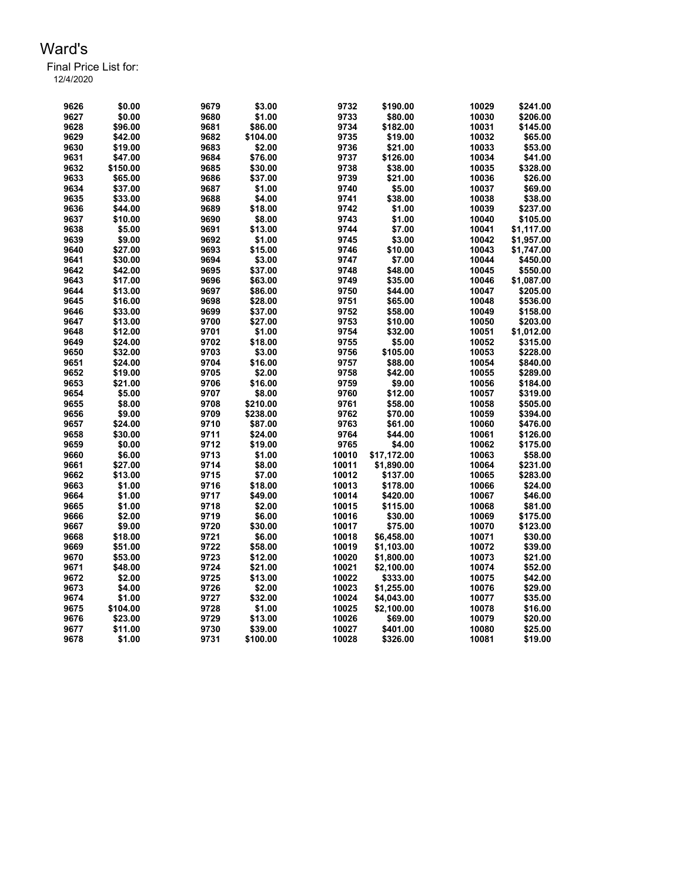| 9626 | \$0.00   | 9679 | \$3.00   | 9732  | \$190.00    | 10029 | \$241.00   |
|------|----------|------|----------|-------|-------------|-------|------------|
| 9627 | \$0.00   | 9680 | \$1.00   | 9733  | \$80.00     | 10030 | \$206.00   |
| 9628 | \$96.00  | 9681 | \$86.00  | 9734  | \$182.00    | 10031 | \$145.00   |
| 9629 | \$42.00  | 9682 | \$104.00 | 9735  | \$19.00     | 10032 | \$65.00    |
| 9630 | \$19.00  | 9683 | \$2.00   | 9736  | \$21.00     | 10033 | \$53.00    |
| 9631 | \$47.00  | 9684 | \$76.00  | 9737  | \$126.00    | 10034 | \$41.00    |
| 9632 | \$150.00 | 9685 | \$30.00  | 9738  | \$38.00     | 10035 | \$328.00   |
| 9633 | \$65.00  | 9686 | \$37.00  | 9739  | \$21.00     | 10036 | \$26.00    |
| 9634 | \$37.00  | 9687 | \$1.00   | 9740  | \$5.00      | 10037 | \$69.00    |
| 9635 | \$33.00  | 9688 | \$4.00   | 9741  | \$38.00     | 10038 | \$38.00    |
| 9636 | \$44.00  | 9689 | \$18.00  | 9742  | \$1.00      | 10039 | \$237.00   |
| 9637 | \$10.00  | 9690 | \$8.00   | 9743  | \$1.00      | 10040 | \$105.00   |
| 9638 | \$5.00   | 9691 | \$13.00  | 9744  | \$7.00      | 10041 | \$1,117.00 |
| 9639 | \$9.00   | 9692 | \$1.00   | 9745  | \$3.00      | 10042 | \$1,957.00 |
| 9640 | \$27.00  | 9693 | \$15.00  | 9746  | \$10.00     | 10043 | \$1,747.00 |
| 9641 | \$30.00  | 9694 | \$3.00   | 9747  | \$7.00      | 10044 | \$450.00   |
| 9642 | \$42.00  | 9695 | \$37.00  | 9748  | \$48.00     | 10045 | \$550.00   |
| 9643 | \$17.00  | 9696 | \$63.00  | 9749  | \$35.00     | 10046 | \$1,087.00 |
| 9644 | \$13.00  | 9697 | \$86.00  | 9750  | \$44.00     | 10047 | \$205.00   |
| 9645 | \$16.00  | 9698 | \$28.00  | 9751  | \$65.00     | 10048 | \$536.00   |
| 9646 | \$33.00  | 9699 | \$37.00  | 9752  | \$58.00     | 10049 | \$158.00   |
| 9647 | \$13.00  | 9700 | \$27.00  | 9753  | \$10.00     | 10050 | \$203.00   |
| 9648 | \$12.00  | 9701 | \$1.00   | 9754  | \$32.00     | 10051 | \$1,012.00 |
| 9649 | \$24.00  | 9702 | \$18.00  | 9755  | \$5.00      | 10052 | \$315.00   |
| 9650 | \$32.00  | 9703 | \$3.00   | 9756  | \$105.00    | 10053 | \$228.00   |
| 9651 | \$24.00  | 9704 | \$16.00  | 9757  | \$88.00     | 10054 | \$840.00   |
| 9652 | \$19.00  | 9705 | \$2.00   | 9758  | \$42.00     | 10055 | \$289.00   |
| 9653 | \$21.00  | 9706 | \$16.00  | 9759  | \$9.00      | 10056 | \$184.00   |
| 9654 | \$5.00   | 9707 | \$8.00   | 9760  | \$12.00     | 10057 | \$319.00   |
| 9655 | \$8.00   | 9708 | \$210.00 | 9761  | \$58.00     | 10058 | \$505.00   |
| 9656 | \$9.00   | 9709 | \$238.00 | 9762  | \$70.00     | 10059 | \$394.00   |
| 9657 | \$24.00  | 9710 | \$87.00  | 9763  | \$61.00     | 10060 | \$476.00   |
| 9658 | \$30.00  | 9711 | \$24.00  | 9764  | \$44.00     | 10061 | \$126.00   |
| 9659 | \$0.00   | 9712 | \$19.00  | 9765  | \$4.00      | 10062 | \$175.00   |
| 9660 | \$6.00   | 9713 | \$1.00   | 10010 | \$17,172.00 | 10063 | \$58.00    |
| 9661 | \$27.00  | 9714 | \$8.00   | 10011 | \$1,890.00  | 10064 | \$231.00   |
| 9662 | \$13.00  | 9715 | \$7.00   | 10012 | \$137.00    | 10065 | \$283.00   |
| 9663 | \$1.00   | 9716 | \$18.00  | 10013 | \$178.00    | 10066 | \$24.00    |
| 9664 | \$1.00   | 9717 | \$49.00  | 10014 | \$420.00    | 10067 | \$46.00    |
| 9665 | \$1.00   | 9718 | \$2.00   | 10015 | \$115.00    | 10068 | \$81.00    |
| 9666 | \$2.00   | 9719 | \$6.00   | 10016 | \$30.00     | 10069 | \$175.00   |
| 9667 | \$9.00   | 9720 | \$30.00  | 10017 | \$75.00     | 10070 | \$123.00   |
| 9668 | \$18.00  | 9721 | \$6.00   | 10018 | \$6,458.00  | 10071 | \$30.00    |
| 9669 | \$51.00  | 9722 | \$58.00  | 10019 | \$1,103.00  | 10072 | \$39.00    |
| 9670 | \$53.00  | 9723 | \$12.00  | 10020 | \$1,800.00  | 10073 | \$21.00    |
| 9671 | \$48.00  | 9724 | \$21.00  | 10021 | \$2,100.00  | 10074 | \$52.00    |
| 9672 | \$2.00   | 9725 | \$13.00  | 10022 | \$333.00    | 10075 | \$42.00    |
| 9673 | \$4.00   | 9726 | \$2.00   | 10023 | \$1,255.00  | 10076 | \$29.00    |
| 9674 | \$1.00   | 9727 | \$32.00  | 10024 | \$4,043.00  | 10077 | \$35.00    |
| 9675 | \$104.00 | 9728 | \$1.00   | 10025 | \$2,100.00  | 10078 | \$16.00    |
| 9676 | \$23.00  | 9729 | \$13.00  | 10026 | \$69.00     | 10079 | \$20.00    |
| 9677 | \$11.00  | 9730 | \$39.00  | 10027 | \$401.00    | 10080 | \$25.00    |
| 9678 | \$1.00   | 9731 | \$100.00 | 10028 | \$326.00    | 10081 | \$19.00    |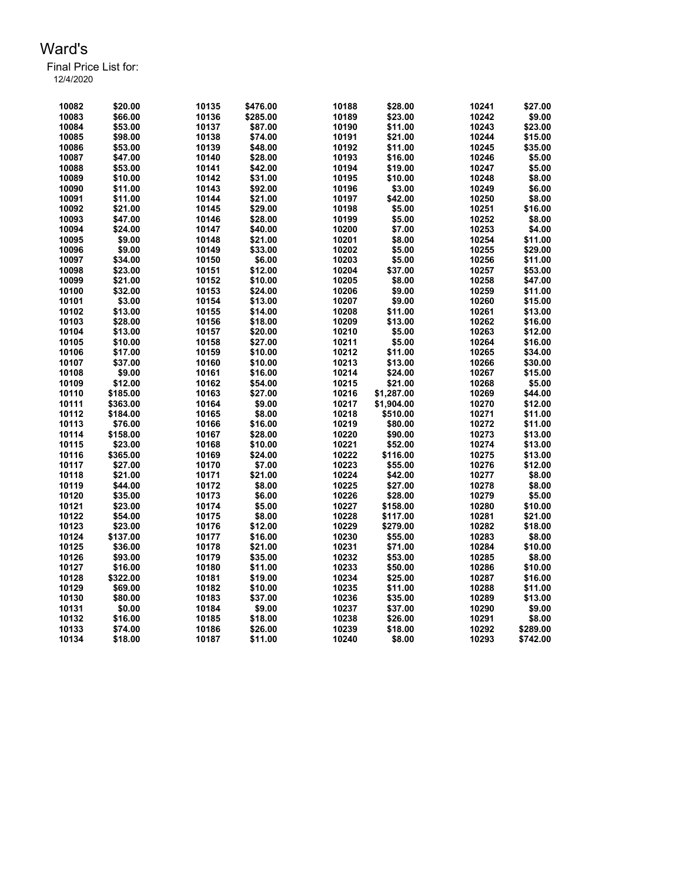Final Price List for: 12/4/2020

> \$20.00 10135 \$476.00 10188 \$28.00 10241 \$27.00 \$66.00 10136 \$285.00 10189 \$23.00 10242 \$9.00 \$53.00 10137 \$87.00 10190 \$11.00 10243 \$23.00 \$98.00 10138 \$74.00 10191 \$21.00 10244 \$15.00 \$53.00 10139 \$48.00 10192 \$11.00 10245 \$35.00 \$47.00 10140 \$28.00 10193 \$16.00 10246 \$5.00 \$53.00 10141 \$42.00 10194 \$19.00 10247 \$5.00 \$10.00 10142 \$31.00 10195 \$10.00 10248 \$8.00 \$11.00 10143 \$92.00 10196 \$3.00 10249 \$6.00 \$11.00 10144 \$21.00 10197 \$42.00 10250 \$8.00 \$21.00 10145 \$29.00 10198 \$5.00 10251 \$16.00 \$47.00 10146 \$28.00 10199 \$5.00 10252 \$8.00 \$24.00 10147 \$40.00 10200 \$7.00 10253 \$4.00 \$9.00 10148 \$21.00 10201 \$8.00 10254 \$11.00 \$9.00 10149 \$33.00 10202 \$5.00 10255 \$29.00 \$34.00 10150 \$6.00 10203 \$5.00 10256 \$11.00 \$23.00 10151 \$12.00 10204 \$37.00 10257 \$53.00 \$21.00 10152 \$10.00 10205 \$8.00 10258 \$47.00 \$32.00 10153 \$24.00 10206 \$9.00 10259 \$11.00 \$3.00 10154 \$13.00 10207 \$9.00 10260 \$15.00 \$13.00 10155 \$14.00 10208 \$11.00 10261 \$13.00 \$28.00 10156 \$18.00 10209 \$13.00 10262 \$16.00 \$13.00 10157 \$20.00 10210 \$5.00 10263 \$12.00 \$10.00 10158 \$27.00 10211 \$5.00 10264 \$16.00 \$17.00 10159 \$10.00 10212 \$11.00 10265 \$34.00 \$37.00 10160 \$10.00 10213 \$13.00 10266 \$30.00 \$9.00 10161 \$16.00 10214 \$24.00 10267 \$15.00 \$12.00 10162 \$54.00 10215 \$21.00 10268 \$5.00 \$185.00 10163 \$27.00 10216 \$1,287.00 10269 \$44.00 \$363.00 10164 \$9.00 10217 \$1,904.00 10270 \$12.00 \$184.00 10165 \$8.00 10218 \$510.00 10271 \$11.00 \$76.00 10166 \$16.00 10219 \$80.00 10272 \$11.00 \$158.00 10167 \$28.00 10220 \$90.00 10273 \$13.00 \$23.00 10168 \$10.00 10221 \$52.00 10274 \$13.00 \$365.00 10169 \$24.00 10222 \$116.00 10275 \$13.00 \$27.00 10170 \$7.00 10223 \$55.00 10276 \$12.00 \$21.00 10171 \$21.00 10224 \$42.00 10277 \$8.00 \$44.00 10172 \$8.00 10225 \$27.00 10278 \$8.00 \$35.00 10173 \$6.00 10226 \$28.00 10279 \$5.00 \$23.00 10174 \$5.00 10227 \$158.00 10280 \$10.00 \$54.00 10175 \$8.00 10228 \$117.00 10281 \$21.00 \$23.00 10176 \$12.00 10229 \$279.00 10282 \$18.00 \$137.00 10177 \$16.00 10230 \$55.00 10283 \$8.00 \$36.00 10178 \$21.00 10231 \$71.00 10284 \$10.00 \$93.00 10179 \$35.00 10232 \$53.00 10285 \$8.00 \$16.00 10180 \$11.00 10233 \$50.00 10286 \$10.00 \$322.00 10181 \$19.00 10234 \$25.00 10287 \$16.00 \$69.00 10182 \$10.00 10235 \$11.00 10288 \$11.00 \$80.00 10183 \$37.00 10236 \$35.00 10289 \$13.00 \$0.00 10184 \$9.00 10237 \$37.00 10290 \$9.00 \$16.00 10185 \$18.00 10238 \$26.00 10291 \$8.00 \$74.00 10186 \$26.00 10239 \$18.00 10292 \$289.00 \$18.00 10187 \$11.00 10240 \$8.00 10293 \$742.00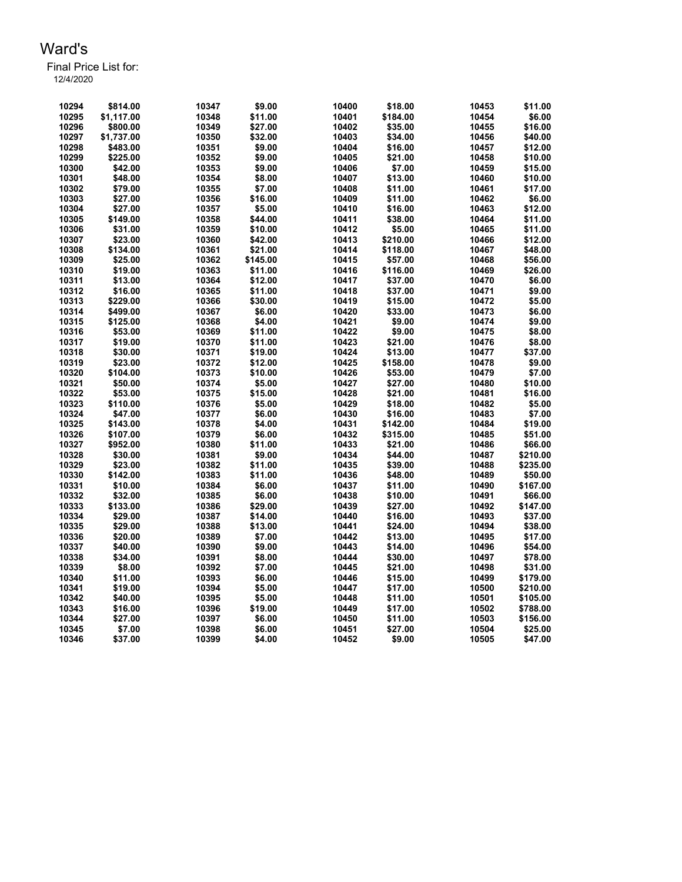| 10294 | \$814.00   | 10347 | \$9.00   | 10400 | \$18.00  | 10453 | \$11.00  |
|-------|------------|-------|----------|-------|----------|-------|----------|
| 10295 | \$1,117.00 | 10348 | \$11.00  | 10401 | \$184.00 | 10454 | \$6.00   |
| 10296 | \$800.00   | 10349 | \$27.00  | 10402 | \$35.00  | 10455 | \$16.00  |
| 10297 | \$1,737.00 | 10350 | \$32.00  | 10403 | \$34.00  | 10456 | \$40.00  |
| 10298 | \$483.00   | 10351 | \$9.00   | 10404 | \$16.00  | 10457 | \$12.00  |
| 10299 | \$225.00   | 10352 | \$9.00   | 10405 | \$21.00  | 10458 | \$10.00  |
| 10300 | \$42.00    | 10353 | \$9.00   | 10406 | \$7.00   | 10459 | \$15.00  |
| 10301 | \$48.00    | 10354 | \$8.00   | 10407 | \$13.00  | 10460 | \$10.00  |
| 10302 | \$79.00    | 10355 | \$7.00   | 10408 | \$11.00  | 10461 | \$17.00  |
| 10303 | \$27.00    | 10356 | \$16.00  | 10409 | \$11.00  | 10462 | \$6.00   |
| 10304 | \$27.00    | 10357 | \$5.00   | 10410 | \$16.00  | 10463 | \$12.00  |
| 10305 | \$149.00   | 10358 | \$44.00  | 10411 | \$38.00  | 10464 | \$11.00  |
| 10306 | \$31.00    | 10359 | \$10.00  | 10412 | \$5.00   | 10465 | \$11.00  |
| 10307 | \$23.00    | 10360 | \$42.00  | 10413 | \$210.00 | 10466 | \$12.00  |
| 10308 | \$134.00   | 10361 | \$21.00  | 10414 | \$118.00 | 10467 | \$48.00  |
| 10309 | \$25.00    | 10362 | \$145.00 | 10415 | \$57.00  | 10468 | \$56.00  |
| 10310 | \$19.00    | 10363 | \$11.00  | 10416 | \$116.00 | 10469 | \$26.00  |
| 10311 | \$13.00    | 10364 | \$12.00  | 10417 | \$37.00  | 10470 | \$6.00   |
| 10312 | \$16.00    | 10365 | \$11.00  | 10418 | \$37.00  | 10471 | \$9.00   |
| 10313 | \$229.00   | 10366 | \$30.00  | 10419 | \$15.00  | 10472 | \$5.00   |
| 10314 | \$499.00   | 10367 | \$6.00   | 10420 | \$33.00  | 10473 | \$6.00   |
| 10315 | \$125.00   | 10368 | \$4.00   | 10421 | \$9.00   | 10474 | \$9.00   |
| 10316 | \$53.00    | 10369 | \$11.00  | 10422 | \$9.00   | 10475 | \$8.00   |
| 10317 | \$19.00    | 10370 | \$11.00  | 10423 | \$21.00  | 10476 | \$8.00   |
| 10318 | \$30.00    | 10371 | \$19.00  | 10424 | \$13.00  | 10477 | \$37.00  |
| 10319 | \$23.00    | 10372 | \$12.00  | 10425 | \$158.00 | 10478 | \$9.00   |
| 10320 | \$104.00   | 10373 | \$10.00  | 10426 | \$53.00  | 10479 | \$7.00   |
| 10321 | \$50.00    | 10374 | \$5.00   | 10427 | \$27.00  | 10480 | \$10.00  |
| 10322 | \$53.00    | 10375 | \$15.00  | 10428 | \$21.00  | 10481 | \$16.00  |
| 10323 | \$110.00   | 10376 | \$5.00   | 10429 | \$18.00  | 10482 | \$5.00   |
| 10324 | \$47.00    | 10377 | \$6.00   | 10430 | \$16.00  | 10483 | \$7.00   |
| 10325 | \$143.00   | 10378 | \$4.00   | 10431 | \$142.00 | 10484 | \$19.00  |
| 10326 | \$107.00   | 10379 | \$6.00   | 10432 | \$315.00 | 10485 | \$51.00  |
| 10327 | \$952.00   | 10380 | \$11.00  | 10433 | \$21.00  | 10486 | \$66.00  |
| 10328 | \$30.00    | 10381 | \$9.00   | 10434 | \$44.00  | 10487 | \$210.00 |
| 10329 | \$23.00    | 10382 | \$11.00  | 10435 | \$39.00  | 10488 | \$235.00 |
| 10330 | \$142.00   | 10383 | \$11.00  | 10436 | \$48.00  | 10489 | \$50.00  |
| 10331 | \$10.00    | 10384 | \$6.00   | 10437 | \$11.00  | 10490 | \$167.00 |
| 10332 | \$32.00    | 10385 | \$6.00   | 10438 | \$10.00  | 10491 | \$66.00  |
| 10333 | \$133.00   | 10386 | \$29.00  | 10439 | \$27.00  | 10492 | \$147.00 |
| 10334 | \$29.00    | 10387 | \$14.00  | 10440 | \$16.00  | 10493 | \$37.00  |
| 10335 | \$29.00    | 10388 | \$13.00  | 10441 | \$24.00  | 10494 | \$38.00  |
| 10336 | \$20.00    | 10389 | \$7.00   | 10442 | \$13.00  | 10495 | \$17.00  |
| 10337 | \$40.00    | 10390 | \$9.00   | 10443 | \$14.00  | 10496 | \$54.00  |
| 10338 | \$34.00    | 10391 | \$8.00   | 10444 | \$30.00  | 10497 | \$78.00  |
| 10339 | \$8.00     | 10392 | \$7.00   | 10445 | \$21.00  | 10498 | \$31.00  |
| 10340 | \$11.00    | 10393 | \$6.00   | 10446 | \$15.00  | 10499 | \$179.00 |
| 10341 | \$19.00    | 10394 | \$5.00   | 10447 | \$17.00  | 10500 | \$210.00 |
| 10342 | \$40.00    | 10395 | \$5.00   | 10448 | \$11.00  | 10501 | \$105.00 |
| 10343 | \$16.00    | 10396 | \$19.00  | 10449 | \$17.00  | 10502 | \$788.00 |
| 10344 | \$27.00    | 10397 | \$6.00   | 10450 | \$11.00  | 10503 | \$156.00 |
| 10345 | \$7.00     | 10398 | \$6.00   | 10451 | \$27.00  | 10504 | \$25.00  |
| 10346 | \$37.00    | 10399 | \$4.00   | 10452 | \$9.00   | 10505 | \$47.00  |
|       |            |       |          |       |          |       |          |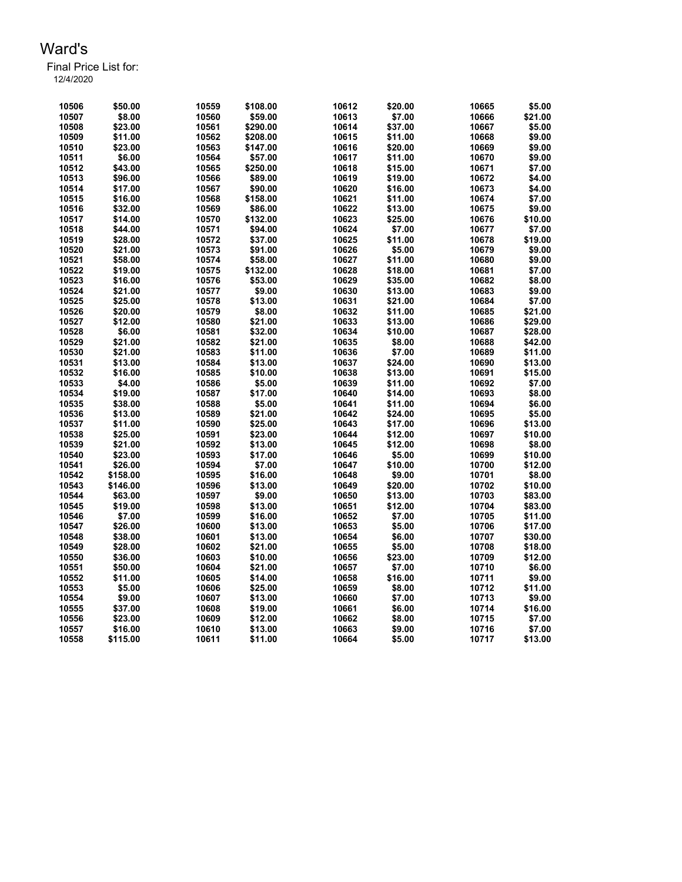Final Price List for: 12/4/2020

| 10506 | \$50.00  | 10559 | \$108.00 | 10612 | \$20.00 | 10665 | \$5.00  |
|-------|----------|-------|----------|-------|---------|-------|---------|
| 10507 | \$8.00   | 10560 | \$59.00  | 10613 | \$7.00  | 10666 | \$21.00 |
| 10508 | \$23.00  | 10561 | \$290.00 | 10614 | \$37.00 | 10667 | \$5.00  |
| 10509 | \$11.00  | 10562 | \$208.00 | 10615 | \$11.00 | 10668 | \$9.00  |
| 10510 | \$23.00  | 10563 | \$147.00 | 10616 | \$20.00 | 10669 | \$9.00  |
| 10511 | \$6.00   | 10564 | \$57.00  | 10617 | \$11.00 | 10670 | \$9.00  |
| 10512 | \$43.00  | 10565 | \$250.00 | 10618 | \$15.00 | 10671 | \$7.00  |
| 10513 | \$96.00  | 10566 | \$89.00  | 10619 | \$19.00 | 10672 | \$4.00  |
| 10514 | \$17.00  | 10567 | \$90.00  | 10620 | \$16.00 | 10673 | \$4.00  |
| 10515 | \$16.00  | 10568 | \$158.00 | 10621 | \$11.00 | 10674 | \$7.00  |
| 10516 | \$32.00  | 10569 | \$86.00  | 10622 | \$13.00 | 10675 | \$9.00  |
| 10517 | \$14.00  | 10570 | \$132.00 | 10623 | \$25.00 | 10676 | \$10.00 |
| 10518 | \$44.00  | 10571 | \$94.00  | 10624 | \$7.00  | 10677 | \$7.00  |
| 10519 | \$28.00  | 10572 | \$37.00  | 10625 | \$11.00 | 10678 | \$19.00 |
| 10520 | \$21.00  | 10573 | \$91.00  | 10626 | \$5.00  | 10679 | \$9.00  |
| 10521 | \$58.00  | 10574 | \$58.00  | 10627 | \$11.00 | 10680 | \$9.00  |
| 10522 | \$19.00  | 10575 | \$132.00 | 10628 | \$18.00 | 10681 | \$7.00  |
| 10523 | \$16.00  | 10576 | \$53.00  | 10629 | \$35.00 | 10682 | \$8.00  |
| 10524 | \$21.00  | 10577 | \$9.00   | 10630 | \$13.00 | 10683 | \$9.00  |
| 10525 | \$25.00  | 10578 | \$13.00  | 10631 | \$21.00 | 10684 | \$7.00  |
| 10526 | \$20.00  | 10579 | \$8.00   | 10632 | \$11.00 | 10685 | \$21.00 |
| 10527 | \$12.00  | 10580 | \$21.00  | 10633 | \$13.00 | 10686 | \$29.00 |
| 10528 | \$6.00   | 10581 | \$32.00  | 10634 | \$10.00 | 10687 | \$28.00 |
| 10529 | \$21.00  | 10582 | \$21.00  | 10635 | \$8.00  | 10688 | \$42.00 |
| 10530 | \$21.00  | 10583 | \$11.00  | 10636 | \$7.00  | 10689 | \$11.00 |
| 10531 | \$13.00  | 10584 | \$13.00  | 10637 | \$24.00 | 10690 | \$13.00 |
| 10532 | \$16.00  | 10585 | \$10.00  | 10638 | \$13.00 | 10691 | \$15.00 |
| 10533 | \$4.00   | 10586 | \$5.00   | 10639 | \$11.00 | 10692 | \$7.00  |
| 10534 | \$19.00  | 10587 | \$17.00  | 10640 | \$14.00 | 10693 | \$8.00  |
| 10535 | \$38.00  | 10588 | \$5.00   | 10641 | \$11.00 | 10694 | \$6.00  |
| 10536 | \$13.00  | 10589 | \$21.00  | 10642 | \$24.00 | 10695 | \$5.00  |
| 10537 | \$11.00  | 10590 | \$25.00  | 10643 | \$17.00 | 10696 | \$13.00 |
| 10538 | \$25.00  | 10591 | \$23.00  | 10644 | \$12.00 | 10697 | \$10.00 |
| 10539 | \$21.00  | 10592 | \$13.00  | 10645 | \$12.00 | 10698 | \$8.00  |
| 10540 | \$23.00  | 10593 | \$17.00  | 10646 | \$5.00  | 10699 | \$10.00 |
| 10541 | \$26.00  | 10594 | \$7.00   | 10647 | \$10.00 | 10700 | \$12.00 |
| 10542 | \$158.00 | 10595 | \$16.00  | 10648 | \$9.00  | 10701 | \$8.00  |
| 10543 | \$146.00 | 10596 | \$13.00  | 10649 | \$20.00 | 10702 | \$10.00 |
| 10544 | \$63.00  | 10597 | \$9.00   | 10650 | \$13.00 | 10703 | \$83.00 |
| 10545 | \$19.00  | 10598 | \$13.00  | 10651 | \$12.00 | 10704 | \$83.00 |
| 10546 | \$7.00   | 10599 | \$16.00  | 10652 | \$7.00  | 10705 | \$11.00 |
| 10547 | \$26.00  | 10600 | \$13.00  | 10653 | \$5.00  | 10706 | \$17.00 |
| 10548 | \$38.00  | 10601 | \$13.00  | 10654 | \$6.00  | 10707 | \$30.00 |
| 10549 | \$28.00  | 10602 | \$21.00  | 10655 | \$5.00  | 10708 | \$18.00 |
| 10550 | \$36.00  | 10603 | \$10.00  | 10656 | \$23.00 | 10709 | \$12.00 |
| 10551 | \$50.00  | 10604 | \$21.00  | 10657 | \$7.00  | 10710 | \$6.00  |
| 10552 | \$11.00  | 10605 | \$14.00  | 10658 | \$16.00 | 10711 | \$9.00  |
| 10553 | \$5.00   | 10606 | \$25.00  | 10659 | \$8.00  | 10712 | \$11.00 |
| 10554 | \$9.00   | 10607 | \$13.00  | 10660 | \$7.00  | 10713 | \$9.00  |
| 10555 | \$37.00  | 10608 | \$19.00  | 10661 | \$6.00  | 10714 | \$16.00 |
| 10556 | \$23.00  | 10609 | \$12.00  | 10662 | \$8.00  | 10715 | \$7.00  |
| 10557 | \$16.00  | 10610 | \$13.00  | 10663 | \$9.00  | 10716 | \$7.00  |
|       |          |       |          |       |         |       |         |

\$115.00 10611 \$11.00 10664 \$5.00 10717 \$13.00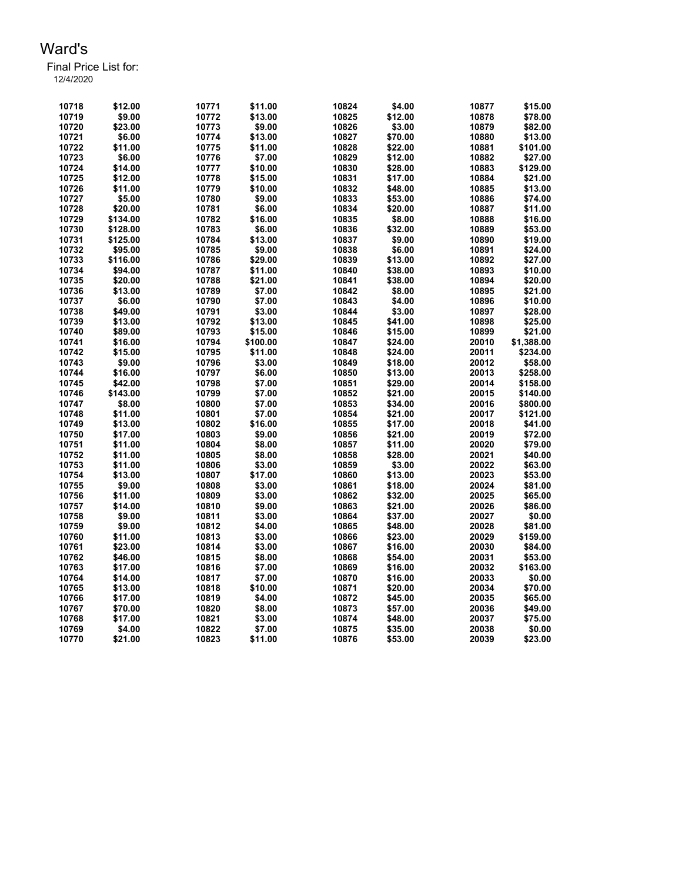| 10718 | \$12.00  | 10771 | \$11.00  | 10824 | \$4.00  | 10877 | \$15.00    |
|-------|----------|-------|----------|-------|---------|-------|------------|
| 10719 | \$9.00   | 10772 | \$13.00  | 10825 | \$12.00 | 10878 | \$78.00    |
| 10720 | \$23.00  | 10773 | \$9.00   | 10826 | \$3.00  | 10879 | \$82.00    |
| 10721 | \$6.00   | 10774 | \$13.00  | 10827 | \$70.00 | 10880 | \$13.00    |
| 10722 | \$11.00  | 10775 | \$11.00  | 10828 | \$22.00 | 10881 | \$101.00   |
| 10723 | \$6.00   | 10776 | \$7.00   | 10829 | \$12.00 | 10882 | \$27.00    |
| 10724 | \$14.00  | 10777 | \$10.00  | 10830 | \$28.00 | 10883 | \$129.00   |
| 10725 | \$12.00  | 10778 | \$15.00  | 10831 | \$17.00 | 10884 | \$21.00    |
| 10726 | \$11.00  | 10779 | \$10.00  | 10832 | \$48.00 | 10885 | \$13.00    |
| 10727 | \$5.00   | 10780 | \$9.00   | 10833 | \$53.00 | 10886 | \$74.00    |
| 10728 | \$20.00  | 10781 | \$6.00   | 10834 | \$20.00 | 10887 | \$11.00    |
| 10729 | \$134.00 | 10782 | \$16.00  | 10835 | \$8.00  | 10888 | \$16.00    |
| 10730 | \$128.00 | 10783 | \$6.00   | 10836 | \$32.00 | 10889 | \$53.00    |
| 10731 | \$125.00 | 10784 | \$13.00  | 10837 | \$9.00  | 10890 | \$19.00    |
| 10732 | \$95.00  | 10785 | \$9.00   | 10838 | \$6.00  | 10891 | \$24.00    |
| 10733 | \$116.00 | 10786 | \$29.00  | 10839 | \$13.00 | 10892 | \$27.00    |
| 10734 | \$94.00  | 10787 | \$11.00  | 10840 | \$38.00 | 10893 | \$10.00    |
| 10735 | \$20.00  | 10788 | \$21.00  | 10841 | \$38.00 | 10894 | \$20.00    |
| 10736 | \$13.00  | 10789 | \$7.00   | 10842 | \$8.00  | 10895 | \$21.00    |
| 10737 | \$6.00   | 10790 | \$7.00   | 10843 | \$4.00  | 10896 | \$10.00    |
| 10738 | \$49.00  | 10791 | \$3.00   | 10844 | \$3.00  | 10897 | \$28.00    |
| 10739 | \$13.00  | 10792 | \$13.00  | 10845 | \$41.00 | 10898 | \$25.00    |
| 10740 | \$89.00  | 10793 | \$15.00  | 10846 | \$15.00 | 10899 | \$21.00    |
| 10741 | \$16.00  | 10794 | \$100.00 | 10847 | \$24.00 | 20010 | \$1,388.00 |
| 10742 | \$15.00  | 10795 | \$11.00  | 10848 | \$24.00 | 20011 | \$234.00   |
| 10743 | \$9.00   | 10796 | \$3.00   | 10849 | \$18.00 | 20012 | \$58.00    |
| 10744 | \$16.00  | 10797 | \$6.00   | 10850 | \$13.00 | 20013 | \$258.00   |
| 10745 | \$42.00  | 10798 | \$7.00   | 10851 | \$29.00 | 20014 | \$158.00   |
| 10746 | \$143.00 | 10799 | \$7.00   | 10852 | \$21.00 | 20015 | \$140.00   |
| 10747 | \$8.00   | 10800 | \$7.00   | 10853 | \$34.00 | 20016 | \$800.00   |
| 10748 | \$11.00  | 10801 | \$7.00   | 10854 | \$21.00 | 20017 | \$121.00   |
| 10749 | \$13.00  | 10802 | \$16.00  | 10855 | \$17.00 | 20018 | \$41.00    |
| 10750 | \$17.00  | 10803 | \$9.00   | 10856 | \$21.00 | 20019 | \$72.00    |
| 10751 | \$11.00  | 10804 | \$8.00   | 10857 | \$11.00 | 20020 | \$79.00    |
| 10752 | \$11.00  | 10805 | \$8.00   | 10858 | \$28.00 | 20021 | \$40.00    |
| 10753 | \$11.00  | 10806 | \$3.00   | 10859 | \$3.00  | 20022 | \$63.00    |
| 10754 | \$13.00  | 10807 | \$17.00  | 10860 | \$13.00 | 20023 | \$53.00    |
| 10755 | \$9.00   | 10808 | \$3.00   | 10861 | \$18.00 | 20024 | \$81.00    |
| 10756 | \$11.00  | 10809 | \$3.00   | 10862 | \$32.00 | 20025 | \$65.00    |
| 10757 | \$14.00  | 10810 | \$9.00   | 10863 | \$21.00 | 20026 | \$86.00    |
| 10758 | \$9.00   | 10811 | \$3.00   | 10864 | \$37.00 | 20027 | \$0.00     |
| 10759 | \$9.00   | 10812 | \$4.00   | 10865 | \$48.00 | 20028 | \$81.00    |
| 10760 | \$11.00  | 10813 | \$3.00   | 10866 | \$23.00 | 20029 | \$159.00   |
| 10761 | \$23.00  | 10814 | \$3.00   | 10867 | \$16.00 | 20030 | \$84.00    |
| 10762 | \$46.00  | 10815 | \$8.00   | 10868 | \$54.00 | 20031 | \$53.00    |
| 10763 | \$17.00  | 10816 | \$7.00   | 10869 | \$16.00 | 20032 | \$163.00   |
| 10764 | \$14.00  | 10817 | \$7.00   | 10870 | \$16.00 | 20033 | \$0.00     |
| 10765 | \$13.00  | 10818 | \$10.00  | 10871 | \$20.00 | 20034 | \$70.00    |
| 10766 | \$17.00  | 10819 | \$4.00   | 10872 | \$45.00 | 20035 | \$65.00    |
| 10767 | \$70.00  | 10820 | \$8.00   | 10873 | \$57.00 | 20036 | \$49.00    |
| 10768 | \$17.00  | 10821 | \$3.00   | 10874 | \$48.00 | 20037 | \$75.00    |
| 10769 | \$4.00   | 10822 | \$7.00   | 10875 | \$35.00 | 20038 | \$0.00     |
| 10770 | \$21.00  | 10823 | \$11.00  | 10876 | \$53.00 | 20039 | \$23.00    |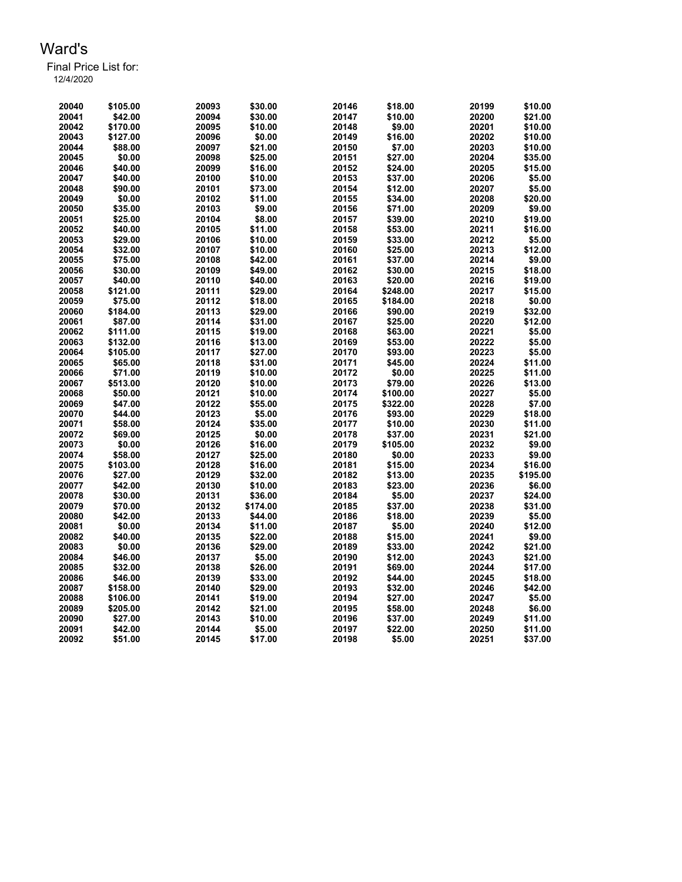| 20040 | \$105.00 | 20093 | \$30.00  | 20146 | \$18.00  | 20199 | \$10.00  |
|-------|----------|-------|----------|-------|----------|-------|----------|
| 20041 | \$42.00  | 20094 | \$30.00  | 20147 | \$10.00  | 20200 | \$21.00  |
| 20042 | \$170.00 | 20095 | \$10.00  | 20148 | \$9.00   | 20201 | \$10.00  |
| 20043 | \$127.00 | 20096 | \$0.00   | 20149 | \$16.00  | 20202 | \$10.00  |
| 20044 | \$88.00  | 20097 | \$21.00  | 20150 | \$7.00   | 20203 | \$10.00  |
| 20045 | \$0.00   | 20098 | \$25.00  | 20151 | \$27.00  | 20204 | \$35.00  |
| 20046 | \$40.00  | 20099 | \$16.00  | 20152 | \$24.00  | 20205 | \$15.00  |
| 20047 | \$40.00  | 20100 | \$10.00  | 20153 | \$37.00  | 20206 | \$5.00   |
| 20048 | \$90.00  | 20101 | \$73.00  | 20154 | \$12.00  | 20207 | \$5.00   |
| 20049 | \$0.00   | 20102 | \$11.00  | 20155 | \$34.00  | 20208 | \$20.00  |
| 20050 | \$35.00  | 20103 | \$9.00   | 20156 | \$71.00  | 20209 | \$9.00   |
| 20051 | \$25.00  | 20104 | \$8.00   | 20157 | \$39.00  | 20210 | \$19.00  |
| 20052 | \$40.00  | 20105 | \$11.00  | 20158 | \$53.00  | 20211 | \$16.00  |
| 20053 | \$29.00  | 20106 | \$10.00  | 20159 | \$33.00  | 20212 | \$5.00   |
| 20054 | \$32.00  | 20107 | \$10.00  | 20160 | \$25.00  | 20213 | \$12.00  |
| 20055 | \$75.00  | 20108 | \$42.00  | 20161 | \$37.00  | 20214 | \$9.00   |
| 20056 | \$30.00  | 20109 | \$49.00  | 20162 | \$30.00  | 20215 | \$18.00  |
| 20057 | \$40.00  | 20110 | \$40.00  | 20163 | \$20.00  | 20216 | \$19.00  |
| 20058 | \$121.00 | 20111 | \$29.00  | 20164 | \$248.00 | 20217 | \$15.00  |
| 20059 | \$75.00  | 20112 | \$18.00  | 20165 | \$184.00 | 20218 | \$0.00   |
| 20060 | \$184.00 | 20113 | \$29.00  | 20166 | \$90.00  | 20219 | \$32.00  |
| 20061 | \$87.00  | 20114 | \$31.00  | 20167 | \$25.00  | 20220 | \$12.00  |
| 20062 | \$111.00 | 20115 | \$19.00  | 20168 | \$63.00  | 20221 | \$5.00   |
| 20063 | \$132.00 | 20116 | \$13.00  | 20169 | \$53.00  | 20222 | \$5.00   |
| 20064 | \$105.00 | 20117 | \$27.00  | 20170 | \$93.00  | 20223 | \$5.00   |
| 20065 | \$65.00  | 20118 | \$31.00  | 20171 | \$45.00  | 20224 | \$11.00  |
| 20066 | \$71.00  | 20119 | \$10.00  | 20172 | \$0.00   | 20225 | \$11.00  |
| 20067 | \$513.00 | 20120 | \$10.00  | 20173 | \$79.00  | 20226 | \$13.00  |
| 20068 | \$50.00  | 20121 | \$10.00  | 20174 | \$100.00 | 20227 | \$5.00   |
| 20069 | \$47.00  | 20122 | \$55.00  | 20175 | \$322.00 | 20228 | \$7.00   |
| 20070 | \$44.00  | 20123 | \$5.00   | 20176 | \$93.00  | 20229 | \$18.00  |
| 20071 | \$58.00  | 20124 | \$35.00  | 20177 | \$10.00  | 20230 | \$11.00  |
| 20072 | \$69.00  | 20125 | \$0.00   | 20178 | \$37.00  | 20231 | \$21.00  |
| 20073 | \$0.00   | 20126 | \$16.00  | 20179 | \$105.00 | 20232 | \$9.00   |
| 20074 | \$58.00  | 20127 | \$25.00  | 20180 | \$0.00   | 20233 | \$9.00   |
| 20075 | \$103.00 | 20128 | \$16.00  | 20181 | \$15.00  | 20234 | \$16.00  |
| 20076 | \$27.00  | 20129 | \$32.00  | 20182 | \$13.00  | 20235 | \$195.00 |
| 20077 | \$42.00  | 20130 | \$10.00  | 20183 | \$23.00  | 20236 | \$6.00   |
| 20078 | \$30.00  | 20131 | \$36.00  | 20184 | \$5.00   | 20237 | \$24.00  |
| 20079 | \$70.00  | 20132 | \$174.00 | 20185 | \$37.00  | 20238 | \$31.00  |
| 20080 | \$42.00  | 20133 | \$44.00  | 20186 | \$18.00  | 20239 | \$5.00   |
| 20081 | \$0.00   | 20134 | \$11.00  | 20187 | \$5.00   | 20240 | \$12.00  |
| 20082 | \$40.00  | 20135 | \$22.00  | 20188 | \$15.00  | 20241 | \$9.00   |
| 20083 | \$0.00   | 20136 | \$29.00  | 20189 | \$33.00  | 20242 | \$21.00  |
| 20084 | \$46.00  | 20137 | \$5.00   | 20190 | \$12.00  | 20243 | \$21.00  |
| 20085 | \$32.00  | 20138 | \$26.00  | 20191 | \$69.00  | 20244 | \$17.00  |
| 20086 | \$46.00  | 20139 | \$33.00  | 20192 | \$44.00  | 20245 | \$18.00  |
| 20087 | \$158.00 | 20140 | \$29.00  | 20193 | \$32.00  | 20246 | \$42.00  |
| 20088 | \$106.00 | 20141 | \$19.00  | 20194 | \$27.00  | 20247 | \$5.00   |
| 20089 | \$205.00 | 20142 | \$21.00  | 20195 | \$58.00  | 20248 | \$6.00   |
| 20090 | \$27.00  | 20143 | \$10.00  | 20196 | \$37.00  | 20249 | \$11.00  |
| 20091 | \$42.00  | 20144 | \$5.00   | 20197 | \$22.00  | 20250 | \$11.00  |
| 20092 | \$51.00  | 20145 | \$17.00  | 20198 | \$5.00   | 20251 | \$37.00  |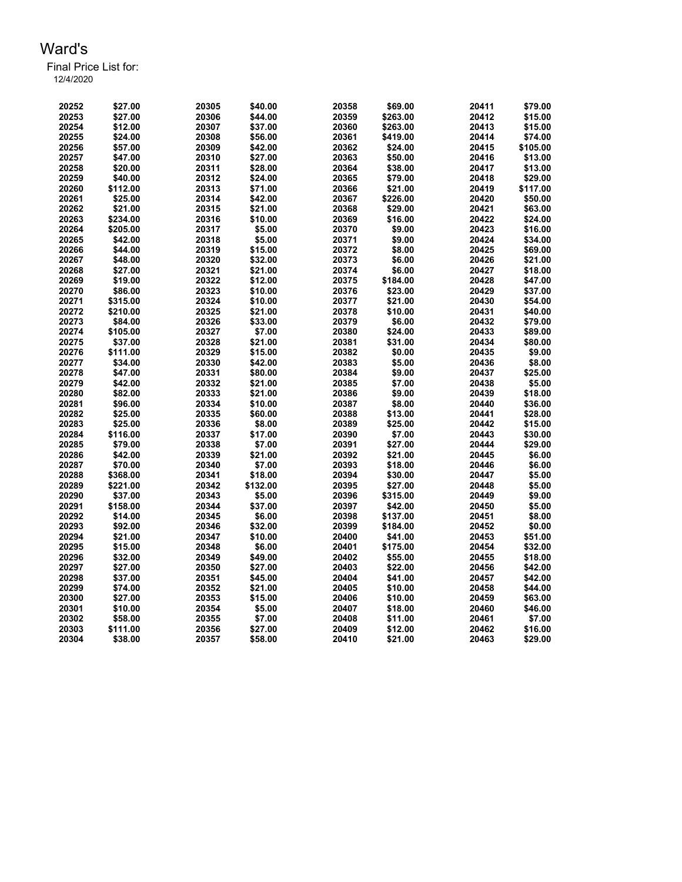Final Price List for:

| 20252 | \$27.00  | 20305 | \$40.00  | 20358 | \$69.00  | 20411 | \$79.00  |
|-------|----------|-------|----------|-------|----------|-------|----------|
| 20253 | \$27.00  | 20306 | \$44.00  | 20359 | \$263.00 | 20412 | \$15.00  |
| 20254 | \$12.00  | 20307 | \$37.00  | 20360 | \$263.00 | 20413 | \$15.00  |
| 20255 | \$24.00  | 20308 | \$56.00  | 20361 | \$419.00 | 20414 | \$74.00  |
| 20256 | \$57.00  | 20309 | \$42.00  | 20362 | \$24.00  | 20415 | \$105.00 |
| 20257 | \$47.00  | 20310 | \$27.00  | 20363 | \$50.00  | 20416 | \$13.00  |
| 20258 | \$20.00  | 20311 | \$28.00  | 20364 | \$38.00  | 20417 | \$13.00  |
| 20259 | \$40.00  | 20312 | \$24.00  | 20365 | \$79.00  | 20418 | \$29.00  |
| 20260 | \$112.00 | 20313 | \$71.00  | 20366 | \$21.00  | 20419 | \$117.00 |
|       |          |       |          | 20367 |          |       | \$50.00  |
| 20261 | \$25.00  | 20314 | \$42.00  |       | \$226.00 | 20420 |          |
| 20262 | \$21.00  | 20315 | \$21.00  | 20368 | \$29.00  | 20421 | \$63.00  |
| 20263 | \$234.00 | 20316 | \$10.00  | 20369 | \$16.00  | 20422 | \$24.00  |
| 20264 | \$205.00 | 20317 | \$5.00   | 20370 | \$9.00   | 20423 | \$16.00  |
| 20265 | \$42.00  | 20318 | \$5.00   | 20371 | \$9.00   | 20424 | \$34.00  |
| 20266 | \$44.00  | 20319 | \$15.00  | 20372 | \$8.00   | 20425 | \$69.00  |
| 20267 | \$48.00  | 20320 | \$32.00  | 20373 | \$6.00   | 20426 | \$21.00  |
| 20268 | \$27.00  | 20321 | \$21.00  | 20374 | \$6.00   | 20427 | \$18.00  |
| 20269 | \$19.00  | 20322 | \$12.00  | 20375 | \$184.00 | 20428 | \$47.00  |
| 20270 | \$86.00  | 20323 | \$10.00  | 20376 | \$23.00  | 20429 | \$37.00  |
| 20271 | \$315.00 | 20324 | \$10.00  | 20377 | \$21.00  | 20430 | \$54.00  |
| 20272 | \$210.00 | 20325 | \$21.00  | 20378 | \$10.00  | 20431 | \$40.00  |
| 20273 | \$84.00  | 20326 | \$33.00  | 20379 | \$6.00   | 20432 | \$79.00  |
| 20274 | \$105.00 | 20327 | \$7.00   | 20380 | \$24.00  | 20433 | \$89.00  |
| 20275 | \$37.00  | 20328 | \$21.00  | 20381 | \$31.00  | 20434 | \$80.00  |
|       |          |       |          |       |          |       |          |
| 20276 | \$111.00 | 20329 | \$15.00  | 20382 | \$0.00   | 20435 | \$9.00   |
| 20277 | \$34.00  | 20330 | \$42.00  | 20383 | \$5.00   | 20436 | \$8.00   |
| 20278 | \$47.00  | 20331 | \$80.00  | 20384 | \$9.00   | 20437 | \$25.00  |
| 20279 | \$42.00  | 20332 | \$21.00  | 20385 | \$7.00   | 20438 | \$5.00   |
| 20280 | \$82.00  | 20333 | \$21.00  | 20386 | \$9.00   | 20439 | \$18.00  |
| 20281 | \$96.00  | 20334 | \$10.00  | 20387 | \$8.00   | 20440 | \$36.00  |
| 20282 | \$25.00  | 20335 | \$60.00  | 20388 | \$13.00  | 20441 | \$28.00  |
| 20283 | \$25.00  | 20336 | \$8.00   | 20389 | \$25.00  | 20442 | \$15.00  |
| 20284 | \$116.00 | 20337 | \$17.00  | 20390 | \$7.00   | 20443 | \$30.00  |
| 20285 | \$79.00  | 20338 | \$7.00   | 20391 | \$27.00  | 20444 | \$29.00  |
| 20286 | \$42.00  | 20339 | \$21.00  | 20392 | \$21.00  | 20445 | \$6.00   |
| 20287 | \$70.00  | 20340 | \$7.00   | 20393 | \$18.00  | 20446 | \$6.00   |
| 20288 | \$368.00 | 20341 | \$18.00  | 20394 | \$30.00  | 20447 | \$5.00   |
| 20289 | \$221.00 | 20342 | \$132.00 | 20395 | \$27.00  | 20448 | \$5.00   |
| 20290 | \$37.00  | 20343 | \$5.00   | 20396 | \$315.00 | 20449 | \$9.00   |
| 20291 | \$158.00 | 20344 | \$37.00  | 20397 | \$42.00  | 20450 | \$5.00   |
| 20292 | \$14.00  | 20345 | \$6.00   | 20398 | \$137.00 | 20451 | \$8.00   |
| 20293 | \$92.00  | 20346 | \$32.00  | 20399 |          |       | \$0.00   |
|       |          |       |          |       | \$184.00 | 20452 |          |
| 20294 | \$21.00  | 20347 | \$10.00  | 20400 | \$41.00  | 20453 | \$51.00  |
| 20295 | \$15.00  | 20348 | \$6.00   | 20401 | \$175.00 | 20454 | \$32.00  |
| 20296 | \$32.00  | 20349 | \$49.00  | 20402 | \$55.00  | 20455 | \$18.00  |
| 20297 | \$27.00  | 20350 | \$27.00  | 20403 | \$22.00  | 20456 | \$42.00  |
| 20298 | \$37.00  | 20351 | \$45.00  | 20404 | \$41.00  | 20457 | \$42.00  |
| 20299 | \$74.00  | 20352 | \$21.00  | 20405 | \$10.00  | 20458 | \$44.00  |
| 20300 | \$27.00  | 20353 | \$15.00  | 20406 | \$10.00  | 20459 | \$63.00  |
| 20301 | \$10.00  | 20354 | \$5.00   | 20407 | \$18.00  | 20460 | \$46.00  |
| 20302 | \$58.00  | 20355 | \$7.00   | 20408 | \$11.00  | 20461 | \$7.00   |
| 20303 | \$111.00 | 20356 | \$27.00  | 20409 | \$12.00  | 20462 | \$16.00  |
| 20304 | \$38.00  | 20357 | \$58.00  | 20410 | \$21.00  | 20463 | \$29.00  |
|       |          |       |          |       |          |       |          |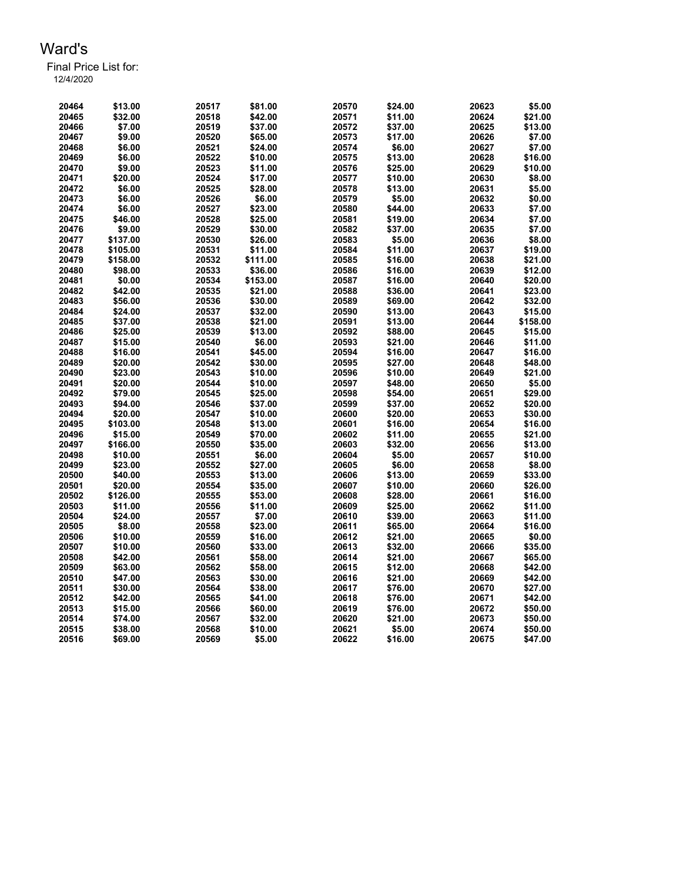Final Price List for: 12/4/2020

> \$13.00 20517 \$81.00 20570 \$24.00 20623 \$5.00 \$32.00 20518 \$42.00 20571 \$11.00 20624 \$21.00 \$7.00 20519 \$37.00 20572 \$37.00 20625 \$13.00 \$9.00 20520 \$65.00 20573 \$17.00 20626 \$7.00 \$6.00 20521 \$24.00 20574 \$6.00 20627 \$7.00 \$6.00 20522 \$10.00 20575 \$13.00 20628 \$16.00 \$9.00 20523 \$11.00 20576 \$25.00 20629 \$10.00 \$20.00 20524 \$17.00 20577 \$10.00 20630 \$8.00 \$6.00 20525 \$28.00 20578 \$13.00 20631 \$5.00 \$6.00 20526 \$6.00 20579 \$5.00 20632 \$0.00 \$6.00 20527 \$23.00 20580 \$44.00 20633 \$7.00 \$46.00 20528 \$25.00 20581 \$19.00 20634 \$7.00 \$9.00 20529 \$30.00 20582 \$37.00 20635 \$7.00 \$137.00 20530 \$26.00 20583 \$5.00 20636 \$8.00 \$105.00 20531 \$11.00 20584 \$11.00 20637 \$19.00 \$158.00 20532 \$111.00 20585 \$16.00 20638 \$21.00 \$98.00 20533 \$36.00 20586 \$16.00 20639 \$12.00 \$0.00 20534 \$153.00 20587 \$16.00 20640 \$20.00 \$42.00 20535 \$21.00 20588 \$36.00 20641 \$23.00 \$56.00 20536 \$30.00 20589 \$69.00 20642 \$32.00 \$24.00 20537 \$32.00 20590 \$13.00 20643 \$15.00 \$37.00 20538 \$21.00 20591 \$13.00 20644 \$158.00 \$25.00 20539 \$13.00 20592 \$88.00 20645 \$15.00 \$15.00 20540 \$6.00 20593 \$21.00 20646 \$11.00 \$16.00 20541 \$45.00 20594 \$16.00 20647 \$16.00 \$20.00 20542 \$30.00 20595 \$27.00 20648 \$48.00 \$23.00 20543 \$10.00 20596 \$10.00 20649 \$21.00 \$20.00 20544 \$10.00 20597 \$48.00 20650 \$5.00 \$79.00 20545 \$25.00 20598 \$54.00 20651 \$29.00 \$94.00 20546 \$37.00 20599 \$37.00 20652 \$20.00 \$20.00 20547 \$10.00 20600 \$20.00 20653 \$30.00 \$103.00 20548 \$13.00 20601 \$16.00 20654 \$16.00 \$15.00 20549 \$70.00 20602 \$11.00 20655 \$21.00 \$166.00 20550 \$35.00 20603 \$32.00 20656 \$13.00 \$10.00 20551 \$6.00 20604 \$5.00 20657 \$10.00 \$23.00 20552 \$27.00 20605 \$6.00 20658 \$8.00 \$40.00 20553 \$13.00 20606 \$13.00 20659 \$33.00 \$20.00 20554 \$35.00 20607 \$10.00 20660 \$26.00 \$126.00 20555 \$53.00 20608 \$28.00 20661 \$16.00 \$11.00 20556 \$11.00 20609 \$25.00 20662 \$11.00 \$24.00 20557 \$7.00 20610 \$39.00 20663 \$11.00 \$8.00 20558 \$23.00 20611 \$65.00 20664 \$16.00 \$10.00 20559 \$16.00 20612 \$21.00 20665 \$0.00 \$10.00 20560 \$33.00 20613 \$32.00 20666 \$35.00 \$42.00 20561 \$58.00 20614 \$21.00 20667 \$65.00 \$63.00 20562 \$58.00 20615 \$12.00 20668 \$42.00 \$47.00 20563 \$30.00 20616 \$21.00 20669 \$42.00 \$30.00 20564 \$38.00 20617 \$76.00 20670 \$27.00 \$42.00 20565 \$41.00 20618 \$76.00 20671 \$42.00 \$15.00 20566 \$60.00 20619 \$76.00 20672 \$50.00 \$74.00 20567 \$32.00 20620 \$21.00 20673 \$50.00 \$38.00 20568 \$10.00 20621 \$5.00 20674 \$50.00 \$69.00 20569 \$5.00 20622 \$16.00 20675 \$47.00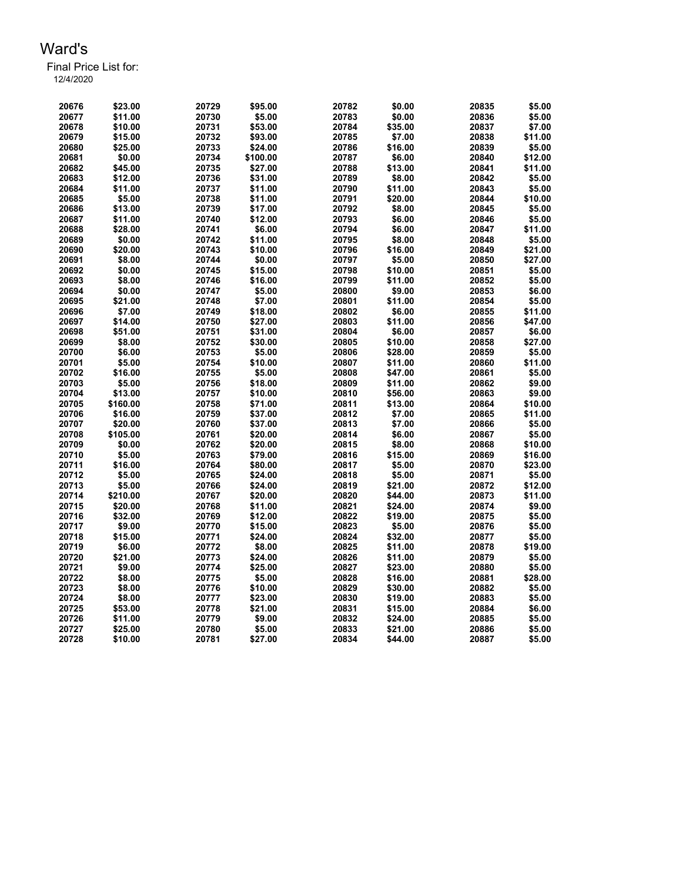Final Price List for:

| 12/4/2020 |  |  |  |
|-----------|--|--|--|
|           |  |  |  |

| 20676 | \$23.00  | 20729 | \$95.00  | 20782 | \$0.00  | 20835 | \$5.00  |
|-------|----------|-------|----------|-------|---------|-------|---------|
| 20677 | \$11.00  | 20730 | \$5.00   | 20783 | \$0.00  | 20836 | \$5.00  |
| 20678 | \$10.00  | 20731 | \$53.00  | 20784 | \$35.00 | 20837 | \$7.00  |
| 20679 | \$15.00  | 20732 | \$93.00  | 20785 | \$7.00  | 20838 | \$11.00 |
| 20680 | \$25.00  | 20733 | \$24.00  | 20786 | \$16.00 | 20839 | \$5.00  |
| 20681 | \$0.00   | 20734 | \$100.00 | 20787 | \$6.00  | 20840 | \$12.00 |
| 20682 | \$45.00  | 20735 | \$27.00  | 20788 | \$13.00 | 20841 | \$11.00 |
| 20683 | \$12.00  | 20736 | \$31.00  | 20789 | \$8.00  | 20842 | \$5.00  |
| 20684 | \$11.00  | 20737 | \$11.00  | 20790 | \$11.00 | 20843 | \$5.00  |
| 20685 | \$5.00   | 20738 | \$11.00  | 20791 | \$20.00 | 20844 | \$10.00 |
| 20686 | \$13.00  | 20739 | \$17.00  | 20792 | \$8.00  | 20845 | \$5.00  |
| 20687 | \$11.00  | 20740 | \$12.00  | 20793 | \$6.00  | 20846 | \$5.00  |
| 20688 | \$28.00  | 20741 | \$6.00   | 20794 | \$6.00  | 20847 | \$11.00 |
| 20689 | \$0.00   | 20742 | \$11.00  | 20795 | \$8.00  | 20848 | \$5.00  |
| 20690 | \$20.00  | 20743 | \$10.00  | 20796 | \$16.00 | 20849 | \$21.00 |
| 20691 | \$8.00   | 20744 | \$0.00   | 20797 | \$5.00  | 20850 | \$27.00 |
| 20692 | \$0.00   | 20745 | \$15.00  | 20798 | \$10.00 | 20851 | \$5.00  |
| 20693 | \$8.00   | 20746 | \$16.00  | 20799 | \$11.00 | 20852 | \$5.00  |
| 20694 | \$0.00   | 20747 | \$5.00   | 20800 | \$9.00  | 20853 | \$6.00  |
| 20695 | \$21.00  | 20748 | \$7.00   | 20801 | \$11.00 | 20854 | \$5.00  |
| 20696 | \$7.00   | 20749 | \$18.00  | 20802 | \$6.00  | 20855 | \$11.00 |
| 20697 | \$14.00  | 20750 | \$27.00  | 20803 | \$11.00 | 20856 | \$47.00 |
| 20698 | \$51.00  | 20751 | \$31.00  | 20804 | \$6.00  | 20857 | \$6.00  |
| 20699 | \$8.00   | 20752 | \$30.00  | 20805 | \$10.00 | 20858 | \$27.00 |
| 20700 | \$6.00   | 20753 | \$5.00   | 20806 | \$28.00 | 20859 | \$5.00  |
| 20701 | \$5.00   | 20754 | \$10.00  | 20807 | \$11.00 | 20860 | \$11.00 |
| 20702 | \$16.00  | 20755 | \$5.00   | 20808 | \$47.00 | 20861 | \$5.00  |
| 20703 | \$5.00   | 20756 | \$18.00  | 20809 | \$11.00 | 20862 | \$9.00  |
| 20704 | \$13.00  | 20757 | \$10.00  | 20810 | \$56.00 | 20863 | \$9.00  |
| 20705 | \$160.00 | 20758 | \$71.00  | 20811 | \$13.00 | 20864 | \$10.00 |
| 20706 | \$16.00  | 20759 | \$37.00  | 20812 | \$7.00  | 20865 | \$11.00 |
| 20707 | \$20.00  | 20760 | \$37.00  | 20813 | \$7.00  | 20866 | \$5.00  |
| 20708 | \$105.00 | 20761 | \$20.00  | 20814 | \$6.00  | 20867 | \$5.00  |
| 20709 | \$0.00   | 20762 | \$20.00  | 20815 | \$8.00  | 20868 | \$10.00 |
| 20710 | \$5.00   | 20763 | \$79.00  | 20816 | \$15.00 | 20869 | \$16.00 |
| 20711 | \$16.00  | 20764 | \$80.00  | 20817 | \$5.00  | 20870 | \$23.00 |
| 20712 | \$5.00   | 20765 | \$24.00  | 20818 | \$5.00  | 20871 | \$5.00  |
| 20713 | \$5.00   | 20766 | \$24.00  | 20819 | \$21.00 | 20872 | \$12.00 |
| 20714 | \$210.00 | 20767 | \$20.00  | 20820 | \$44.00 | 20873 | \$11.00 |
| 20715 | \$20.00  | 20768 | \$11.00  | 20821 | \$24.00 | 20874 | \$9.00  |
| 20716 | \$32.00  | 20769 | \$12.00  | 20822 | \$19.00 | 20875 | \$5.00  |
| 20717 | \$9.00   | 20770 | \$15.00  | 20823 | \$5.00  | 20876 | \$5.00  |
| 20718 | \$15.00  | 20771 | \$24.00  | 20824 | \$32.00 | 20877 | \$5.00  |
| 20719 | \$6.00   | 20772 | \$8.00   | 20825 | \$11.00 | 20878 | \$19.00 |
| 20720 | \$21.00  | 20773 | \$24.00  | 20826 | \$11.00 | 20879 | \$5.00  |
| 20721 | \$9.00   | 20774 | \$25.00  | 20827 | \$23.00 | 20880 | \$5.00  |
| 20722 | \$8.00   | 20775 | \$5.00   | 20828 | \$16.00 | 20881 | \$28.00 |
| 20723 | \$8.00   | 20776 | \$10.00  | 20829 | \$30.00 | 20882 | \$5.00  |
| 20724 | \$8.00   | 20777 | \$23.00  | 20830 | \$19.00 | 20883 | \$5.00  |
| 20725 | \$53.00  | 20778 | \$21.00  | 20831 | \$15.00 | 20884 | \$6.00  |
| 20726 | \$11.00  | 20779 | \$9.00   | 20832 | \$24.00 | 20885 | \$5.00  |
| 20727 | \$25.00  | 20780 | \$5.00   | 20833 | \$21.00 | 20886 | \$5.00  |
| 20728 | \$10.00  | 20781 | \$27.00  | 20834 | \$44.00 | 20887 | \$5.00  |
|       |          |       |          |       |         |       |         |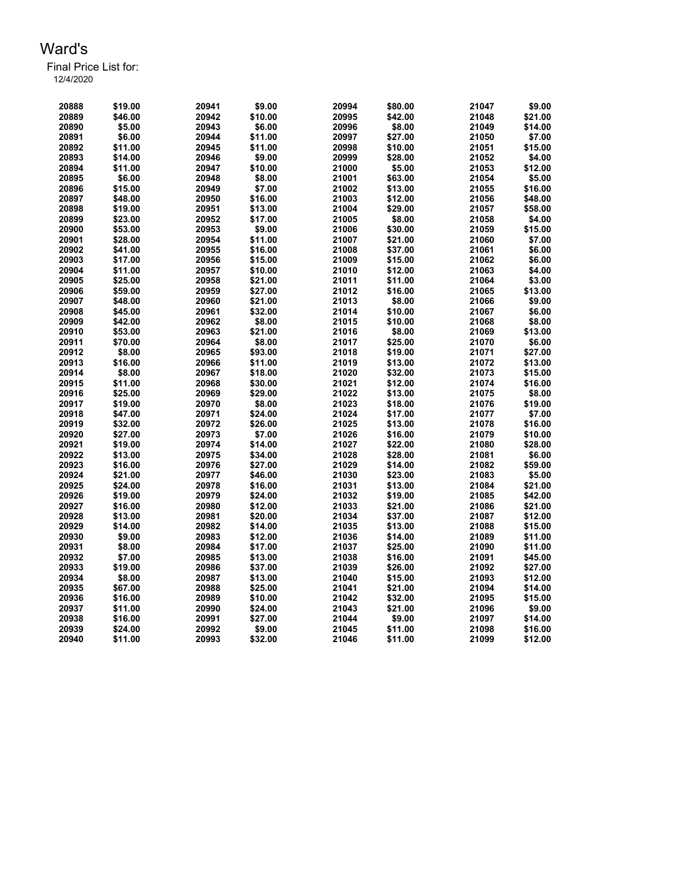Final Price List for: 12/4/2020

> \$19.00 20941 \$9.00 20994 \$80.00 21047 \$9.00 \$46.00 20942 \$10.00 20995 \$42.00 21048 \$21.00 \$5.00 20943 \$6.00 20996 \$8.00 21049 \$14.00 \$6.00 20944 \$11.00 20997 \$27.00 21050 \$7.00 \$11.00 20945 \$11.00 20998 \$10.00 21051 \$15.00 \$14.00 20946 \$9.00 20999 \$28.00 21052 \$4.00 \$11.00 20947 \$10.00 21000 \$5.00 21053 \$12.00 \$6.00 20948 \$8.00 21001 \$63.00 21054 \$5.00 \$15.00 20949 \$7.00 21002 \$13.00 21055 \$16.00 \$48.00 20950 \$16.00 21003 \$12.00 21056 \$48.00 \$19.00 20951 \$13.00 21004 \$29.00 21057 \$58.00 \$23.00 20952 \$17.00 21005 \$8.00 21058 \$4.00 \$53.00 20953 \$9.00 21006 \$30.00 21059 \$15.00 \$28.00 20954 \$11.00 21007 \$21.00 21060 \$7.00 \$41.00 20955 \$16.00 21008 \$37.00 21061 \$6.00 \$17.00 20956 \$15.00 21009 \$15.00 21062 \$6.00 \$11.00 20957 \$10.00 21010 \$12.00 21063 \$4.00 \$25.00 20958 \$21.00 21011 \$11.00 21064 \$3.00 \$59.00 20959 \$27.00 21012 \$16.00 21065 \$13.00 \$48.00 20960 \$21.00 21013 \$8.00 21066 \$9.00 \$45.00 20961 \$32.00 21014 \$10.00 21067 \$6.00 \$42.00 20962 \$8.00 21015 \$10.00 21068 \$8.00 \$53.00 20963 \$21.00 21016 \$8.00 21069 \$13.00 \$70.00 20964 \$8.00 21017 \$25.00 21070 \$6.00 \$8.00 20965 \$93.00 21018 \$19.00 21071 \$27.00 \$16.00 20966 \$11.00 21019 \$13.00 21072 \$13.00 \$8.00 20967 \$18.00 21020 \$32.00 21073 \$15.00 \$11.00 20968 \$30.00 21021 \$12.00 21074 \$16.00 \$25.00 20969 \$29.00 21022 \$13.00 21075 \$8.00 \$19.00 20970 \$8.00 21023 \$18.00 21076 \$19.00 \$47.00 20971 \$24.00 21024 \$17.00 21077 \$7.00 \$32.00 20972 \$26.00 21025 \$13.00 21078 \$16.00 \$27.00 20973 \$7.00 21026 \$16.00 21079 \$10.00 \$19.00 20974 \$14.00 21027 \$22.00 21080 \$28.00 \$13.00 20975 \$34.00 21028 \$28.00 21081 \$6.00 \$16.00 20976 \$27.00 21029 \$14.00 21082 \$59.00 \$21.00 20977 \$46.00 21030 \$23.00 21083 \$5.00 \$24.00 20978 \$16.00 21031 \$13.00 21084 \$21.00 \$19.00 20979 \$24.00 21032 \$19.00 21085 \$42.00 \$16.00 20980 \$12.00 21033 \$21.00 21086 \$21.00 \$13.00 20981 \$20.00 21034 \$37.00 21087 \$12.00 \$14.00 20982 \$14.00 21035 \$13.00 21088 \$15.00 \$9.00 20983 \$12.00 21036 \$14.00 21089 \$11.00 \$8.00 20984 \$17.00 21037 \$25.00 21090 \$11.00 \$7.00 20985 \$13.00 21038 \$16.00 21091 \$45.00 \$19.00 20986 \$37.00 21039 \$26.00 21092 \$27.00 \$8.00 20987 \$13.00 21040 \$15.00 21093 \$12.00 \$67.00 20988 \$25.00 21041 \$21.00 21094 \$14.00 \$16.00 20989 \$10.00 21042 \$32.00 21095 \$15.00 \$11.00 20990 \$24.00 21043 \$21.00 21096 \$9.00

> \$16.00 20991 \$27.00 21044 \$9.00 21097 \$14.00 \$24.00 20992 \$9.00 21045 \$11.00 21098 \$16.00 \$11.00 20993 \$32.00 21046 \$11.00 21099 \$12.00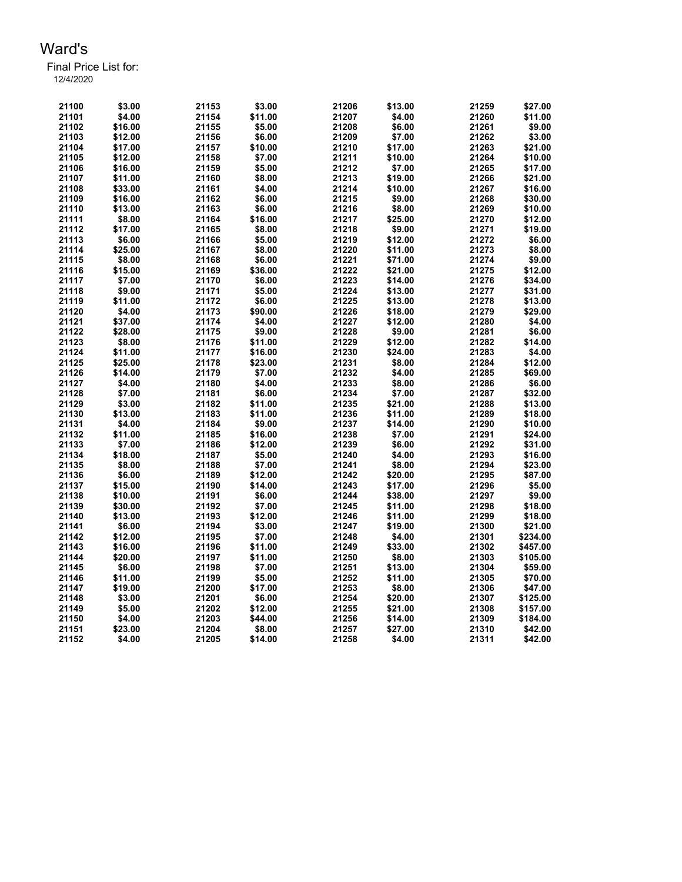| 21100 | \$3.00  | 21153 | \$3.00  | 21206 | \$13.00 | 21259          | \$27.00  |
|-------|---------|-------|---------|-------|---------|----------------|----------|
| 21101 | \$4.00  | 21154 | \$11.00 | 21207 | \$4.00  | 21260          | \$11.00  |
| 21102 | \$16.00 | 21155 | \$5.00  | 21208 | \$6.00  | 21261          | \$9.00   |
| 21103 | \$12.00 | 21156 | \$6.00  | 21209 | \$7.00  | 21262          | \$3.00   |
| 21104 | \$17.00 | 21157 | \$10.00 | 21210 | \$17.00 | 21263          | \$21.00  |
| 21105 | \$12.00 | 21158 | \$7.00  | 21211 | \$10.00 | 21264          | \$10.00  |
| 21106 | \$16.00 | 21159 | \$5.00  | 21212 | \$7.00  | 21265          | \$17.00  |
| 21107 | \$11.00 | 21160 | \$8.00  | 21213 | \$19.00 | 21266          | \$21.00  |
| 21108 | \$33.00 | 21161 | \$4.00  | 21214 | \$10.00 | 21267          | \$16.00  |
| 21109 | \$16.00 | 21162 | \$6.00  | 21215 | \$9.00  | 21268          | \$30.00  |
| 21110 | \$13.00 | 21163 | \$6.00  | 21216 | \$8.00  | 21269          | \$10.00  |
| 21111 | \$8.00  | 21164 | \$16.00 | 21217 | \$25.00 | 21270          | \$12.00  |
| 21112 | \$17.00 | 21165 | \$8.00  | 21218 | \$9.00  | 21271          | \$19.00  |
| 21113 | \$6.00  | 21166 | \$5.00  | 21219 | \$12.00 | 21272          | \$6.00   |
| 21114 | \$25.00 | 21167 | \$8.00  | 21220 | \$11.00 | 21273          | \$8.00   |
| 21115 | \$8.00  | 21168 | \$6.00  | 21221 | \$71.00 | 21274          | \$9.00   |
| 21116 | \$15.00 | 21169 | \$36.00 | 21222 | \$21.00 | 21275          | \$12.00  |
| 21117 | \$7.00  | 21170 | \$6.00  | 21223 | \$14.00 | 21276          | \$34.00  |
| 21118 | \$9.00  | 21171 | \$5.00  | 21224 | \$13.00 | 21277          | \$31.00  |
| 21119 | \$11.00 | 21172 | \$6.00  | 21225 | \$13.00 | 21278          | \$13.00  |
| 21120 | \$4.00  | 21173 | \$90.00 | 21226 | \$18.00 | 21279          | \$29.00  |
| 21121 | \$37.00 | 21174 | \$4.00  | 21227 | \$12.00 | 21280          | \$4.00   |
| 21122 | \$28.00 | 21175 | \$9.00  | 21228 | \$9.00  | 21281          | \$6.00   |
| 21123 | \$8.00  | 21176 | \$11.00 | 21229 | \$12.00 | 21282          | \$14.00  |
| 21124 | \$11.00 | 21177 | \$16.00 | 21230 | \$24.00 | 21283          | \$4.00   |
| 21125 | \$25.00 | 21178 | \$23.00 | 21231 | \$8.00  | 21284          | \$12.00  |
| 21126 | \$14.00 | 21179 | \$7.00  | 21232 | \$4.00  | 21285          | \$69.00  |
| 21127 | \$4.00  | 21180 | \$4.00  | 21233 | \$8.00  | 21286          | \$6.00   |
| 21128 | \$7.00  | 21181 | \$6.00  | 21234 | \$7.00  | 21287          | \$32.00  |
| 21129 | \$3.00  | 21182 | \$11.00 | 21235 | \$21.00 | 21288          | \$13.00  |
| 21130 | \$13.00 | 21183 | \$11.00 | 21236 | \$11.00 | 21289          | \$18.00  |
| 21131 | \$4.00  | 21184 | \$9.00  | 21237 | \$14.00 | 21290          | \$10.00  |
| 21132 | \$11.00 | 21185 | \$16.00 | 21238 | \$7.00  | 21291          | \$24.00  |
| 21133 | \$7.00  | 21186 | \$12.00 | 21239 | \$6.00  | 21292          | \$31.00  |
|       |         |       |         |       |         |                |          |
| 21134 | \$18.00 | 21187 | \$5.00  | 21240 | \$4.00  | 21293<br>21294 | \$16.00  |
| 21135 | \$8.00  | 21188 | \$7.00  | 21241 | \$8.00  |                | \$23.00  |
| 21136 | \$6.00  | 21189 | \$12.00 | 21242 | \$20.00 | 21295          | \$87.00  |
| 21137 | \$15.00 | 21190 | \$14.00 | 21243 | \$17.00 | 21296          | \$5.00   |
| 21138 | \$10.00 | 21191 | \$6.00  | 21244 | \$38.00 | 21297          | \$9.00   |
| 21139 | \$30.00 | 21192 | \$7.00  | 21245 | \$11.00 | 21298          | \$18.00  |
| 21140 | \$13.00 | 21193 | \$12.00 | 21246 | \$11.00 | 21299          | \$18.00  |
| 21141 | \$6.00  | 21194 | \$3.00  | 21247 | \$19.00 | 21300          | \$21.00  |
| 21142 | \$12.00 | 21195 | \$7.00  | 21248 | \$4.00  | 21301          | \$234.00 |
| 21143 | \$16.00 | 21196 | \$11.00 | 21249 | \$33.00 | 21302          | \$457.00 |
| 21144 | \$20.00 | 21197 | \$11.00 | 21250 | \$8.00  | 21303          | \$105.00 |
| 21145 | \$6.00  | 21198 | \$7.00  | 21251 | \$13.00 | 21304          | \$59.00  |
| 21146 | \$11.00 | 21199 | \$5.00  | 21252 | \$11.00 | 21305          | \$70.00  |
| 21147 | \$19.00 | 21200 | \$17.00 | 21253 | \$8.00  | 21306          | \$47.00  |
| 21148 | \$3.00  | 21201 | \$6.00  | 21254 | \$20.00 | 21307          | \$125.00 |
| 21149 | \$5.00  | 21202 | \$12.00 | 21255 | \$21.00 | 21308          | \$157.00 |
| 21150 | \$4.00  | 21203 | \$44.00 | 21256 | \$14.00 | 21309          | \$184.00 |
| 21151 | \$23.00 | 21204 | \$8.00  | 21257 | \$27.00 | 21310          | \$42.00  |
| 21152 | \$4.00  | 21205 | \$14.00 | 21258 | \$4.00  | 21311          | \$42.00  |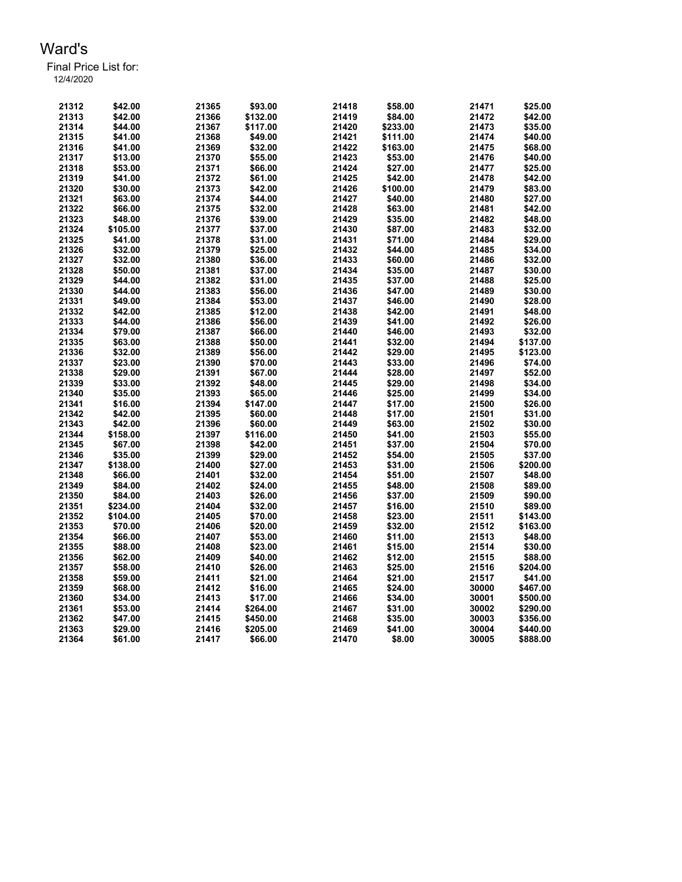| 21312 | \$42.00  | 21365 | \$93.00  | 21418 | \$58.00  | 21471 | \$25.00  |
|-------|----------|-------|----------|-------|----------|-------|----------|
| 21313 | \$42.00  | 21366 | \$132.00 | 21419 | \$84.00  | 21472 | \$42.00  |
| 21314 | \$44.00  | 21367 | \$117.00 | 21420 | \$233.00 | 21473 | \$35.00  |
| 21315 | \$41.00  | 21368 | \$49.00  | 21421 | \$111.00 | 21474 | \$40.00  |
| 21316 | \$41.00  | 21369 | \$32.00  | 21422 | \$163.00 | 21475 | \$68.00  |
| 21317 | \$13.00  | 21370 | \$55.00  | 21423 | \$53.00  | 21476 | \$40.00  |
| 21318 | \$53.00  | 21371 | \$66.00  | 21424 | \$27.00  | 21477 | \$25.00  |
| 21319 | \$41.00  | 21372 | \$61.00  | 21425 | \$42.00  | 21478 | \$42.00  |
| 21320 | \$30.00  | 21373 | \$42.00  | 21426 | \$100.00 | 21479 | \$83.00  |
| 21321 | \$63.00  | 21374 | \$44.00  | 21427 | \$40.00  | 21480 | \$27.00  |
| 21322 | \$66.00  | 21375 | \$32.00  | 21428 | \$63.00  | 21481 | \$42.00  |
| 21323 | \$48.00  | 21376 | \$39.00  | 21429 | \$35.00  | 21482 | \$48.00  |
| 21324 | \$105.00 | 21377 | \$37.00  | 21430 | \$87.00  | 21483 | \$32.00  |
| 21325 | \$41.00  | 21378 | \$31.00  | 21431 | \$71.00  | 21484 | \$29.00  |
| 21326 | \$32.00  | 21379 | \$25.00  | 21432 | \$44.00  | 21485 | \$34.00  |
| 21327 | \$32.00  | 21380 | \$36.00  | 21433 | \$60.00  | 21486 | \$32.00  |
| 21328 | \$50.00  | 21381 | \$37.00  | 21434 | \$35.00  | 21487 | \$30.00  |
| 21329 | \$44.00  | 21382 | \$31.00  | 21435 | \$37.00  | 21488 | \$25.00  |
| 21330 | \$44.00  | 21383 | \$56.00  | 21436 | \$47.00  | 21489 | \$30.00  |
| 21331 | \$49.00  | 21384 | \$53.00  | 21437 | \$46.00  | 21490 | \$28.00  |
| 21332 | \$42.00  | 21385 | \$12.00  | 21438 | \$42.00  | 21491 | \$48.00  |
| 21333 | \$44.00  | 21386 | \$56.00  | 21439 | \$41.00  | 21492 | \$26.00  |
| 21334 | \$79.00  | 21387 | \$66.00  | 21440 | \$46.00  | 21493 | \$32.00  |
| 21335 | \$63.00  | 21388 | \$50.00  | 21441 | \$32.00  | 21494 | \$137.00 |
| 21336 | \$32.00  | 21389 | \$56.00  | 21442 | \$29.00  | 21495 | \$123.00 |
| 21337 | \$23.00  | 21390 | \$70.00  | 21443 | \$33.00  | 21496 | \$74.00  |
| 21338 | \$29.00  | 21391 | \$67.00  | 21444 | \$28.00  | 21497 | \$52.00  |
| 21339 | \$33.00  | 21392 | \$48.00  | 21445 | \$29.00  | 21498 | \$34.00  |
| 21340 | \$35.00  | 21393 | \$65.00  | 21446 | \$25.00  | 21499 | \$34.00  |
| 21341 | \$16.00  | 21394 | \$147.00 | 21447 | \$17.00  | 21500 | \$26.00  |
| 21342 | \$42.00  | 21395 | \$60.00  | 21448 | \$17.00  | 21501 | \$31.00  |
| 21343 | \$42.00  | 21396 | \$60.00  | 21449 | \$63.00  | 21502 | \$30.00  |
| 21344 | \$158.00 | 21397 | \$116.00 | 21450 | \$41.00  | 21503 | \$55.00  |
| 21345 | \$67.00  | 21398 | \$42.00  | 21451 | \$37.00  | 21504 | \$70.00  |
| 21346 | \$35.00  | 21399 | \$29.00  | 21452 | \$54.00  | 21505 | \$37.00  |
| 21347 | \$138.00 | 21400 | \$27.00  | 21453 | \$31.00  | 21506 | \$200.00 |
| 21348 | \$66.00  | 21401 | \$32.00  | 21454 | \$51.00  | 21507 | \$48.00  |
| 21349 | \$84.00  | 21402 | \$24.00  | 21455 | \$48.00  | 21508 | \$89.00  |
| 21350 | \$84.00  | 21403 | \$26.00  | 21456 | \$37.00  | 21509 | \$90.00  |
| 21351 | \$234.00 | 21404 | \$32.00  | 21457 | \$16.00  | 21510 | \$89.00  |
| 21352 | \$104.00 | 21405 | \$70.00  | 21458 | \$23.00  | 21511 | \$143.00 |
| 21353 | \$70.00  | 21406 | \$20.00  | 21459 | \$32.00  | 21512 | \$163.00 |
| 21354 | \$66.00  | 21407 | \$53.00  | 21460 | \$11.00  | 21513 | \$48.00  |
| 21355 | \$88.00  | 21408 | \$23.00  | 21461 | \$15.00  | 21514 | \$30.00  |
| 21356 | \$62.00  | 21409 | \$40.00  | 21462 | \$12.00  | 21515 | \$88.00  |
| 21357 | \$58.00  | 21410 | \$26.00  | 21463 | \$25.00  | 21516 | \$204.00 |
| 21358 | \$59.00  | 21411 | \$21.00  | 21464 | \$21.00  | 21517 | \$41.00  |
| 21359 | \$68.00  | 21412 | \$16.00  | 21465 | \$24.00  | 30000 | \$467.00 |
| 21360 | \$34.00  | 21413 | \$17.00  | 21466 | \$34.00  | 30001 | \$500.00 |
| 21361 | \$53.00  | 21414 | \$264.00 | 21467 | \$31.00  | 30002 | \$290.00 |
| 21362 | \$47.00  | 21415 | \$450.00 | 21468 | \$35.00  | 30003 | \$356.00 |
| 21363 | \$29.00  | 21416 | \$205.00 | 21469 | \$41.00  | 30004 | \$440.00 |
| 21364 | \$61.00  | 21417 | \$66.00  | 21470 | \$8.00   | 30005 | \$888.00 |
|       |          |       |          |       |          |       |          |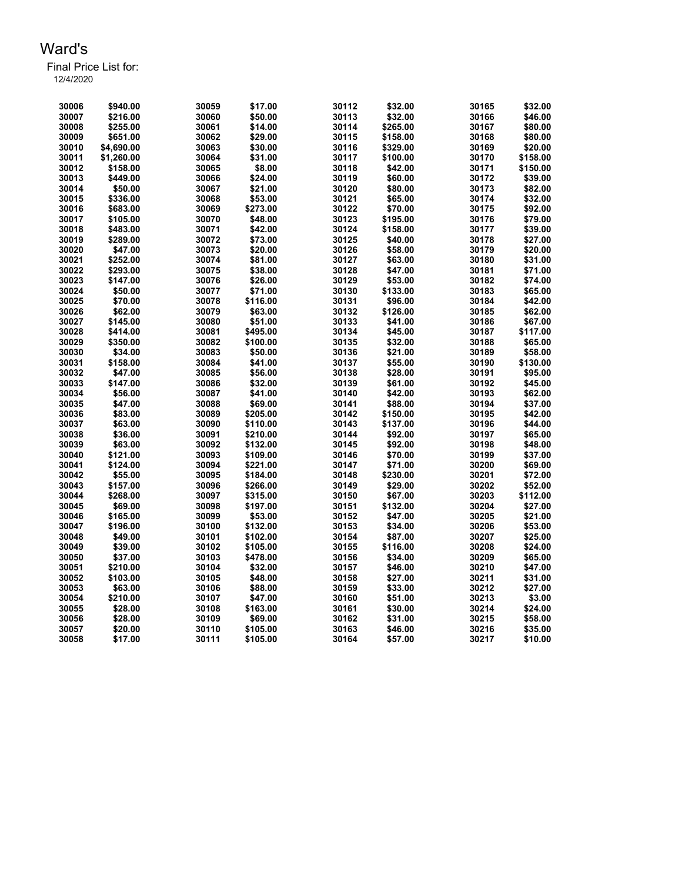| 30006 | \$940.00   | 30059 | \$17.00  | 30112 | \$32.00  | 30165 | \$32.00  |
|-------|------------|-------|----------|-------|----------|-------|----------|
| 30007 | \$216.00   | 30060 | \$50.00  | 30113 | \$32.00  | 30166 | \$46.00  |
| 30008 | \$255.00   | 30061 | \$14.00  | 30114 | \$265.00 | 30167 | \$80.00  |
| 30009 | \$651.00   | 30062 | \$29.00  | 30115 | \$158.00 | 30168 | \$80.00  |
| 30010 | \$4,690.00 | 30063 | \$30.00  | 30116 | \$329.00 | 30169 | \$20.00  |
| 30011 | \$1,260.00 | 30064 | \$31.00  | 30117 | \$100.00 | 30170 | \$158.00 |
| 30012 | \$158.00   | 30065 | \$8.00   | 30118 | \$42.00  | 30171 | \$150.00 |
| 30013 | \$449.00   | 30066 | \$24.00  | 30119 | \$60.00  | 30172 | \$39.00  |
| 30014 | \$50.00    | 30067 | \$21.00  | 30120 | \$80.00  | 30173 | \$82.00  |
| 30015 | \$336.00   | 30068 | \$53.00  | 30121 | \$65.00  | 30174 | \$32.00  |
| 30016 | \$683.00   | 30069 | \$273.00 | 30122 | \$70.00  | 30175 | \$92.00  |
| 30017 | \$105.00   | 30070 | \$48.00  | 30123 | \$195.00 | 30176 | \$79.00  |
| 30018 | \$483.00   | 30071 | \$42.00  | 30124 | \$158.00 | 30177 | \$39.00  |
| 30019 | \$289.00   | 30072 | \$73.00  | 30125 | \$40.00  | 30178 | \$27.00  |
| 30020 | \$47.00    | 30073 | \$20.00  | 30126 | \$58.00  | 30179 | \$20.00  |
| 30021 | \$252.00   | 30074 | \$81.00  | 30127 | \$63.00  | 30180 | \$31.00  |
| 30022 | \$293.00   | 30075 | \$38.00  | 30128 | \$47.00  | 30181 | \$71.00  |
| 30023 | \$147.00   | 30076 | \$26.00  | 30129 | \$53.00  | 30182 | \$74.00  |
| 30024 | \$50.00    | 30077 | \$71.00  | 30130 | \$133.00 | 30183 | \$65.00  |
| 30025 | \$70.00    | 30078 | \$116.00 | 30131 | \$96.00  | 30184 | \$42.00  |
| 30026 | \$62.00    | 30079 | \$63.00  | 30132 | \$126.00 | 30185 | \$62.00  |
| 30027 | \$145.00   | 30080 | \$51.00  | 30133 | \$41.00  | 30186 | \$67.00  |
| 30028 | \$414.00   | 30081 | \$495.00 | 30134 | \$45.00  | 30187 | \$117.00 |
| 30029 | \$350.00   | 30082 | \$100.00 | 30135 | \$32.00  | 30188 | \$65.00  |
| 30030 | \$34.00    | 30083 | \$50.00  | 30136 | \$21.00  | 30189 | \$58.00  |
| 30031 | \$158.00   | 30084 | \$41.00  | 30137 | \$55.00  | 30190 | \$130.00 |
| 30032 | \$47.00    | 30085 | \$56.00  | 30138 | \$28.00  | 30191 | \$95.00  |
| 30033 | \$147.00   | 30086 | \$32.00  | 30139 | \$61.00  | 30192 | \$45.00  |
| 30034 | \$56.00    | 30087 | \$41.00  | 30140 | \$42.00  | 30193 | \$62.00  |
| 30035 | \$47.00    | 30088 | \$69.00  | 30141 | \$88.00  | 30194 | \$37.00  |
| 30036 | \$83.00    | 30089 | \$205.00 | 30142 | \$150.00 | 30195 | \$42.00  |
| 30037 | \$63.00    | 30090 | \$110.00 | 30143 | \$137.00 | 30196 | \$44.00  |
| 30038 | \$36.00    | 30091 | \$210.00 | 30144 | \$92.00  | 30197 | \$65.00  |
| 30039 | \$63.00    | 30092 | \$132.00 | 30145 | \$92.00  | 30198 | \$48.00  |
| 30040 | \$121.00   | 30093 | \$109.00 | 30146 | \$70.00  | 30199 | \$37.00  |
| 30041 | \$124.00   | 30094 | \$221.00 | 30147 | \$71.00  | 30200 | \$69.00  |
| 30042 | \$55.00    | 30095 | \$184.00 | 30148 | \$230.00 | 30201 | \$72.00  |
| 30043 | \$157.00   | 30096 | \$266.00 | 30149 | \$29.00  | 30202 | \$52.00  |
| 30044 | \$268.00   | 30097 | \$315.00 | 30150 | \$67.00  | 30203 | \$112.00 |
| 30045 | \$69.00    | 30098 | \$197.00 | 30151 | \$132.00 | 30204 | \$27.00  |
| 30046 | \$165.00   | 30099 | \$53.00  | 30152 | \$47.00  | 30205 | \$21.00  |
| 30047 | \$196.00   | 30100 | \$132.00 | 30153 | \$34.00  | 30206 | \$53.00  |
| 30048 | \$49.00    | 30101 | \$102.00 | 30154 | \$87.00  | 30207 | \$25.00  |
| 30049 | \$39.00    | 30102 | \$105.00 | 30155 | \$116.00 | 30208 | \$24.00  |
| 30050 | \$37.00    | 30103 | \$478.00 | 30156 | \$34.00  | 30209 | \$65.00  |
| 30051 | \$210.00   | 30104 | \$32.00  | 30157 | \$46.00  | 30210 | \$47.00  |
| 30052 | \$103.00   | 30105 | \$48.00  | 30158 | \$27.00  | 30211 | \$31.00  |
| 30053 | \$63.00    | 30106 | \$88.00  | 30159 | \$33.00  | 30212 | \$27.00  |
| 30054 | \$210.00   | 30107 | \$47.00  | 30160 | \$51.00  | 30213 | \$3.00   |
| 30055 | \$28.00    | 30108 | \$163.00 | 30161 | \$30.00  | 30214 | \$24.00  |
| 30056 | \$28.00    | 30109 | \$69.00  | 30162 | \$31.00  | 30215 | \$58.00  |
| 30057 | \$20.00    | 30110 | \$105.00 | 30163 | \$46.00  | 30216 | \$35.00  |
| 30058 | \$17.00    | 30111 | \$105.00 | 30164 | \$57.00  | 30217 | \$10.00  |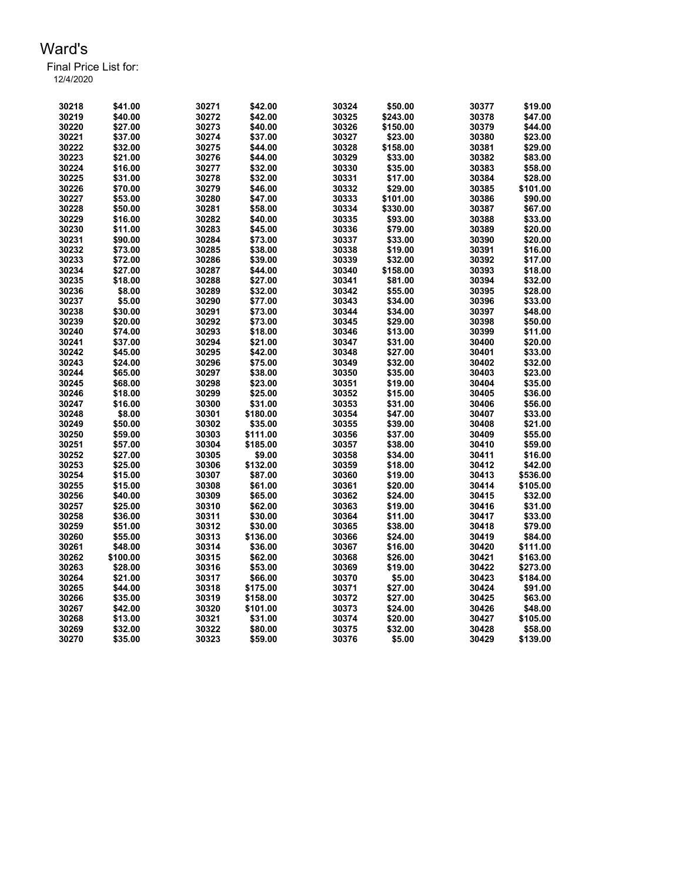Final Price List for:

| 12/4/2020 |  |  |
|-----------|--|--|
|           |  |  |

| 30218          | \$41.00  | 30271          | \$42.00  | 30324          | \$50.00            | 30377          | \$19.00            |
|----------------|----------|----------------|----------|----------------|--------------------|----------------|--------------------|
| 30219          | \$40.00  | 30272          | \$42.00  | 30325          | \$243.00           | 30378          | \$47.00            |
| 30220          | \$27.00  | 30273          | \$40.00  | 30326          | \$150.00           | 30379          | \$44.00            |
| 30221          | \$37.00  | 30274          | \$37.00  | 30327          | \$23.00            | 30380          | \$23.00            |
| 30222          | \$32.00  | 30275          | \$44.00  | 30328          | \$158.00           | 30381          | \$29.00            |
| 30223          | \$21.00  | 30276          | \$44.00  | 30329          | \$33.00            | 30382          | \$83.00            |
| 30224          | \$16.00  | 30277          | \$32.00  | 30330          | \$35.00            | 30383          | \$58.00            |
| 30225          | \$31.00  | 30278          | \$32.00  | 30331          | \$17.00            | 30384          | \$28.00            |
| 30226          | \$70.00  | 30279          | \$46.00  | 30332          | \$29.00            | 30385          | \$101.00           |
| 30227          | \$53.00  | 30280          | \$47.00  | 30333          | \$101.00           | 30386          | \$90.00            |
| 30228          | \$50.00  | 30281          | \$58.00  | 30334          | \$330.00           | 30387          | \$67.00            |
| 30229          | \$16.00  | 30282          | \$40.00  | 30335          | \$93.00            | 30388          | \$33.00            |
| 30230          | \$11.00  | 30283          | \$45.00  | 30336          | \$79.00            | 30389          | \$20.00            |
| 30231          | \$90.00  | 30284          | \$73.00  | 30337          | \$33.00            | 30390          | \$20.00            |
| 30232          | \$73.00  | 30285          | \$38.00  | 30338          | \$19.00            | 30391          | \$16.00            |
| 30233          | \$72.00  | 30286          | \$39.00  | 30339          | \$32.00            | 30392          | \$17.00            |
| 30234          | \$27.00  | 30287          | \$44.00  | 30340          | \$158.00           | 30393          | \$18.00            |
| 30235          | \$18.00  | 30288          | \$27.00  | 30341          | \$81.00            | 30394          | \$32.00            |
| 30236          | \$8.00   | 30289          | \$32.00  | 30342          | \$55.00            | 30395          | \$28.00            |
| 30237          | \$5.00   | 30290          | \$77.00  | 30343          | \$34.00            | 30396          | \$33.00            |
|                |          |                |          |                |                    |                |                    |
| 30238<br>30239 | \$30.00  | 30291<br>30292 | \$73.00  | 30344<br>30345 | \$34.00<br>\$29.00 | 30397<br>30398 | \$48.00<br>\$50.00 |
|                | \$20.00  |                | \$73.00  |                |                    |                |                    |
| 30240          | \$74.00  | 30293          | \$18.00  | 30346          | \$13.00            | 30399          | \$11.00            |
| 30241          | \$37.00  | 30294          | \$21.00  | 30347          | \$31.00            | 30400          | \$20.00            |
| 30242          | \$45.00  | 30295          | \$42.00  | 30348          | \$27.00            | 30401          | \$33.00            |
| 30243          | \$24.00  | 30296          | \$75.00  | 30349          | \$32.00            | 30402          | \$32.00            |
| 30244          | \$65.00  | 30297          | \$38.00  | 30350          | \$35.00            | 30403          | \$23.00            |
| 30245          | \$68.00  | 30298          | \$23.00  | 30351          | \$19.00            | 30404          | \$35.00            |
| 30246          | \$18.00  | 30299          | \$25.00  | 30352          | \$15.00            | 30405          | \$36.00            |
| 30247          | \$16.00  | 30300          | \$31.00  | 30353          | \$31.00            | 30406          | \$56.00            |
| 30248          | \$8.00   | 30301          | \$180.00 | 30354          | \$47.00            | 30407          | \$33.00            |
| 30249          | \$50.00  | 30302          | \$35.00  | 30355          | \$39.00            | 30408          | \$21.00            |
| 30250          | \$59.00  | 30303          | \$111.00 | 30356          | \$37.00            | 30409          | \$55.00            |
| 30251          | \$57.00  | 30304          | \$185.00 | 30357          | \$38.00            | 30410          | \$59.00            |
| 30252          | \$27.00  | 30305          | \$9.00   | 30358          | \$34.00            | 30411          | \$16.00            |
| 30253          | \$25.00  | 30306          | \$132.00 | 30359          | \$18.00            | 30412          | \$42.00            |
| 30254          | \$15.00  | 30307          | \$87.00  | 30360          | \$19.00            | 30413          | \$536.00           |
| 30255          | \$15.00  | 30308          | \$61.00  | 30361          | \$20.00            | 30414          | \$105.00           |
| 30256          | \$40.00  | 30309          | \$65.00  | 30362          | \$24.00            | 30415          | \$32.00            |
| 30257          | \$25.00  | 30310          | \$62.00  | 30363          | \$19.00            | 30416          | \$31.00            |
| 30258          | \$36.00  | 30311          | \$30.00  | 30364          | \$11.00            | 30417          | \$33.00            |
| 30259          | \$51.00  | 30312          | \$30.00  | 30365          | \$38.00            | 30418          | \$79.00            |
| 30260          | \$55.00  | 30313          | \$136.00 | 30366          | \$24.00            | 30419          | \$84.00            |
| 30261          | \$48.00  | 30314          | \$36.00  | 30367          | \$16.00            | 30420          | \$111.00           |
| 30262          | \$100.00 | 30315          | \$62.00  | 30368          | \$26.00            | 30421          | \$163.00           |
| 30263          | \$28.00  | 30316          | \$53.00  | 30369          | \$19.00            | 30422          | \$273.00           |
| 30264          | \$21.00  | 30317          | \$66.00  | 30370          | \$5.00             | 30423          | \$184.00           |
| 30265          | \$44.00  | 30318          | \$175.00 | 30371          | \$27.00            | 30424          | \$91.00            |
| 30266          | \$35.00  | 30319          | \$158.00 | 30372          | \$27.00            | 30425          | \$63.00            |
| 30267          | \$42.00  | 30320          | \$101.00 | 30373          | \$24.00            | 30426          | \$48.00            |
| 30268          | \$13.00  | 30321          | \$31.00  | 30374          | \$20.00            | 30427          | \$105.00           |
| 30269          | \$32.00  | 30322          | \$80.00  | 30375          | \$32.00            | 30428          | \$58.00            |
| 30270          | \$35.00  | 30323          | \$59.00  | 30376          | \$5.00             | 30429          | \$139.00           |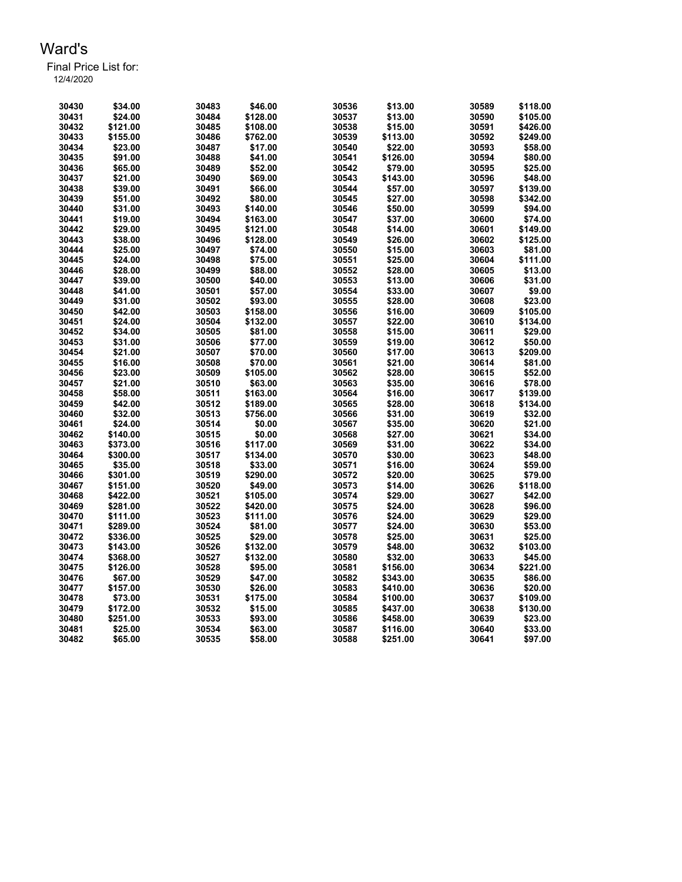| 30430 | \$34.00  | 30483 | \$46.00  | 30536 | \$13.00  | 30589 | \$118.00 |
|-------|----------|-------|----------|-------|----------|-------|----------|
| 30431 | \$24.00  | 30484 | \$128.00 | 30537 | \$13.00  | 30590 | \$105.00 |
| 30432 | \$121.00 | 30485 | \$108.00 | 30538 | \$15.00  | 30591 | \$426.00 |
| 30433 | \$155.00 | 30486 | \$762.00 | 30539 | \$113.00 | 30592 | \$249.00 |
| 30434 | \$23.00  | 30487 | \$17.00  | 30540 | \$22.00  | 30593 | \$58.00  |
| 30435 | \$91.00  | 30488 | \$41.00  | 30541 | \$126.00 | 30594 | \$80.00  |
| 30436 | \$65.00  | 30489 | \$52.00  | 30542 | \$79.00  | 30595 | \$25.00  |
| 30437 | \$21.00  | 30490 | \$69.00  | 30543 | \$143.00 | 30596 | \$48.00  |
| 30438 | \$39.00  | 30491 | \$66.00  | 30544 | \$57.00  | 30597 | \$139.00 |
| 30439 | \$51.00  | 30492 | \$80.00  | 30545 | \$27.00  | 30598 | \$342.00 |
| 30440 | \$31.00  | 30493 | \$140.00 | 30546 | \$50.00  | 30599 | \$94.00  |
| 30441 | \$19.00  | 30494 | \$163.00 | 30547 | \$37.00  | 30600 | \$74.00  |
| 30442 | \$29.00  | 30495 | \$121.00 | 30548 | \$14.00  | 30601 | \$149.00 |
| 30443 | \$38.00  | 30496 | \$128.00 | 30549 | \$26.00  | 30602 | \$125.00 |
| 30444 | \$25.00  | 30497 | \$74.00  | 30550 | \$15.00  | 30603 | \$81.00  |
| 30445 | \$24.00  | 30498 | \$75.00  | 30551 | \$25.00  | 30604 | \$111.00 |
| 30446 | \$28.00  | 30499 | \$88.00  | 30552 | \$28.00  | 30605 | \$13.00  |
| 30447 | \$39.00  | 30500 | \$40.00  | 30553 | \$13.00  | 30606 | \$31.00  |
| 30448 | \$41.00  | 30501 | \$57.00  | 30554 | \$33.00  | 30607 | \$9.00   |
| 30449 | \$31.00  | 30502 | \$93.00  | 30555 | \$28.00  | 30608 | \$23.00  |
|       |          |       |          |       |          |       |          |
| 30450 | \$42.00  | 30503 | \$158.00 | 30556 | \$16.00  | 30609 | \$105.00 |
| 30451 | \$24.00  | 30504 | \$132.00 | 30557 | \$22.00  | 30610 | \$134.00 |
| 30452 | \$34.00  | 30505 | \$81.00  | 30558 | \$15.00  | 30611 | \$29.00  |
| 30453 | \$31.00  | 30506 | \$77.00  | 30559 | \$19.00  | 30612 | \$50.00  |
| 30454 | \$21.00  | 30507 | \$70.00  | 30560 | \$17.00  | 30613 | \$209.00 |
| 30455 | \$16.00  | 30508 | \$70.00  | 30561 | \$21.00  | 30614 | \$81.00  |
| 30456 | \$23.00  | 30509 | \$105.00 | 30562 | \$28.00  | 30615 | \$52.00  |
| 30457 | \$21.00  | 30510 | \$63.00  | 30563 | \$35.00  | 30616 | \$78.00  |
| 30458 | \$58.00  | 30511 | \$163.00 | 30564 | \$16.00  | 30617 | \$139.00 |
| 30459 | \$42.00  | 30512 | \$189.00 | 30565 | \$28.00  | 30618 | \$134.00 |
| 30460 | \$32.00  | 30513 | \$756.00 | 30566 | \$31.00  | 30619 | \$32.00  |
| 30461 | \$24.00  | 30514 | \$0.00   | 30567 | \$35.00  | 30620 | \$21.00  |
| 30462 | \$140.00 | 30515 | \$0.00   | 30568 | \$27.00  | 30621 | \$34.00  |
| 30463 | \$373.00 | 30516 | \$117.00 | 30569 | \$31.00  | 30622 | \$34.00  |
| 30464 | \$300.00 | 30517 | \$134.00 | 30570 | \$30.00  | 30623 | \$48.00  |
| 30465 | \$35.00  | 30518 | \$33.00  | 30571 | \$16.00  | 30624 | \$59.00  |
| 30466 | \$301.00 | 30519 | \$290.00 | 30572 | \$20.00  | 30625 | \$79.00  |
| 30467 | \$151.00 | 30520 | \$49.00  | 30573 | \$14.00  | 30626 | \$118.00 |
| 30468 | \$422.00 | 30521 | \$105.00 | 30574 | \$29.00  | 30627 | \$42.00  |
| 30469 | \$281.00 | 30522 | \$420.00 | 30575 | \$24.00  | 30628 | \$96.00  |
| 30470 | \$111.00 | 30523 | \$111.00 | 30576 | \$24.00  | 30629 | \$29.00  |
| 30471 | \$289.00 | 30524 | \$81.00  | 30577 | \$24.00  | 30630 | \$53.00  |
| 30472 | \$336.00 | 30525 | \$29.00  | 30578 | \$25.00  | 30631 | \$25.00  |
| 30473 | \$143.00 | 30526 | \$132.00 | 30579 | \$48.00  | 30632 | \$103.00 |
| 30474 | \$368.00 | 30527 | \$132.00 | 30580 | \$32.00  | 30633 | \$45.00  |
| 30475 | \$126.00 | 30528 | \$95.00  | 30581 | \$156.00 | 30634 | \$221.00 |
| 30476 | \$67.00  | 30529 | \$47.00  | 30582 | \$343.00 | 30635 | \$86.00  |
| 30477 | \$157.00 | 30530 | \$26.00  | 30583 | \$410.00 | 30636 | \$20.00  |
| 30478 | \$73.00  | 30531 | \$175.00 | 30584 | \$100.00 | 30637 | \$109.00 |
| 30479 | \$172.00 | 30532 | \$15.00  | 30585 | \$437.00 | 30638 | \$130.00 |
| 30480 | \$251.00 | 30533 | \$93.00  | 30586 | \$458.00 | 30639 | \$23.00  |
| 30481 | \$25.00  | 30534 | \$63.00  | 30587 | \$116.00 | 30640 | \$33.00  |
| 30482 | \$65.00  | 30535 | \$58.00  | 30588 | \$251.00 | 30641 | \$97.00  |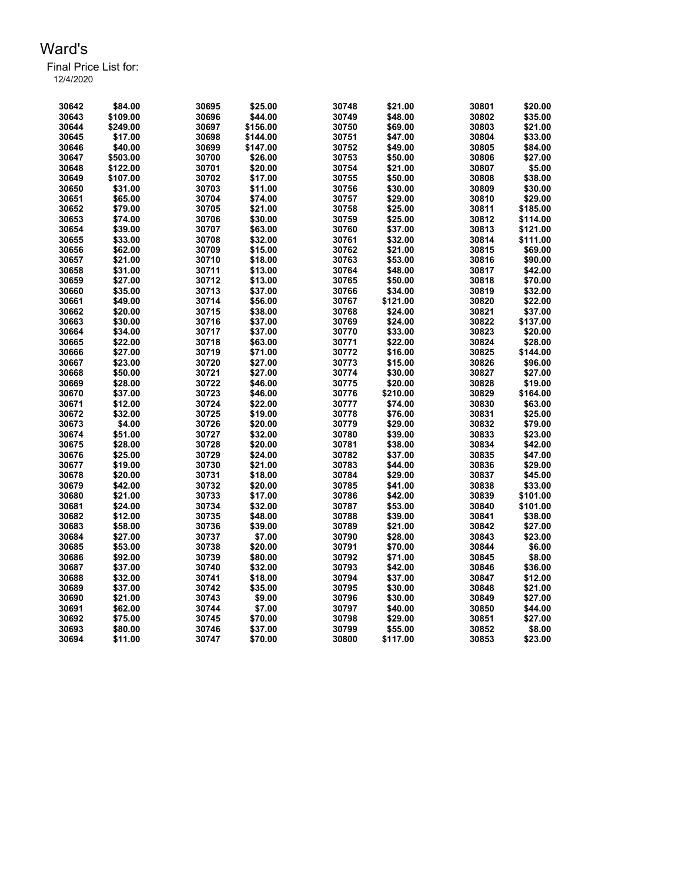| 30642 | \$84.00  | 30695 | \$25.00  | 30748 | \$21.00  | 30801 | \$20.00  |
|-------|----------|-------|----------|-------|----------|-------|----------|
| 30643 | \$109.00 | 30696 | \$44.00  | 30749 | \$48.00  | 30802 | \$35.00  |
| 30644 | \$249.00 | 30697 | \$156.00 | 30750 | \$69.00  | 30803 | \$21.00  |
| 30645 | \$17.00  | 30698 | \$144.00 | 30751 | \$47.00  | 30804 | \$33.00  |
| 30646 | \$40.00  | 30699 | \$147.00 | 30752 | \$49.00  | 30805 | \$84.00  |
| 30647 | \$503.00 | 30700 | \$26.00  | 30753 | \$50.00  | 30806 | \$27.00  |
| 30648 | \$122.00 | 30701 | \$20.00  | 30754 | \$21.00  | 30807 | \$5.00   |
| 30649 | \$107.00 | 30702 | \$17.00  | 30755 | \$50.00  | 30808 | \$38.00  |
| 30650 | \$31.00  | 30703 | \$11.00  | 30756 | \$30.00  | 30809 | \$30.00  |
| 30651 | \$65.00  | 30704 | \$74.00  | 30757 | \$29.00  | 30810 | \$29.00  |
| 30652 | \$79.00  | 30705 | \$21.00  | 30758 | \$25.00  | 30811 | \$185.00 |
| 30653 | \$74.00  | 30706 | \$30.00  | 30759 | \$25.00  | 30812 | \$114.00 |
| 30654 | \$39.00  | 30707 | \$63.00  | 30760 | \$37.00  | 30813 | \$121.00 |
| 30655 | \$33.00  | 30708 | \$32.00  | 30761 | \$32.00  | 30814 | \$111.00 |
| 30656 | \$62.00  | 30709 | \$15.00  | 30762 | \$21.00  | 30815 | \$69.00  |
| 30657 | \$21.00  | 30710 | \$18.00  | 30763 | \$53.00  | 30816 | \$90.00  |
| 30658 | \$31.00  | 30711 | \$13.00  | 30764 | \$48.00  | 30817 | \$42.00  |
| 30659 | \$27.00  | 30712 | \$13.00  | 30765 | \$50.00  | 30818 | \$70.00  |
|       |          |       |          |       |          |       |          |
| 30660 | \$35.00  | 30713 | \$37.00  | 30766 | \$34.00  | 30819 | \$32.00  |
| 30661 | \$49.00  | 30714 | \$56.00  | 30767 | \$121.00 | 30820 | \$22.00  |
| 30662 | \$20.00  | 30715 | \$38.00  | 30768 | \$24.00  | 30821 | \$37.00  |
| 30663 | \$30.00  | 30716 | \$37.00  | 30769 | \$24.00  | 30822 | \$137.00 |
| 30664 | \$34.00  | 30717 | \$37.00  | 30770 | \$33.00  | 30823 | \$20.00  |
| 30665 | \$22.00  | 30718 | \$63.00  | 30771 | \$22.00  | 30824 | \$28.00  |
| 30666 | \$27.00  | 30719 | \$71.00  | 30772 | \$16.00  | 30825 | \$144.00 |
| 30667 | \$23.00  | 30720 | \$27.00  | 30773 | \$15.00  | 30826 | \$96.00  |
| 30668 | \$50.00  | 30721 | \$27.00  | 30774 | \$30.00  | 30827 | \$27.00  |
| 30669 | \$28.00  | 30722 | \$46.00  | 30775 | \$20.00  | 30828 | \$19.00  |
| 30670 | \$37.00  | 30723 | \$46.00  | 30776 | \$210.00 | 30829 | \$164.00 |
| 30671 | \$12.00  | 30724 | \$22.00  | 30777 | \$74.00  | 30830 | \$63.00  |
| 30672 | \$32.00  | 30725 | \$19.00  | 30778 | \$76.00  | 30831 | \$25.00  |
| 30673 | \$4.00   | 30726 | \$20.00  | 30779 | \$29.00  | 30832 | \$79.00  |
| 30674 | \$51.00  | 30727 | \$32.00  | 30780 | \$39.00  | 30833 | \$23.00  |
| 30675 | \$28.00  | 30728 | \$20.00  | 30781 | \$38.00  | 30834 | \$42.00  |
| 30676 | \$25.00  | 30729 | \$24.00  | 30782 | \$37.00  | 30835 | \$47.00  |
| 30677 | \$19.00  | 30730 | \$21.00  | 30783 | \$44.00  | 30836 | \$29.00  |
| 30678 | \$20.00  | 30731 | \$18.00  | 30784 | \$29.00  | 30837 | \$45.00  |
| 30679 | \$42.00  | 30732 | \$20.00  | 30785 | \$41.00  | 30838 | \$33.00  |
| 30680 | \$21.00  | 30733 | \$17.00  | 30786 | \$42.00  | 30839 | \$101.00 |
| 30681 | \$24.00  | 30734 | \$32.00  | 30787 | \$53.00  | 30840 | \$101.00 |
| 30682 | \$12.00  | 30735 | \$48.00  | 30788 | \$39.00  | 30841 | \$38.00  |
| 30683 | \$58.00  | 30736 | \$39.00  | 30789 | \$21.00  | 30842 | \$27.00  |
| 30684 | \$27.00  | 30737 | \$7.00   | 30790 | \$28.00  | 30843 | \$23.00  |
| 30685 | \$53.00  | 30738 | \$20.00  | 30791 | \$70.00  | 30844 | \$6.00   |
| 30686 | \$92.00  | 30739 | \$80.00  | 30792 | \$71.00  | 30845 | \$8.00   |
| 30687 | \$37.00  | 30740 | \$32.00  | 30793 | \$42.00  | 30846 | \$36.00  |
| 30688 |          | 30741 |          |       | \$37.00  |       | \$12.00  |
|       | \$32.00  |       | \$18.00  | 30794 |          | 30847 |          |
| 30689 | \$37.00  | 30742 | \$35.00  | 30795 | \$30.00  | 30848 | \$21.00  |
| 30690 | \$21.00  | 30743 | \$9.00   | 30796 | \$30.00  | 30849 | \$27.00  |
| 30691 | \$62.00  | 30744 | \$7.00   | 30797 | \$40.00  | 30850 | \$44.00  |
| 30692 | \$75.00  | 30745 | \$70.00  | 30798 | \$29.00  | 30851 | \$27.00  |
| 30693 | \$80.00  | 30746 | \$37.00  | 30799 | \$55.00  | 30852 | \$8.00   |
| 30694 | \$11.00  | 30747 | \$70.00  | 30800 | \$117.00 | 30853 | \$23.00  |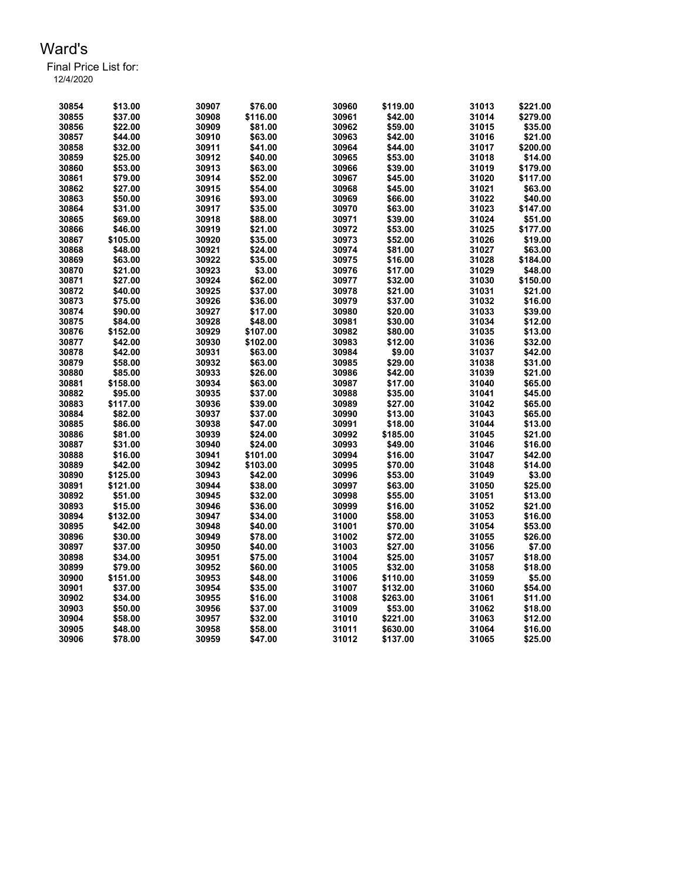Final Price List for:

| 30854 | \$13.00  | 30907 | \$76.00  | 30960 | \$119.00 | 31013          | \$221.00 |
|-------|----------|-------|----------|-------|----------|----------------|----------|
| 30855 | \$37.00  | 30908 | \$116.00 | 30961 | \$42.00  | 31014          | \$279.00 |
|       |          |       |          |       |          |                |          |
| 30856 | \$22.00  | 30909 | \$81.00  | 30962 | \$59.00  | 31015          | \$35.00  |
| 30857 | \$44.00  | 30910 | \$63.00  | 30963 | \$42.00  | 31016          | \$21.00  |
| 30858 | \$32.00  | 30911 | \$41.00  | 30964 | \$44.00  | 31017          | \$200.00 |
| 30859 | \$25.00  | 30912 | \$40.00  | 30965 | \$53.00  | 31018          | \$14.00  |
| 30860 | \$53.00  | 30913 | \$63.00  | 30966 | \$39.00  | 31019          | \$179.00 |
| 30861 | \$79.00  | 30914 | \$52.00  | 30967 | \$45.00  | 31020          | \$117.00 |
| 30862 | \$27.00  | 30915 | \$54.00  | 30968 | \$45.00  | 31021          | \$63.00  |
| 30863 | \$50.00  | 30916 | \$93.00  | 30969 | \$66.00  | 31022          | \$40.00  |
| 30864 | \$31.00  | 30917 | \$35.00  | 30970 | \$63.00  | 31023          | \$147.00 |
| 30865 | \$69.00  | 30918 | \$88.00  | 30971 | \$39.00  | 31024          | \$51.00  |
| 30866 | \$46.00  | 30919 | \$21.00  | 30972 | \$53.00  | 31025          | \$177.00 |
| 30867 | \$105.00 | 30920 | \$35.00  | 30973 | \$52.00  | 31026          | \$19.00  |
| 30868 | \$48.00  | 30921 | \$24.00  | 30974 | \$81.00  | 31027          | \$63.00  |
|       |          |       |          |       |          |                |          |
| 30869 | \$63.00  | 30922 | \$35.00  | 30975 | \$16.00  | 31028          | \$184.00 |
| 30870 | \$21.00  | 30923 | \$3.00   | 30976 | \$17.00  | 31029          | \$48.00  |
| 30871 | \$27.00  | 30924 | \$62.00  | 30977 | \$32.00  | 31030          | \$150.00 |
| 30872 | \$40.00  | 30925 | \$37.00  | 30978 | \$21.00  | 31031          | \$21.00  |
| 30873 | \$75.00  | 30926 | \$36.00  | 30979 | \$37.00  | 31032          | \$16.00  |
| 30874 | \$90.00  | 30927 | \$17.00  | 30980 | \$20.00  | 31033          | \$39.00  |
| 30875 | \$84.00  | 30928 | \$48.00  | 30981 | \$30.00  | 31034          | \$12.00  |
| 30876 | \$152.00 | 30929 | \$107.00 | 30982 | \$80.00  | 31035          | \$13.00  |
| 30877 | \$42.00  | 30930 | \$102.00 | 30983 | \$12.00  | 31036          | \$32.00  |
| 30878 | \$42.00  | 30931 | \$63.00  | 30984 | \$9.00   | 31037          | \$42.00  |
| 30879 | \$58.00  | 30932 | \$63.00  | 30985 | \$29.00  | 31038          | \$31.00  |
| 30880 | \$85.00  | 30933 | \$26.00  | 30986 | \$42.00  | 31039          | \$21.00  |
| 30881 | \$158.00 | 30934 | \$63.00  | 30987 | \$17.00  | 31040          | \$65.00  |
| 30882 | \$95.00  | 30935 | \$37.00  | 30988 | \$35.00  | 31041          | \$45.00  |
| 30883 |          | 30936 | \$39.00  | 30989 | \$27.00  | 31042          | \$65.00  |
|       | \$117.00 |       |          |       |          |                |          |
| 30884 | \$82.00  | 30937 | \$37.00  | 30990 | \$13.00  | 31043          | \$65.00  |
| 30885 | \$86.00  | 30938 | \$47.00  | 30991 | \$18.00  | 31044          | \$13.00  |
| 30886 | \$81.00  | 30939 | \$24.00  | 30992 | \$185.00 | 31045          | \$21.00  |
| 30887 | \$31.00  | 30940 | \$24.00  | 30993 | \$49.00  | 31046          | \$16.00  |
| 30888 | \$16.00  | 30941 | \$101.00 | 30994 | \$16.00  | 31047          | \$42.00  |
| 30889 | \$42.00  | 30942 | \$103.00 | 30995 | \$70.00  | 31048          | \$14.00  |
| 30890 | \$125.00 | 30943 | \$42.00  | 30996 | \$53.00  | 31049          | \$3.00   |
| 30891 | \$121.00 | 30944 | \$38.00  | 30997 | \$63.00  | 31050          | \$25.00  |
| 30892 | \$51.00  | 30945 | \$32.00  | 30998 | \$55.00  | 31051          | \$13.00  |
| 30893 | \$15.00  | 30946 | \$36.00  | 30999 | \$16.00  | 31052          | \$21.00  |
| 30894 | \$132.00 | 30947 | \$34.00  | 31000 | \$58.00  | 31053          | \$16.00  |
| 30895 | \$42.00  | 30948 | \$40.00  | 31001 | \$70.00  | 31054          | \$53.00  |
| 30896 | \$30.00  | 30949 | \$78.00  | 31002 | \$72.00  | 31055          | \$26.00  |
| 30897 | \$37.00  | 30950 | \$40.00  | 31003 | \$27.00  | 31056          | \$7.00   |
| 30898 | \$34.00  | 30951 | \$75.00  | 31004 | \$25.00  | 31057          | \$18.00  |
| 30899 | \$79.00  | 30952 | \$60.00  | 31005 | \$32.00  |                | \$18.00  |
| 30900 |          |       |          | 31006 |          | 31058<br>31059 | \$5.00   |
|       | \$151.00 | 30953 | \$48.00  |       | \$110.00 |                |          |
| 30901 | \$37.00  | 30954 | \$35.00  | 31007 | \$132.00 | 31060          | \$54.00  |
| 30902 | \$34.00  | 30955 | \$16.00  | 31008 | \$263.00 | 31061          | \$11.00  |
| 30903 | \$50.00  | 30956 | \$37.00  | 31009 | \$53.00  | 31062          | \$18.00  |
| 30904 | \$58.00  | 30957 | \$32.00  | 31010 | \$221.00 | 31063          | \$12.00  |
| 30905 | \$48.00  | 30958 | \$58.00  | 31011 | \$630.00 | 31064          | \$16.00  |
| 30906 | \$78.00  | 30959 | \$47.00  | 31012 | \$137.00 | 31065          | \$25.00  |